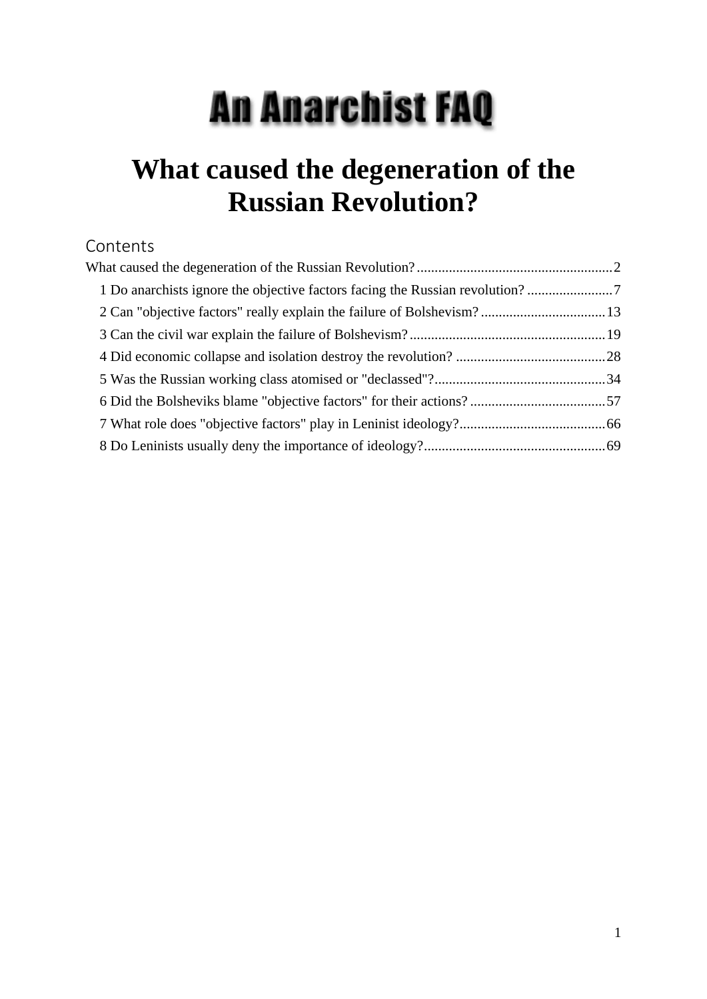# **An Anarchist FAQ**

## **What caused the degeneration of the Russian Revolution?**

#### Contents

| 1 Do anarchists ignore the objective factors facing the Russian revolution? |  |
|-----------------------------------------------------------------------------|--|
|                                                                             |  |
|                                                                             |  |
|                                                                             |  |
|                                                                             |  |
|                                                                             |  |
|                                                                             |  |
|                                                                             |  |
|                                                                             |  |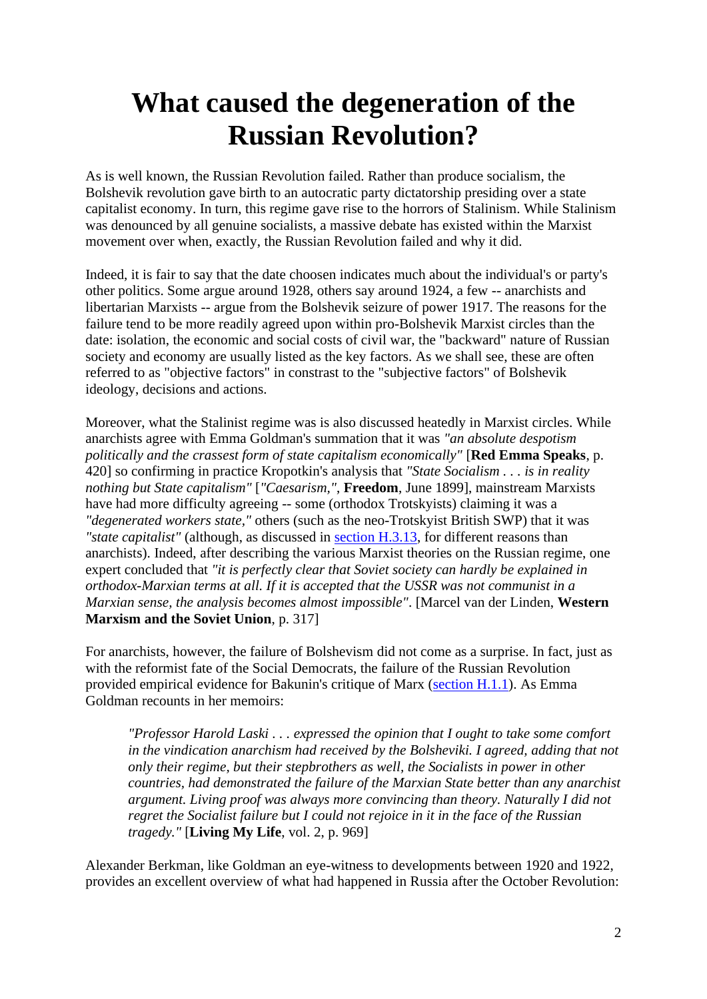## <span id="page-1-0"></span>**What caused the degeneration of the Russian Revolution?**

As is well known, the Russian Revolution failed. Rather than produce socialism, the Bolshevik revolution gave birth to an autocratic party dictatorship presiding over a state capitalist economy. In turn, this regime gave rise to the horrors of Stalinism. While Stalinism was denounced by all genuine socialists, a massive debate has existed within the Marxist movement over when, exactly, the Russian Revolution failed and why it did.

Indeed, it is fair to say that the date choosen indicates much about the individual's or party's other politics. Some argue around 1928, others say around 1924, a few -- anarchists and libertarian Marxists -- argue from the Bolshevik seizure of power 1917. The reasons for the failure tend to be more readily agreed upon within pro-Bolshevik Marxist circles than the date: isolation, the economic and social costs of civil war, the "backward" nature of Russian society and economy are usually listed as the key factors. As we shall see, these are often referred to as "objective factors" in constrast to the "subjective factors" of Bolshevik ideology, decisions and actions.

Moreover, what the Stalinist regime was is also discussed heatedly in Marxist circles. While anarchists agree with Emma Goldman's summation that it was *"an absolute despotism politically and the crassest form of state capitalism economically"* [**Red Emma Speaks**, p. 420] so confirming in practice Kropotkin's analysis that *"State Socialism . . . is in reality nothing but State capitalism"* [*"Caesarism,"*, **Freedom**, June 1899], mainstream Marxists have had more difficulty agreeing -- some (orthodox Trotskyists) claiming it was a *"degenerated workers state,"* others (such as the neo-Trotskyist British SWP) that it was *"state capitalist"* (although, as discussed in [section H.3.13,](sectionH.html#sech313) for different reasons than anarchists). Indeed, after describing the various Marxist theories on the Russian regime, one expert concluded that *"it is perfectly clear that Soviet society can hardly be explained in orthodox-Marxian terms at all. If it is accepted that the USSR was not communist in a Marxian sense, the analysis becomes almost impossible"*. [Marcel van der Linden, **Western Marxism and the Soviet Union**, p. 317]

For anarchists, however, the failure of Bolshevism did not come as a surprise. In fact, just as with the reformist fate of the Social Democrats, the failure of the Russian Revolution provided empirical evidence for Bakunin's critique of Marx [\(section H.1.1\)](sectionH.html#sech11). As Emma Goldman recounts in her memoirs:

*"Professor Harold Laski . . . expressed the opinion that I ought to take some comfort in the vindication anarchism had received by the Bolsheviki. I agreed, adding that not only their regime, but their stepbrothers as well, the Socialists in power in other countries, had demonstrated the failure of the Marxian State better than any anarchist argument. Living proof was always more convincing than theory. Naturally I did not regret the Socialist failure but I could not rejoice in it in the face of the Russian tragedy."* [**Living My Life**, vol. 2, p. 969]

Alexander Berkman, like Goldman an eye-witness to developments between 1920 and 1922, provides an excellent overview of what had happened in Russia after the October Revolution: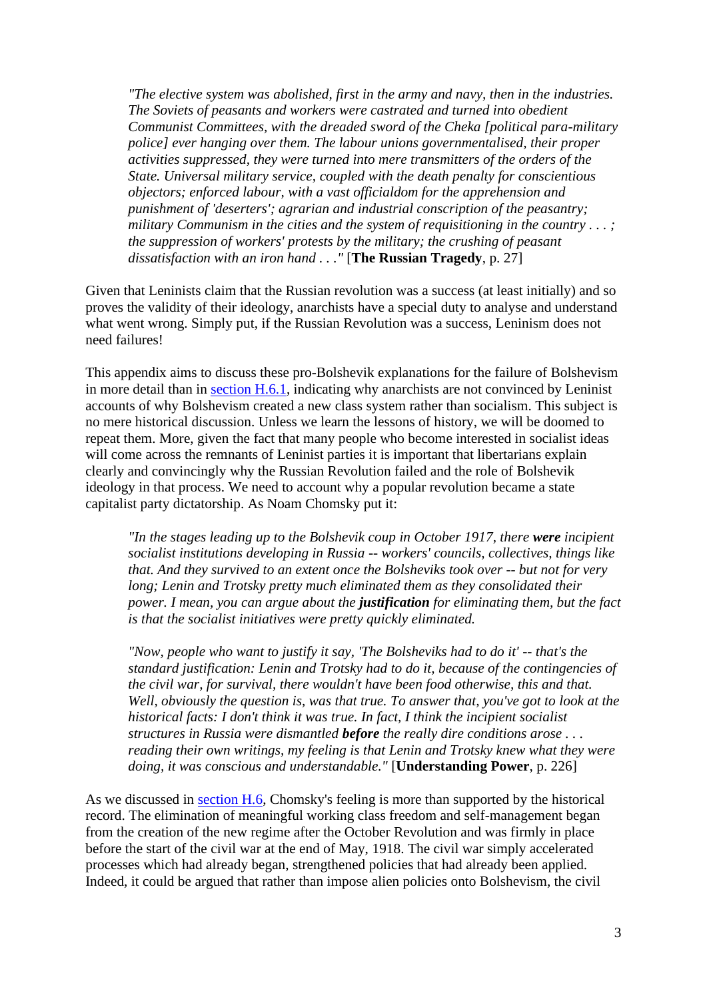*"The elective system was abolished, first in the army and navy, then in the industries. The Soviets of peasants and workers were castrated and turned into obedient Communist Committees, with the dreaded sword of the Cheka [political para-military police] ever hanging over them. The labour unions governmentalised, their proper activities suppressed, they were turned into mere transmitters of the orders of the State. Universal military service, coupled with the death penalty for conscientious objectors; enforced labour, with a vast officialdom for the apprehension and punishment of 'deserters'; agrarian and industrial conscription of the peasantry; military Communism in the cities and the system of requisitioning in the country . . . ; the suppression of workers' protests by the military; the crushing of peasant dissatisfaction with an iron hand . . ."* [**The Russian Tragedy**, p. 27]

Given that Leninists claim that the Russian revolution was a success (at least initially) and so proves the validity of their ideology, anarchists have a special duty to analyse and understand what went wrong. Simply put, if the Russian Revolution was a success, Leninism does not need failures!

This appendix aims to discuss these pro-Bolshevik explanations for the failure of Bolshevism in more detail than in [section H.6.1,](sectionH.html#sech61) indicating why anarchists are not convinced by Leninist accounts of why Bolshevism created a new class system rather than socialism. This subject is no mere historical discussion. Unless we learn the lessons of history, we will be doomed to repeat them. More, given the fact that many people who become interested in socialist ideas will come across the remnants of Leninist parties it is important that libertarians explain clearly and convincingly why the Russian Revolution failed and the role of Bolshevik ideology in that process. We need to account why a popular revolution became a state capitalist party dictatorship. As Noam Chomsky put it:

*"In the stages leading up to the Bolshevik coup in October 1917, there were incipient socialist institutions developing in Russia -- workers' councils, collectives, things like that. And they survived to an extent once the Bolsheviks took over -- but not for very long; Lenin and Trotsky pretty much eliminated them as they consolidated their power. I mean, you can argue about the justification for eliminating them, but the fact is that the socialist initiatives were pretty quickly eliminated.*

*"Now, people who want to justify it say, 'The Bolsheviks had to do it' -- that's the standard justification: Lenin and Trotsky had to do it, because of the contingencies of the civil war, for survival, there wouldn't have been food otherwise, this and that. Well, obviously the question is, was that true. To answer that, you've got to look at the historical facts: I don't think it was true. In fact, I think the incipient socialist structures in Russia were dismantled before the really dire conditions arose . . . reading their own writings, my feeling is that Lenin and Trotsky knew what they were doing, it was conscious and understandable."* [**Understanding Power**, p. 226]

As we discussed in [section H.6,](sectionH.html#sech6) Chomsky's feeling is more than supported by the historical record. The elimination of meaningful working class freedom and self-management began from the creation of the new regime after the October Revolution and was firmly in place before the start of the civil war at the end of May, 1918. The civil war simply accelerated processes which had already began, strengthened policies that had already been applied. Indeed, it could be argued that rather than impose alien policies onto Bolshevism, the civil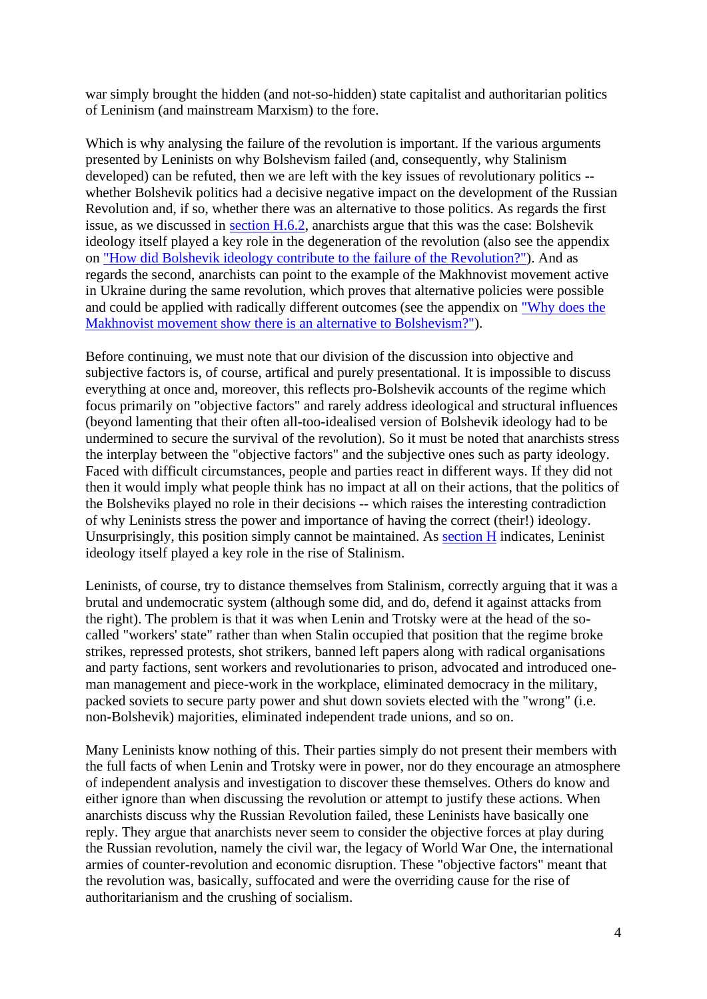war simply brought the hidden (and not-so-hidden) state capitalist and authoritarian politics of Leninism (and mainstream Marxism) to the fore.

Which is why analysing the failure of the revolution is important. If the various arguments presented by Leninists on why Bolshevism failed (and, consequently, why Stalinism developed) can be refuted, then we are left with the key issues of revolutionary politics -whether Bolshevik politics had a decisive negative impact on the development of the Russian Revolution and, if so, whether there was an alternative to those politics. As regards the first issue, as we discussed in [section H.6.2,](sectionH.html#sech62) anarchists argue that this was the case: Bolshevik ideology itself played a key role in the degeneration of the revolution (also see the appendix on ["How did Bolshevik ideology contribute to the failure of the Revolution?"\)](append44.html). And as regards the second, anarchists can point to the example of the Makhnovist movement active in Ukraine during the same revolution, which proves that alternative policies were possible and could be applied with radically different outcomes (see the appendix on ["Why does the](append46.html)  [Makhnovist movement show there is an](append46.html) alternative to Bolshevism?").

Before continuing, we must note that our division of the discussion into objective and subjective factors is, of course, artifical and purely presentational. It is impossible to discuss everything at once and, moreover, this reflects pro-Bolshevik accounts of the regime which focus primarily on "objective factors" and rarely address ideological and structural influences (beyond lamenting that their often all-too-idealised version of Bolshevik ideology had to be undermined to secure the survival of the revolution). So it must be noted that anarchists stress the interplay between the "objective factors" and the subjective ones such as party ideology. Faced with difficult circumstances, people and parties react in different ways. If they did not then it would imply what people think has no impact at all on their actions, that the politics of the Bolsheviks played no role in their decisions -- which raises the interesting contradiction of why Leninists stress the power and importance of having the correct (their!) ideology. Unsurprisingly, this position simply cannot be maintained. As [section H](sectionH.html) indicates, Leninist ideology itself played a key role in the rise of Stalinism.

Leninists, of course, try to distance themselves from Stalinism, correctly arguing that it was a brutal and undemocratic system (although some did, and do, defend it against attacks from the right). The problem is that it was when Lenin and Trotsky were at the head of the socalled "workers' state" rather than when Stalin occupied that position that the regime broke strikes, repressed protests, shot strikers, banned left papers along with radical organisations and party factions, sent workers and revolutionaries to prison, advocated and introduced oneman management and piece-work in the workplace, eliminated democracy in the military, packed soviets to secure party power and shut down soviets elected with the "wrong" (i.e. non-Bolshevik) majorities, eliminated independent trade unions, and so on.

Many Leninists know nothing of this. Their parties simply do not present their members with the full facts of when Lenin and Trotsky were in power, nor do they encourage an atmosphere of independent analysis and investigation to discover these themselves. Others do know and either ignore than when discussing the revolution or attempt to justify these actions. When anarchists discuss why the Russian Revolution failed, these Leninists have basically one reply. They argue that anarchists never seem to consider the objective forces at play during the Russian revolution, namely the civil war, the legacy of World War One, the international armies of counter-revolution and economic disruption. These "objective factors" meant that the revolution was, basically, suffocated and were the overriding cause for the rise of authoritarianism and the crushing of socialism.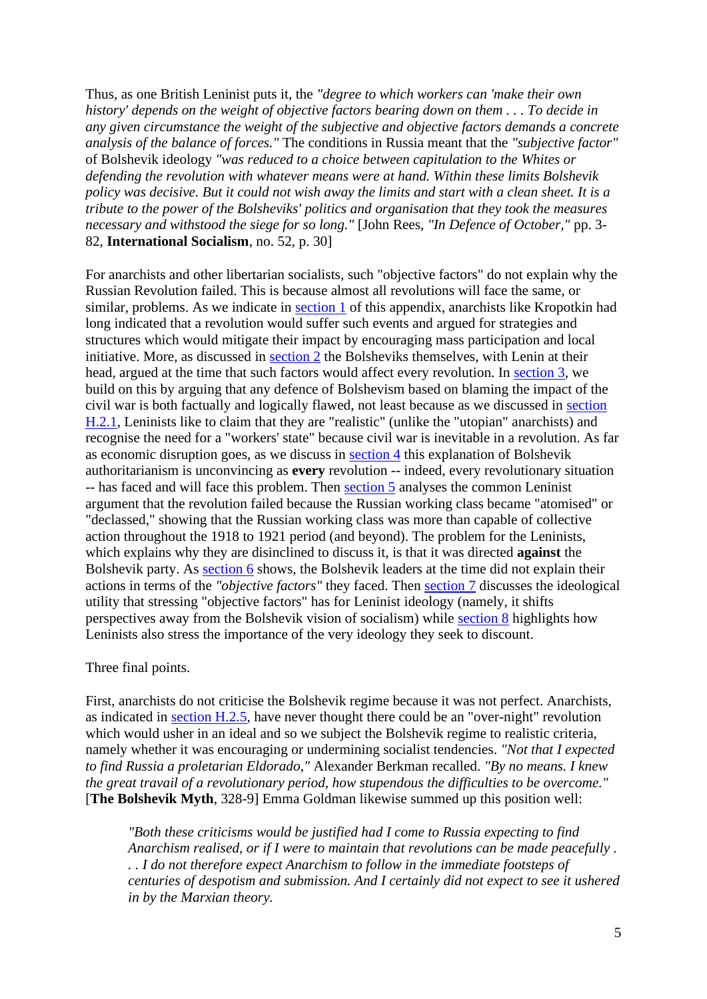Thus, as one British Leninist puts it, the *"degree to which workers can 'make their own history' depends on the weight of objective factors bearing down on them . . . To decide in any given circumstance the weight of the subjective and objective factors demands a concrete analysis of the balance of forces."* The conditions in Russia meant that the *"subjective factor"* of Bolshevik ideology *"was reduced to a choice between capitulation to the Whites or defending the revolution with whatever means were at hand. Within these limits Bolshevik policy was decisive. But it could not wish away the limits and start with a clean sheet. It is a tribute to the power of the Bolsheviks' politics and organisation that they took the measures necessary and withstood the siege for so long."* [John Rees, *"In Defence of October,"* pp. 3- 82, **International Socialism**, no. 52, p. 30]

For anarchists and other libertarian socialists, such "objective factors" do not explain why the Russian Revolution failed. This is because almost all revolutions will face the same, or similar, problems. As we indicate in [section 1](append43.html#app1) of this appendix, anarchists like Kropotkin had long indicated that a revolution would suffer such events and argued for strategies and structures which would mitigate their impact by encouraging mass participation and local initiative. More, as discussed in [section 2](append43.html#app2) the Bolsheviks themselves, with Lenin at their head, argued at the time that such factors would affect every revolution. In [section 3,](append43.html#app3) we build on this by arguing that any defence of Bolshevism based on blaming the impact of the civil war is both factually and logically flawed, not least because as we discussed in [section](sectionH.html#sech1)  [H.2.1,](sectionH.html#sech1) Leninists like to claim that they are "realistic" (unlike the "utopian" anarchists) and recognise the need for a "workers' state" because civil war is inevitable in a revolution. As far as economic disruption goes, as we discuss in [section 4](append43.html#app4) this explanation of Bolshevik authoritarianism is unconvincing as **every** revolution -- indeed, every revolutionary situation -- has faced and will face this problem. Then [section 5](append43.html#app5) analyses the common Leninist argument that the revolution failed because the Russian working class became "atomised" or "declassed," showing that the Russian working class was more than capable of collective action throughout the 1918 to 1921 period (and beyond). The problem for the Leninists, which explains why they are disinclined to discuss it, is that it was directed **against** the Bolshevik party. As [section 6](append43.html#app6) shows, the Bolshevik leaders at the time did not explain their actions in terms of the *"objective factors"* they faced. Then [section 7](append43.html#app7) discusses the ideological utility that stressing "objective factors" has for Leninist ideology (namely, it shifts perspectives away from the Bolshevik vision of socialism) while [section 8](append43.html#app8) highlights how Leninists also stress the importance of the very ideology they seek to discount.

#### Three final points.

First, anarchists do not criticise the Bolshevik regime because it was not perfect. Anarchists, as indicated in [section H.2.5,](sectionH.html#sech5) have never thought there could be an "over-night" revolution which would usher in an ideal and so we subject the Bolshevik regime to realistic criteria, namely whether it was encouraging or undermining socialist tendencies. *"Not that I expected to find Russia a proletarian Eldorado,"* Alexander Berkman recalled. *"By no means. I knew the great travail of a revolutionary period, how stupendous the difficulties to be overcome."* [**The Bolshevik Myth**, 328-9] Emma Goldman likewise summed up this position well:

*"Both these criticisms would be justified had I come to Russia expecting to find Anarchism realised, or if I were to maintain that revolutions can be made peacefully . . . I do not therefore expect Anarchism to follow in the immediate footsteps of centuries of despotism and submission. And I certainly did not expect to see it ushered in by the Marxian theory.*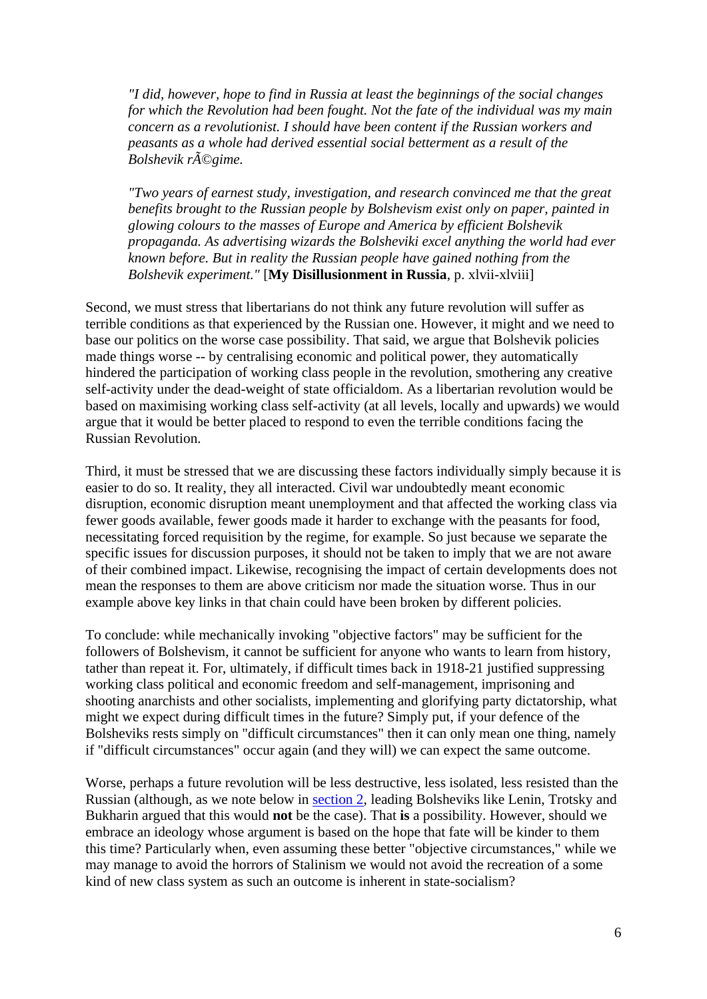*"I did, however, hope to find in Russia at least the beginnings of the social changes for which the Revolution had been fought. Not the fate of the individual was my main concern as a revolutionist. I should have been content if the Russian workers and peasants as a whole had derived essential social betterment as a result of the Bolshevik r* $\tilde{A}$ ©gime.

*"Two years of earnest study, investigation, and research convinced me that the great benefits brought to the Russian people by Bolshevism exist only on paper, painted in glowing colours to the masses of Europe and America by efficient Bolshevik propaganda. As advertising wizards the Bolsheviki excel anything the world had ever known before. But in reality the Russian people have gained nothing from the Bolshevik experiment."* [**My Disillusionment in Russia**, p. xlvii-xlviii]

Second, we must stress that libertarians do not think any future revolution will suffer as terrible conditions as that experienced by the Russian one. However, it might and we need to base our politics on the worse case possibility. That said, we argue that Bolshevik policies made things worse -- by centralising economic and political power, they automatically hindered the participation of working class people in the revolution, smothering any creative self-activity under the dead-weight of state officialdom. As a libertarian revolution would be based on maximising working class self-activity (at all levels, locally and upwards) we would argue that it would be better placed to respond to even the terrible conditions facing the Russian Revolution.

Third, it must be stressed that we are discussing these factors individually simply because it is easier to do so. It reality, they all interacted. Civil war undoubtedly meant economic disruption, economic disruption meant unemployment and that affected the working class via fewer goods available, fewer goods made it harder to exchange with the peasants for food, necessitating forced requisition by the regime, for example. So just because we separate the specific issues for discussion purposes, it should not be taken to imply that we are not aware of their combined impact. Likewise, recognising the impact of certain developments does not mean the responses to them are above criticism nor made the situation worse. Thus in our example above key links in that chain could have been broken by different policies.

To conclude: while mechanically invoking "objective factors" may be sufficient for the followers of Bolshevism, it cannot be sufficient for anyone who wants to learn from history, tather than repeat it. For, ultimately, if difficult times back in 1918-21 justified suppressing working class political and economic freedom and self-management, imprisoning and shooting anarchists and other socialists, implementing and glorifying party dictatorship, what might we expect during difficult times in the future? Simply put, if your defence of the Bolsheviks rests simply on "difficult circumstances" then it can only mean one thing, namely if "difficult circumstances" occur again (and they will) we can expect the same outcome.

Worse, perhaps a future revolution will be less destructive, less isolated, less resisted than the Russian (although, as we note below in **section 2**, leading Bolsheviks like Lenin, Trotsky and Bukharin argued that this would **not** be the case). That **is** a possibility. However, should we embrace an ideology whose argument is based on the hope that fate will be kinder to them this time? Particularly when, even assuming these better "objective circumstances," while we may manage to avoid the horrors of Stalinism we would not avoid the recreation of a some kind of new class system as such an outcome is inherent in state-socialism?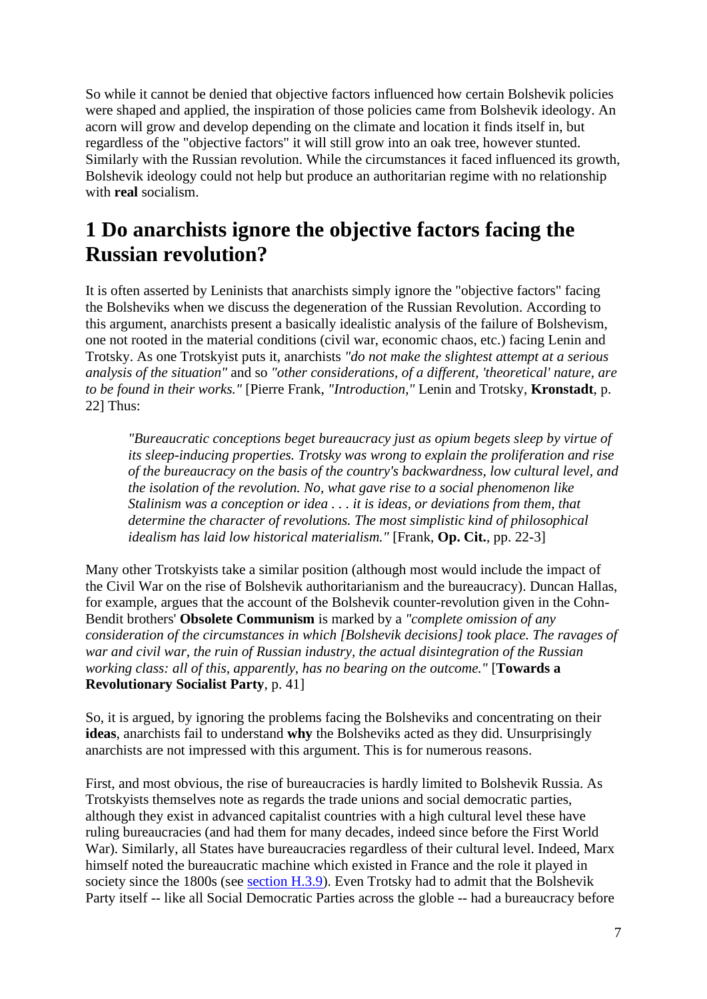So while it cannot be denied that objective factors influenced how certain Bolshevik policies were shaped and applied, the inspiration of those policies came from Bolshevik ideology. An acorn will grow and develop depending on the climate and location it finds itself in, but regardless of the "objective factors" it will still grow into an oak tree, however stunted. Similarly with the Russian revolution. While the circumstances it faced influenced its growth, Bolshevik ideology could not help but produce an authoritarian regime with no relationship with **real** socialism.

#### <span id="page-6-0"></span>**1 Do anarchists ignore the objective factors facing the Russian revolution?**

It is often asserted by Leninists that anarchists simply ignore the "objective factors" facing the Bolsheviks when we discuss the degeneration of the Russian Revolution. According to this argument, anarchists present a basically idealistic analysis of the failure of Bolshevism, one not rooted in the material conditions (civil war, economic chaos, etc.) facing Lenin and Trotsky. As one Trotskyist puts it, anarchists *"do not make the slightest attempt at a serious analysis of the situation"* and so *"other considerations, of a different, 'theoretical' nature, are to be found in their works."* [Pierre Frank, *"Introduction,"* Lenin and Trotsky, **Kronstadt**, p. 22] Thus:

*"Bureaucratic conceptions beget bureaucracy just as opium begets sleep by virtue of its sleep-inducing properties. Trotsky was wrong to explain the proliferation and rise of the bureaucracy on the basis of the country's backwardness, low cultural level, and the isolation of the revolution. No, what gave rise to a social phenomenon like Stalinism was a conception or idea . . . it is ideas, or deviations from them, that determine the character of revolutions. The most simplistic kind of philosophical idealism has laid low historical materialism."* [Frank, **Op. Cit.**, pp. 22-3]

Many other Trotskyists take a similar position (although most would include the impact of the Civil War on the rise of Bolshevik authoritarianism and the bureaucracy). Duncan Hallas, for example, argues that the account of the Bolshevik counter-revolution given in the Cohn-Bendit brothers' **Obsolete Communism** is marked by a *"complete omission of any consideration of the circumstances in which [Bolshevik decisions] took place. The ravages of war and civil war, the ruin of Russian industry, the actual disintegration of the Russian working class: all of this, apparently, has no bearing on the outcome."* [**Towards a Revolutionary Socialist Party**, p. 41]

So, it is argued, by ignoring the problems facing the Bolsheviks and concentrating on their **ideas**, anarchists fail to understand **why** the Bolsheviks acted as they did. Unsurprisingly anarchists are not impressed with this argument. This is for numerous reasons.

First, and most obvious, the rise of bureaucracies is hardly limited to Bolshevik Russia. As Trotskyists themselves note as regards the trade unions and social democratic parties, although they exist in advanced capitalist countries with a high cultural level these have ruling bureaucracies (and had them for many decades, indeed since before the First World War). Similarly, all States have bureaucracies regardless of their cultural level. Indeed, Marx himself noted the bureaucratic machine which existed in France and the role it played in society since the 1800s (see [section H.3.9\)](sectionH.html#sech39). Even Trotsky had to admit that the Bolshevik Party itself -- like all Social Democratic Parties across the globle -- had a bureaucracy before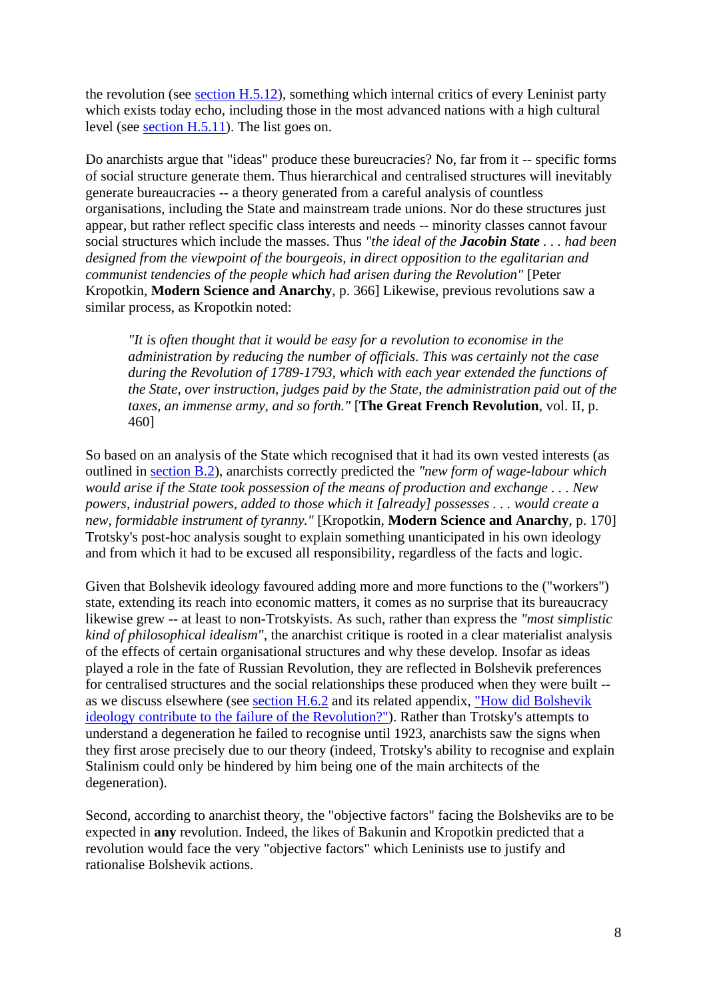the revolution (see [section H.5.12\)](sectionH.html#sech512), something which internal critics of every Leninist party which exists today echo, including those in the most advanced nations with a high cultural level (see [section H.5.11\)](sectionH.html#sech511). The list goes on.

Do anarchists argue that "ideas" produce these bureucracies? No, far from it -- specific forms of social structure generate them. Thus hierarchical and centralised structures will inevitably generate bureaucracies -- a theory generated from a careful analysis of countless organisations, including the State and mainstream trade unions. Nor do these structures just appear, but rather reflect specific class interests and needs -- minority classes cannot favour social structures which include the masses. Thus *"the ideal of the Jacobin State . . . had been designed from the viewpoint of the bourgeois, in direct opposition to the egalitarian and communist tendencies of the people which had arisen during the Revolution"* [Peter Kropotkin, **Modern Science and Anarchy**, p. 366] Likewise, previous revolutions saw a similar process, as Kropotkin noted:

*"It is often thought that it would be easy for a revolution to economise in the administration by reducing the number of officials. This was certainly not the case during the Revolution of 1789-1793, which with each year extended the functions of the State, over instruction, judges paid by the State, the administration paid out of the taxes, an immense army, and so forth."* [**The Great French Revolution**, vol. II, p. 460]

So based on an analysis of the State which recognised that it had its own vested interests (as outlined in [section B.2\)](sectionB.html#secb2), anarchists correctly predicted the *"new form of wage-labour which would arise if the State took possession of the means of production and exchange . . . New powers, industrial powers, added to those which it [already] possesses . . . would create a new, formidable instrument of tyranny."* [Kropotkin, **Modern Science and Anarchy**, p. 170] Trotsky's post-hoc analysis sought to explain something unanticipated in his own ideology and from which it had to be excused all responsibility, regardless of the facts and logic.

Given that Bolshevik ideology favoured adding more and more functions to the ("workers") state, extending its reach into economic matters, it comes as no surprise that its bureaucracy likewise grew -- at least to non-Trotskyists. As such, rather than express the *"most simplistic kind of philosophical idealism"*, the anarchist critique is rooted in a clear materialist analysis of the effects of certain organisational structures and why these develop. Insofar as ideas played a role in the fate of Russian Revolution, they are reflected in Bolshevik preferences for centralised structures and the social relationships these produced when they were built - as we discuss elsewhere (see [section H.6.2](sectionH.html#sech62) and its related appendix, ["How did Bolshevik](append44)  [ideology contribute to the failure of the Revolution?"\)](append44). Rather than Trotsky's attempts to understand a degeneration he failed to recognise until 1923, anarchists saw the signs when they first arose precisely due to our theory (indeed, Trotsky's ability to recognise and explain Stalinism could only be hindered by him being one of the main architects of the degeneration).

Second, according to anarchist theory, the "objective factors" facing the Bolsheviks are to be expected in **any** revolution. Indeed, the likes of Bakunin and Kropotkin predicted that a revolution would face the very "objective factors" which Leninists use to justify and rationalise Bolshevik actions.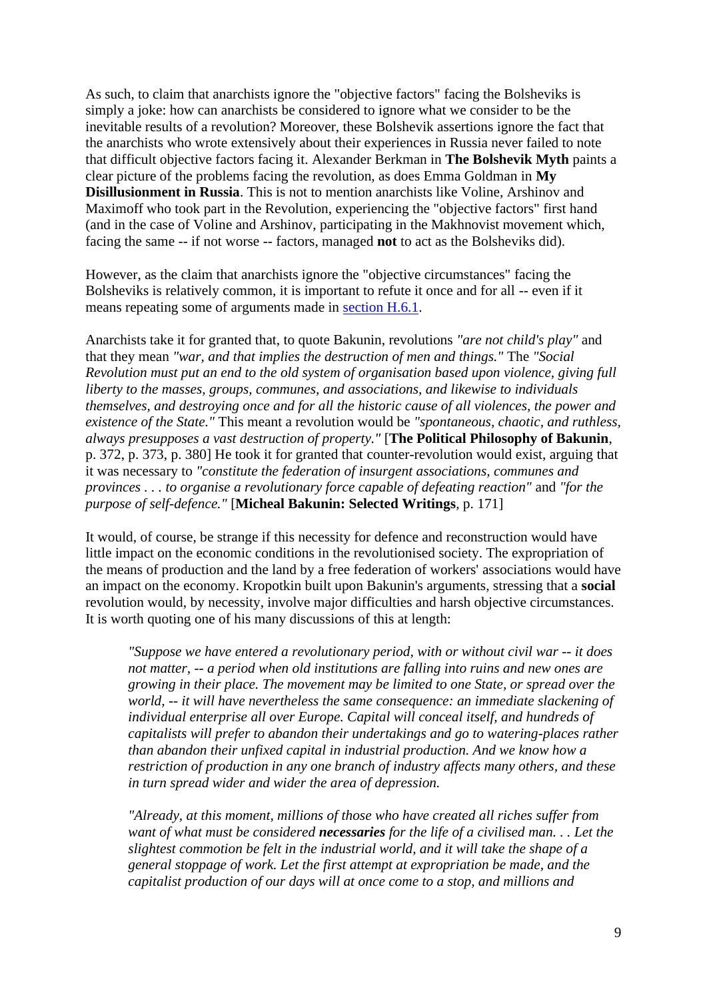As such, to claim that anarchists ignore the "objective factors" facing the Bolsheviks is simply a joke: how can anarchists be considered to ignore what we consider to be the inevitable results of a revolution? Moreover, these Bolshevik assertions ignore the fact that the anarchists who wrote extensively about their experiences in Russia never failed to note that difficult objective factors facing it. Alexander Berkman in **The Bolshevik Myth** paints a clear picture of the problems facing the revolution, as does Emma Goldman in **My Disillusionment in Russia**. This is not to mention anarchists like Voline, Arshinov and Maximoff who took part in the Revolution, experiencing the "objective factors" first hand (and in the case of Voline and Arshinov, participating in the Makhnovist movement which, facing the same -- if not worse -- factors, managed **not** to act as the Bolsheviks did).

However, as the claim that anarchists ignore the "objective circumstances" facing the Bolsheviks is relatively common, it is important to refute it once and for all -- even if it means repeating some of arguments made in [section H.6.1.](sectionH.html#sech61)

Anarchists take it for granted that, to quote Bakunin, revolutions *"are not child's play"* and that they mean *"war, and that implies the destruction of men and things."* The *"Social Revolution must put an end to the old system of organisation based upon violence, giving full liberty to the masses, groups, communes, and associations, and likewise to individuals themselves, and destroying once and for all the historic cause of all violences, the power and existence of the State."* This meant a revolution would be *"spontaneous, chaotic, and ruthless, always presupposes a vast destruction of property."* [**The Political Philosophy of Bakunin**, p. 372, p. 373, p. 380] He took it for granted that counter-revolution would exist, arguing that it was necessary to *"constitute the federation of insurgent associations, communes and provinces . . . to organise a revolutionary force capable of defeating reaction"* and *"for the purpose of self-defence."* [**Micheal Bakunin: Selected Writings**, p. 171]

It would, of course, be strange if this necessity for defence and reconstruction would have little impact on the economic conditions in the revolutionised society. The expropriation of the means of production and the land by a free federation of workers' associations would have an impact on the economy. Kropotkin built upon Bakunin's arguments, stressing that a **social** revolution would, by necessity, involve major difficulties and harsh objective circumstances. It is worth quoting one of his many discussions of this at length:

*"Suppose we have entered a revolutionary period, with or without civil war -- it does not matter, -- a period when old institutions are falling into ruins and new ones are growing in their place. The movement may be limited to one State, or spread over the world, -- it will have nevertheless the same consequence: an immediate slackening of individual enterprise all over Europe. Capital will conceal itself, and hundreds of capitalists will prefer to abandon their undertakings and go to watering-places rather than abandon their unfixed capital in industrial production. And we know how a restriction of production in any one branch of industry affects many others, and these in turn spread wider and wider the area of depression.*

*"Already, at this moment, millions of those who have created all riches suffer from want of what must be considered necessaries for the life of a civilised man. . . Let the slightest commotion be felt in the industrial world, and it will take the shape of a general stoppage of work. Let the first attempt at expropriation be made, and the capitalist production of our days will at once come to a stop, and millions and*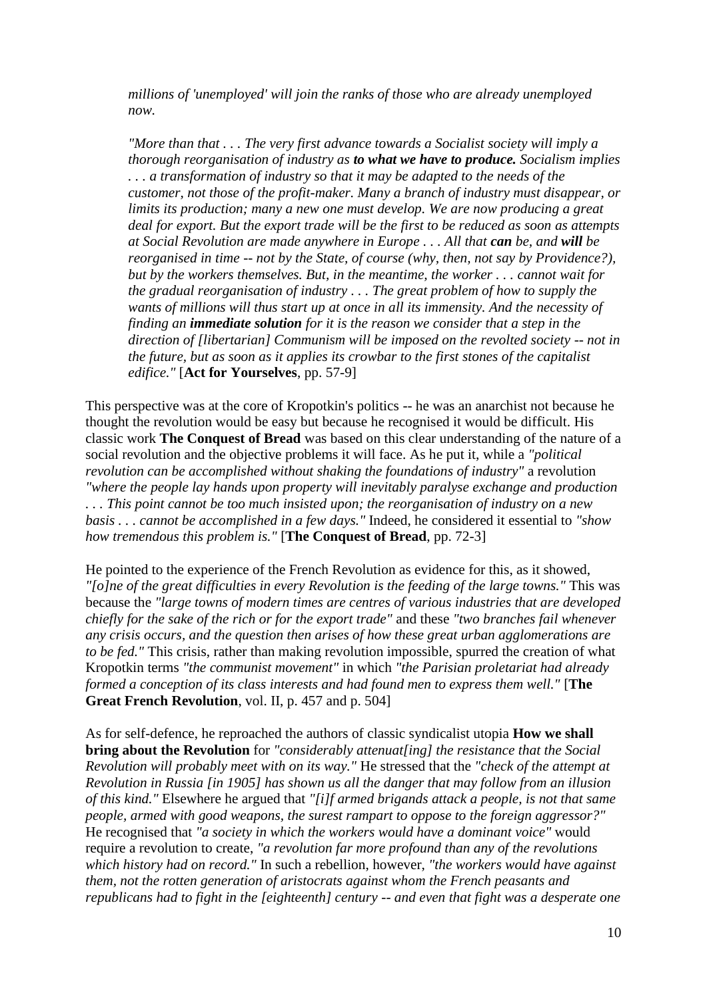*millions of 'unemployed' will join the ranks of those who are already unemployed now.*

*"More than that . . . The very first advance towards a Socialist society will imply a thorough reorganisation of industry as to what we have to produce. Socialism implies . . . a transformation of industry so that it may be adapted to the needs of the customer, not those of the profit-maker. Many a branch of industry must disappear, or limits its production; many a new one must develop. We are now producing a great deal for export. But the export trade will be the first to be reduced as soon as attempts at Social Revolution are made anywhere in Europe . . . All that can be, and will be reorganised in time -- not by the State, of course (why, then, not say by Providence?), but by the workers themselves. But, in the meantime, the worker . . . cannot wait for the gradual reorganisation of industry . . . The great problem of how to supply the wants of millions will thus start up at once in all its immensity. And the necessity of finding an immediate solution for it is the reason we consider that a step in the direction of [libertarian] Communism will be imposed on the revolted society -- not in the future, but as soon as it applies its crowbar to the first stones of the capitalist edifice."* [**Act for Yourselves**, pp. 57-9]

This perspective was at the core of Kropotkin's politics -- he was an anarchist not because he thought the revolution would be easy but because he recognised it would be difficult. His classic work **The Conquest of Bread** was based on this clear understanding of the nature of a social revolution and the objective problems it will face. As he put it, while a *"political revolution can be accomplished without shaking the foundations of industry"* a revolution *"where the people lay hands upon property will inevitably paralyse exchange and production . . . This point cannot be too much insisted upon; the reorganisation of industry on a new basis . . . cannot be accomplished in a few days."* Indeed, he considered it essential to *"show how tremendous this problem is."* [**The Conquest of Bread**, pp. 72-3]

He pointed to the experience of the French Revolution as evidence for this, as it showed, *"[o]ne of the great difficulties in every Revolution is the feeding of the large towns."* This was because the *"large towns of modern times are centres of various industries that are developed chiefly for the sake of the rich or for the export trade"* and these *"two branches fail whenever any crisis occurs, and the question then arises of how these great urban agglomerations are to be fed."* This crisis, rather than making revolution impossible, spurred the creation of what Kropotkin terms *"the communist movement"* in which *"the Parisian proletariat had already formed a conception of its class interests and had found men to express them well."* [**The Great French Revolution**, vol. II, p. 457 and p. 504]

As for self-defence, he reproached the authors of classic syndicalist utopia **How we shall bring about the Revolution** for *"considerably attenuat[ing] the resistance that the Social Revolution will probably meet with on its way."* He stressed that the *"check of the attempt at Revolution in Russia [in 1905] has shown us all the danger that may follow from an illusion of this kind."* Elsewhere he argued that *"[i]f armed brigands attack a people, is not that same people, armed with good weapons, the surest rampart to oppose to the foreign aggressor?"* He recognised that *"a society in which the workers would have a dominant voice"* would require a revolution to create, *"a revolution far more profound than any of the revolutions which history had on record."* In such a rebellion, however, *"the workers would have against them, not the rotten generation of aristocrats against whom the French peasants and republicans had to fight in the [eighteenth] century -- and even that fight was a desperate one*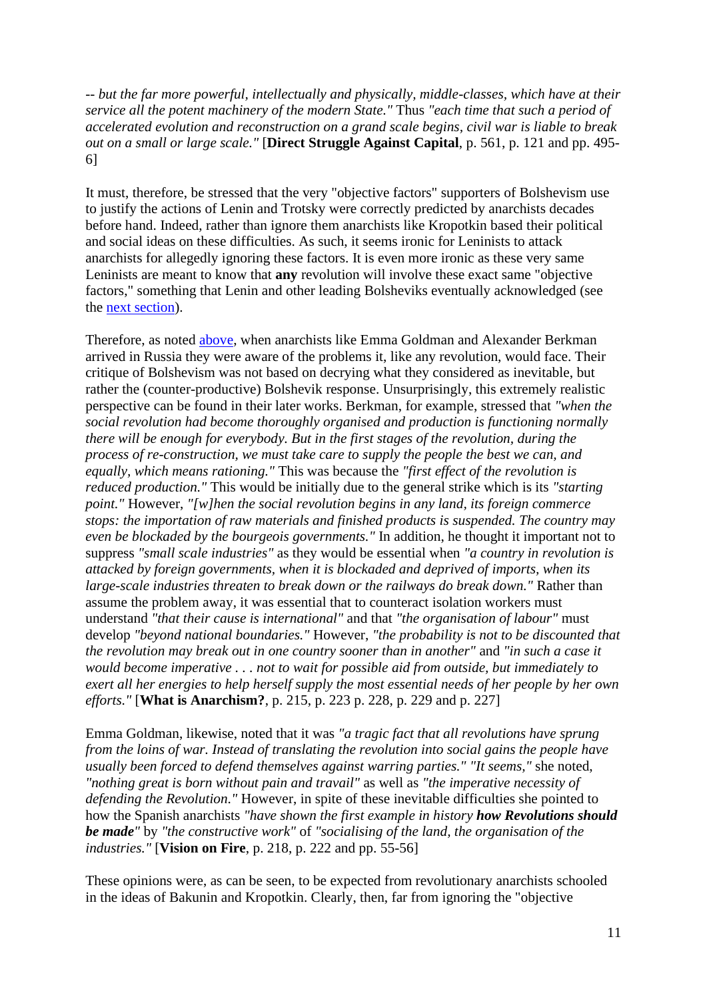*-- but the far more powerful, intellectually and physically, middle-classes, which have at their service all the potent machinery of the modern State."* Thus *"each time that such a period of accelerated evolution and reconstruction on a grand scale begins, civil war is liable to break out on a small or large scale."* [**Direct Struggle Against Capital**, p. 561, p. 121 and pp. 495- 6]

It must, therefore, be stressed that the very "objective factors" supporters of Bolshevism use to justify the actions of Lenin and Trotsky were correctly predicted by anarchists decades before hand. Indeed, rather than ignore them anarchists like Kropotkin based their political and social ideas on these difficulties. As such, it seems ironic for Leninists to attack anarchists for allegedly ignoring these factors. It is even more ironic as these very same Leninists are meant to know that **any** revolution will involve these exact same "objective factors," something that Lenin and other leading Bolsheviks eventually acknowledged (see the [next section\)](append43.html#app2).

Therefore, as noted **above**, when anarchists like Emma Goldman and Alexander Berkman arrived in Russia they were aware of the problems it, like any revolution, would face. Their critique of Bolshevism was not based on decrying what they considered as inevitable, but rather the (counter-productive) Bolshevik response. Unsurprisingly, this extremely realistic perspective can be found in their later works. Berkman, for example, stressed that *"when the social revolution had become thoroughly organised and production is functioning normally there will be enough for everybody. But in the first stages of the revolution, during the process of re-construction, we must take care to supply the people the best we can, and equally, which means rationing."* This was because the *"first effect of the revolution is reduced production."* This would be initially due to the general strike which is its *"starting point."* However, *"[w]hen the social revolution begins in any land, its foreign commerce stops: the importation of raw materials and finished products is suspended. The country may even be blockaded by the bourgeois governments."* In addition, he thought it important not to suppress *"small scale industries"* as they would be essential when *"a country in revolution is attacked by foreign governments, when it is blockaded and deprived of imports, when its large-scale industries threaten to break down or the railways do break down."* Rather than assume the problem away, it was essential that to counteract isolation workers must understand *"that their cause is international"* and that *"the organisation of labour"* must develop *"beyond national boundaries."* However, *"the probability is not to be discounted that the revolution may break out in one country sooner than in another"* and *"in such a case it would become imperative . . . not to wait for possible aid from outside, but immediately to exert all her energies to help herself supply the most essential needs of her people by her own efforts."* [**What is Anarchism?**, p. 215, p. 223 p. 228, p. 229 and p. 227]

Emma Goldman, likewise, noted that it was *"a tragic fact that all revolutions have sprung from the loins of war. Instead of translating the revolution into social gains the people have usually been forced to defend themselves against warring parties." "It seems,"* she noted, *"nothing great is born without pain and travail"* as well as *"the imperative necessity of defending the Revolution."* However, in spite of these inevitable difficulties she pointed to how the Spanish anarchists *"have shown the first example in history how Revolutions should be made"* by *"the constructive work"* of *"socialising of the land, the organisation of the industries."* [**Vision on Fire**, p. 218, p. 222 and pp. 55-56]

These opinions were, as can be seen, to be expected from revolutionary anarchists schooled in the ideas of Bakunin and Kropotkin. Clearly, then, far from ignoring the "objective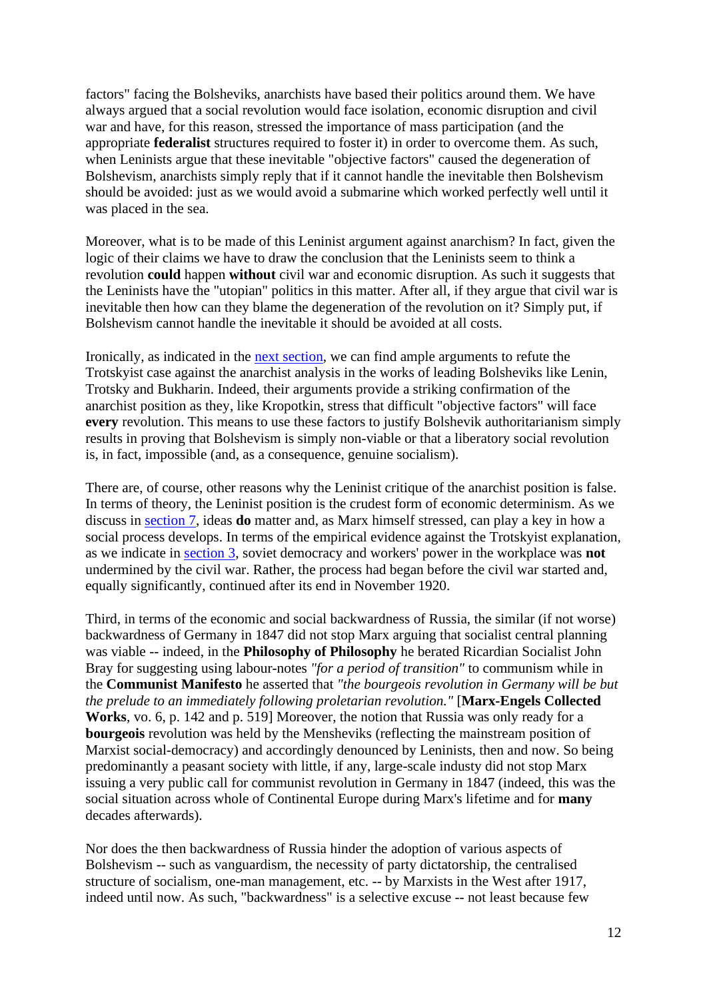factors" facing the Bolsheviks, anarchists have based their politics around them. We have always argued that a social revolution would face isolation, economic disruption and civil war and have, for this reason, stressed the importance of mass participation (and the appropriate **federalist** structures required to foster it) in order to overcome them. As such, when Leninists argue that these inevitable "objective factors" caused the degeneration of Bolshevism, anarchists simply reply that if it cannot handle the inevitable then Bolshevism should be avoided: just as we would avoid a submarine which worked perfectly well until it was placed in the sea.

Moreover, what is to be made of this Leninist argument against anarchism? In fact, given the logic of their claims we have to draw the conclusion that the Leninists seem to think a revolution **could** happen **without** civil war and economic disruption. As such it suggests that the Leninists have the "utopian" politics in this matter. After all, if they argue that civil war is inevitable then how can they blame the degeneration of the revolution on it? Simply put, if Bolshevism cannot handle the inevitable it should be avoided at all costs.

Ironically, as indicated in the [next section,](append43.html#app2) we can find ample arguments to refute the Trotskyist case against the anarchist analysis in the works of leading Bolsheviks like Lenin, Trotsky and Bukharin. Indeed, their arguments provide a striking confirmation of the anarchist position as they, like Kropotkin, stress that difficult "objective factors" will face **every** revolution. This means to use these factors to justify Bolshevik authoritarianism simply results in proving that Bolshevism is simply non-viable or that a liberatory social revolution is, in fact, impossible (and, as a consequence, genuine socialism).

There are, of course, other reasons why the Leninist critique of the anarchist position is false. In terms of theory, the Leninist position is the crudest form of economic determinism. As we discuss in [section 7,](append43.html#app7) ideas **do** matter and, as Marx himself stressed, can play a key in how a social process develops. In terms of the empirical evidence against the Trotskyist explanation, as we indicate in [section 3,](append43.html#app3) soviet democracy and workers' power in the workplace was **not** undermined by the civil war. Rather, the process had began before the civil war started and, equally significantly, continued after its end in November 1920.

Third, in terms of the economic and social backwardness of Russia, the similar (if not worse) backwardness of Germany in 1847 did not stop Marx arguing that socialist central planning was viable -- indeed, in the **Philosophy of Philosophy** he berated Ricardian Socialist John Bray for suggesting using labour-notes *"for a period of transition"* to communism while in the **Communist Manifesto** he asserted that *"the bourgeois revolution in Germany will be but the prelude to an immediately following proletarian revolution."* [**Marx-Engels Collected Works**, vo. 6, p. 142 and p. 519] Moreover, the notion that Russia was only ready for a **bourgeois** revolution was held by the Mensheviks (reflecting the mainstream position of Marxist social-democracy) and accordingly denounced by Leninists, then and now. So being predominantly a peasant society with little, if any, large-scale industy did not stop Marx issuing a very public call for communist revolution in Germany in 1847 (indeed, this was the social situation across whole of Continental Europe during Marx's lifetime and for **many** decades afterwards).

Nor does the then backwardness of Russia hinder the adoption of various aspects of Bolshevism -- such as vanguardism, the necessity of party dictatorship, the centralised structure of socialism, one-man management, etc. -- by Marxists in the West after 1917, indeed until now. As such, "backwardness" is a selective excuse -- not least because few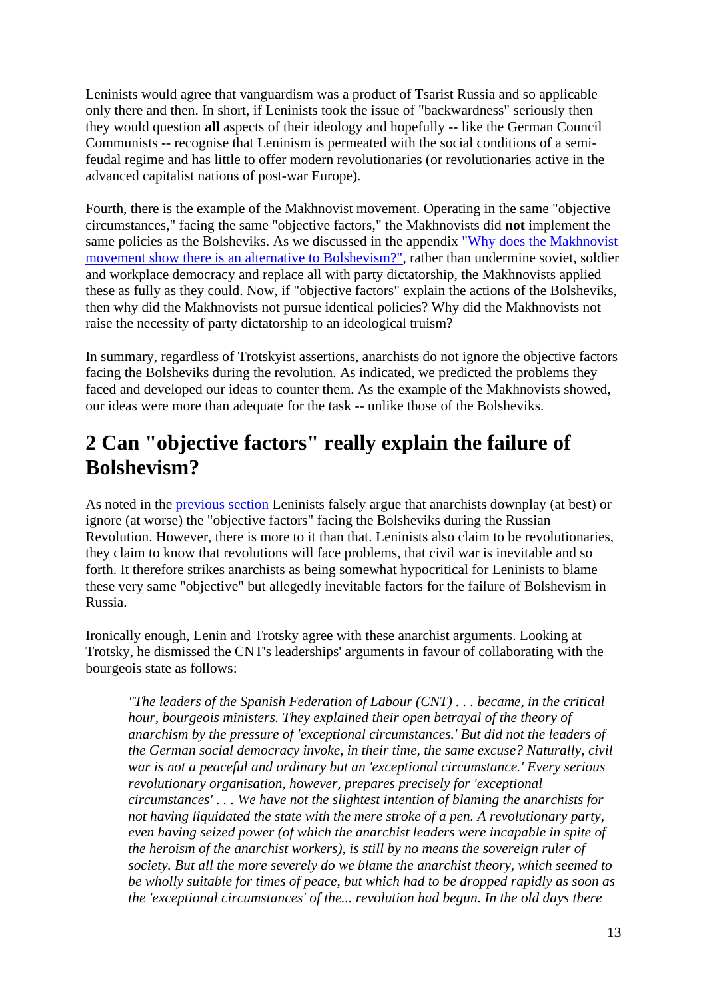Leninists would agree that vanguardism was a product of Tsarist Russia and so applicable only there and then. In short, if Leninists took the issue of "backwardness" seriously then they would question **all** aspects of their ideology and hopefully -- like the German Council Communists -- recognise that Leninism is permeated with the social conditions of a semifeudal regime and has little to offer modern revolutionaries (or revolutionaries active in the advanced capitalist nations of post-war Europe).

Fourth, there is the example of the Makhnovist movement. Operating in the same "objective circumstances," facing the same "objective factors," the Makhnovists did **not** implement the same policies as the Bolsheviks. As we discussed in the appendix ["Why does the Makhnovist](append46.html)  [movement show there is an alternative to Bolshevism?",](append46.html) rather than undermine soviet, soldier and workplace democracy and replace all with party dictatorship, the Makhnovists applied these as fully as they could. Now, if "objective factors" explain the actions of the Bolsheviks, then why did the Makhnovists not pursue identical policies? Why did the Makhnovists not raise the necessity of party dictatorship to an ideological truism?

In summary, regardless of Trotskyist assertions, anarchists do not ignore the objective factors facing the Bolsheviks during the revolution. As indicated, we predicted the problems they faced and developed our ideas to counter them. As the example of the Makhnovists showed, our ideas were more than adequate for the task -- unlike those of the Bolsheviks.

#### <span id="page-12-0"></span>**2 Can "objective factors" really explain the failure of Bolshevism?**

As noted in the [previous section](append43.html#app1) Leninists falsely argue that anarchists downplay (at best) or ignore (at worse) the "objective factors" facing the Bolsheviks during the Russian Revolution. However, there is more to it than that. Leninists also claim to be revolutionaries, they claim to know that revolutions will face problems, that civil war is inevitable and so forth. It therefore strikes anarchists as being somewhat hypocritical for Leninists to blame these very same "objective" but allegedly inevitable factors for the failure of Bolshevism in Russia.

Ironically enough, Lenin and Trotsky agree with these anarchist arguments. Looking at Trotsky, he dismissed the CNT's leaderships' arguments in favour of collaborating with the bourgeois state as follows:

*"The leaders of the Spanish Federation of Labour (CNT) . . . became, in the critical hour, bourgeois ministers. They explained their open betrayal of the theory of anarchism by the pressure of 'exceptional circumstances.' But did not the leaders of the German social democracy invoke, in their time, the same excuse? Naturally, civil war is not a peaceful and ordinary but an 'exceptional circumstance.' Every serious revolutionary organisation, however, prepares precisely for 'exceptional circumstances' . . . We have not the slightest intention of blaming the anarchists for not having liquidated the state with the mere stroke of a pen. A revolutionary party, even having seized power (of which the anarchist leaders were incapable in spite of the heroism of the anarchist workers), is still by no means the sovereign ruler of society. But all the more severely do we blame the anarchist theory, which seemed to be wholly suitable for times of peace, but which had to be dropped rapidly as soon as the 'exceptional circumstances' of the... revolution had begun. In the old days there*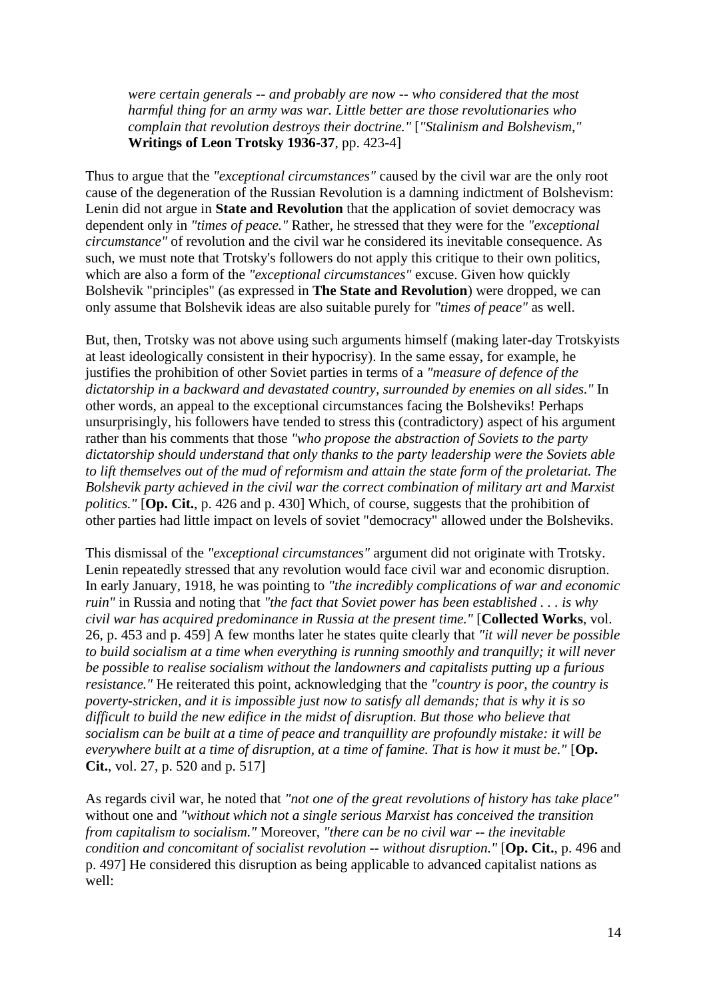*were certain generals -- and probably are now -- who considered that the most harmful thing for an army was war. Little better are those revolutionaries who complain that revolution destroys their doctrine."* [*"Stalinism and Bolshevism,"* **Writings of Leon Trotsky 1936-37**, pp. 423-4]

Thus to argue that the *"exceptional circumstances"* caused by the civil war are the only root cause of the degeneration of the Russian Revolution is a damning indictment of Bolshevism: Lenin did not argue in **State and Revolution** that the application of soviet democracy was dependent only in *"times of peace."* Rather, he stressed that they were for the *"exceptional circumstance"* of revolution and the civil war he considered its inevitable consequence. As such, we must note that Trotsky's followers do not apply this critique to their own politics, which are also a form of the *"exceptional circumstances"* excuse. Given how quickly Bolshevik "principles" (as expressed in **The State and Revolution**) were dropped, we can only assume that Bolshevik ideas are also suitable purely for *"times of peace"* as well.

But, then, Trotsky was not above using such arguments himself (making later-day Trotskyists at least ideologically consistent in their hypocrisy). In the same essay, for example, he justifies the prohibition of other Soviet parties in terms of a *"measure of defence of the dictatorship in a backward and devastated country, surrounded by enemies on all sides."* In other words, an appeal to the exceptional circumstances facing the Bolsheviks! Perhaps unsurprisingly, his followers have tended to stress this (contradictory) aspect of his argument rather than his comments that those *"who propose the abstraction of Soviets to the party dictatorship should understand that only thanks to the party leadership were the Soviets able to lift themselves out of the mud of reformism and attain the state form of the proletariat. The Bolshevik party achieved in the civil war the correct combination of military art and Marxist politics."* [**Op. Cit.**, p. 426 and p. 430] Which, of course, suggests that the prohibition of other parties had little impact on levels of soviet "democracy" allowed under the Bolsheviks.

This dismissal of the *"exceptional circumstances"* argument did not originate with Trotsky. Lenin repeatedly stressed that any revolution would face civil war and economic disruption. In early January, 1918, he was pointing to *"the incredibly complications of war and economic ruin"* in Russia and noting that *"the fact that Soviet power has been established . . . is why civil war has acquired predominance in Russia at the present time."* [**Collected Works**, vol. 26, p. 453 and p. 459] A few months later he states quite clearly that *"it will never be possible to build socialism at a time when everything is running smoothly and tranquilly; it will never be possible to realise socialism without the landowners and capitalists putting up a furious resistance."* He reiterated this point, acknowledging that the *"country is poor, the country is poverty-stricken, and it is impossible just now to satisfy all demands; that is why it is so difficult to build the new edifice in the midst of disruption. But those who believe that socialism can be built at a time of peace and tranquillity are profoundly mistake: it will be everywhere built at a time of disruption, at a time of famine. That is how it must be."* [**Op. Cit.**, vol. 27, p. 520 and p. 517]

As regards civil war, he noted that *"not one of the great revolutions of history has take place"* without one and *"without which not a single serious Marxist has conceived the transition from capitalism to socialism."* Moreover, *"there can be no civil war -- the inevitable condition and concomitant of socialist revolution -- without disruption."* [**Op. Cit.**, p. 496 and p. 497] He considered this disruption as being applicable to advanced capitalist nations as well: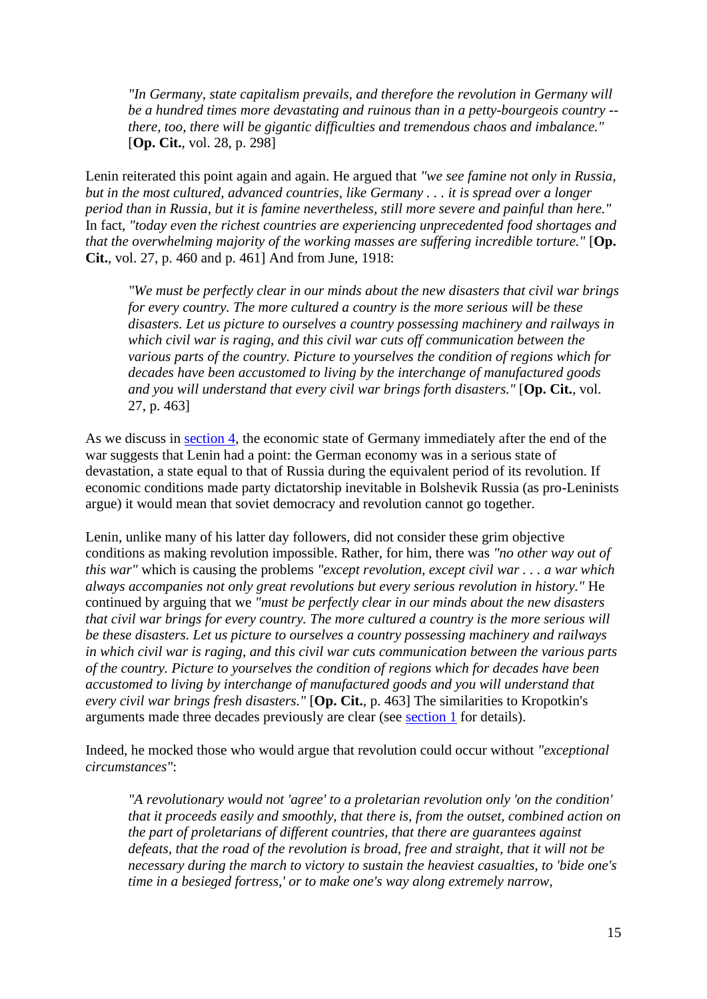*"In Germany, state capitalism prevails, and therefore the revolution in Germany will be a hundred times more devastating and ruinous than in a petty-bourgeois country - there, too, there will be gigantic difficulties and tremendous chaos and imbalance."* [**Op. Cit.**, vol. 28, p. 298]

Lenin reiterated this point again and again. He argued that *"we see famine not only in Russia, but in the most cultured, advanced countries, like Germany . . . it is spread over a longer period than in Russia, but it is famine nevertheless, still more severe and painful than here."* In fact, *"today even the richest countries are experiencing unprecedented food shortages and that the overwhelming majority of the working masses are suffering incredible torture."* [**Op. Cit.**, vol. 27, p. 460 and p. 461] And from June, 1918:

*"We must be perfectly clear in our minds about the new disasters that civil war brings for every country. The more cultured a country is the more serious will be these disasters. Let us picture to ourselves a country possessing machinery and railways in which civil war is raging, and this civil war cuts off communication between the various parts of the country. Picture to yourselves the condition of regions which for decades have been accustomed to living by the interchange of manufactured goods and you will understand that every civil war brings forth disasters."* [**Op. Cit.**, vol. 27, p. 463]

As we discuss in [section 4,](append43.html#app4) the economic state of Germany immediately after the end of the war suggests that Lenin had a point: the German economy was in a serious state of devastation, a state equal to that of Russia during the equivalent period of its revolution. If economic conditions made party dictatorship inevitable in Bolshevik Russia (as pro-Leninists argue) it would mean that soviet democracy and revolution cannot go together.

Lenin, unlike many of his latter day followers, did not consider these grim objective conditions as making revolution impossible. Rather, for him, there was *"no other way out of this war"* which is causing the problems *"except revolution, except civil war . . . a war which always accompanies not only great revolutions but every serious revolution in history."* He continued by arguing that we *"must be perfectly clear in our minds about the new disasters that civil war brings for every country. The more cultured a country is the more serious will be these disasters. Let us picture to ourselves a country possessing machinery and railways in which civil war is raging, and this civil war cuts communication between the various parts of the country. Picture to yourselves the condition of regions which for decades have been accustomed to living by interchange of manufactured goods and you will understand that every civil war brings fresh disasters."* [**Op. Cit.**, p. 463] The similarities to Kropotkin's arguments made three decades previously are clear (see [section 1](append43.html#app1) for details).

Indeed, he mocked those who would argue that revolution could occur without *"exceptional circumstances"*:

*"A revolutionary would not 'agree' to a proletarian revolution only 'on the condition' that it proceeds easily and smoothly, that there is, from the outset, combined action on the part of proletarians of different countries, that there are guarantees against defeats, that the road of the revolution is broad, free and straight, that it will not be necessary during the march to victory to sustain the heaviest casualties, to 'bide one's time in a besieged fortress,' or to make one's way along extremely narrow,*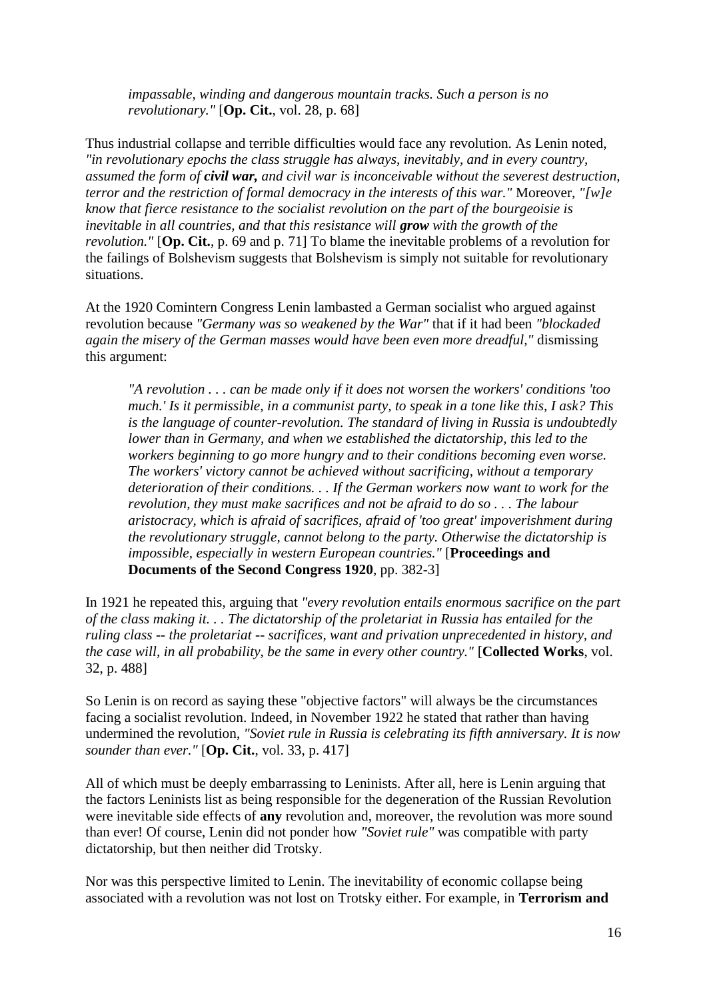*impassable, winding and dangerous mountain tracks. Such a person is no revolutionary."* [**Op. Cit.**, vol. 28, p. 68]

Thus industrial collapse and terrible difficulties would face any revolution. As Lenin noted, *"in revolutionary epochs the class struggle has always, inevitably, and in every country, assumed the form of civil war, and civil war is inconceivable without the severest destruction, terror and the restriction of formal democracy in the interests of this war."* Moreover, *"[w]e know that fierce resistance to the socialist revolution on the part of the bourgeoisie is inevitable in all countries, and that this resistance will grow with the growth of the revolution."* [**Op. Cit.**, p. 69 and p. 71] To blame the inevitable problems of a revolution for the failings of Bolshevism suggests that Bolshevism is simply not suitable for revolutionary situations.

At the 1920 Comintern Congress Lenin lambasted a German socialist who argued against revolution because *"Germany was so weakened by the War"* that if it had been *"blockaded again the misery of the German masses would have been even more dreadful,"* dismissing this argument:

*"A revolution . . . can be made only if it does not worsen the workers' conditions 'too much.' Is it permissible, in a communist party, to speak in a tone like this, I ask? This is the language of counter-revolution. The standard of living in Russia is undoubtedly lower than in Germany, and when we established the dictatorship, this led to the workers beginning to go more hungry and to their conditions becoming even worse. The workers' victory cannot be achieved without sacrificing, without a temporary deterioration of their conditions. . . If the German workers now want to work for the revolution, they must make sacrifices and not be afraid to do so . . . The labour aristocracy, which is afraid of sacrifices, afraid of 'too great' impoverishment during the revolutionary struggle, cannot belong to the party. Otherwise the dictatorship is impossible, especially in western European countries."* [**Proceedings and Documents of the Second Congress 1920**, pp. 382-3]

In 1921 he repeated this, arguing that *"every revolution entails enormous sacrifice on the part of the class making it. . . The dictatorship of the proletariat in Russia has entailed for the ruling class -- the proletariat -- sacrifices, want and privation unprecedented in history, and the case will, in all probability, be the same in every other country."* [**Collected Works**, vol. 32, p. 488]

So Lenin is on record as saying these "objective factors" will always be the circumstances facing a socialist revolution. Indeed, in November 1922 he stated that rather than having undermined the revolution, *"Soviet rule in Russia is celebrating its fifth anniversary. It is now sounder than ever."* [**Op. Cit.**, vol. 33, p. 417]

All of which must be deeply embarrassing to Leninists. After all, here is Lenin arguing that the factors Leninists list as being responsible for the degeneration of the Russian Revolution were inevitable side effects of **any** revolution and, moreover, the revolution was more sound than ever! Of course, Lenin did not ponder how *"Soviet rule"* was compatible with party dictatorship, but then neither did Trotsky.

Nor was this perspective limited to Lenin. The inevitability of economic collapse being associated with a revolution was not lost on Trotsky either. For example, in **Terrorism and**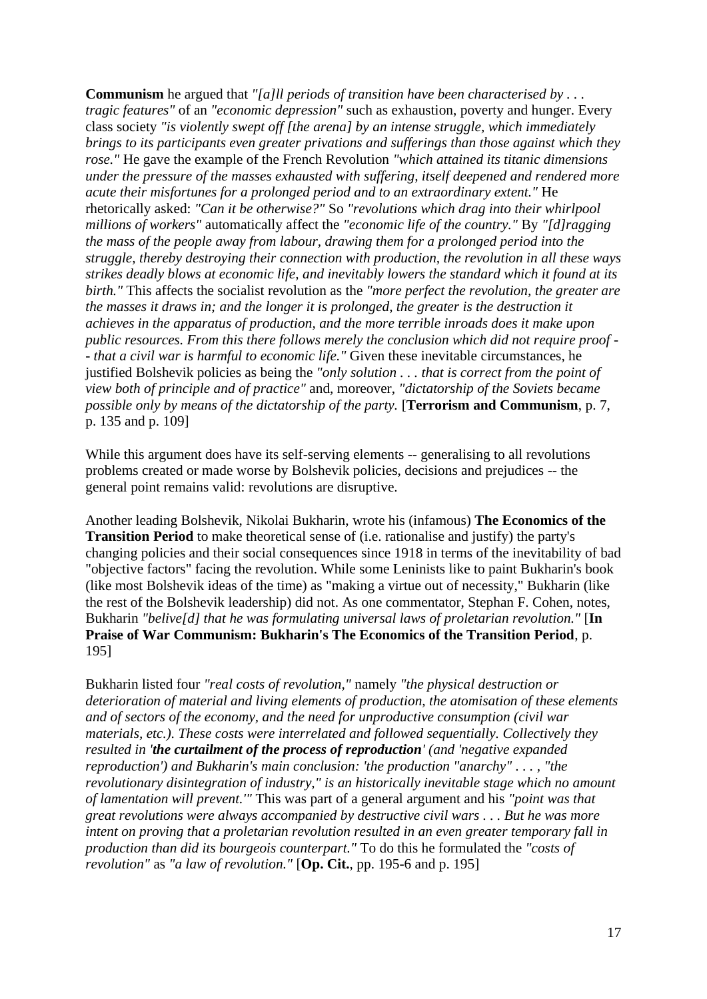**Communism** he argued that *"[a]ll periods of transition have been characterised by . . . tragic features"* of an *"economic depression"* such as exhaustion, poverty and hunger. Every class society *"is violently swept off [the arena] by an intense struggle, which immediately brings to its participants even greater privations and sufferings than those against which they rose."* He gave the example of the French Revolution *"which attained its titanic dimensions under the pressure of the masses exhausted with suffering, itself deepened and rendered more acute their misfortunes for a prolonged period and to an extraordinary extent."* He rhetorically asked: *"Can it be otherwise?"* So *"revolutions which drag into their whirlpool millions of workers"* automatically affect the *"economic life of the country."* By *"[d]ragging the mass of the people away from labour, drawing them for a prolonged period into the struggle, thereby destroying their connection with production, the revolution in all these ways strikes deadly blows at economic life, and inevitably lowers the standard which it found at its birth."* This affects the socialist revolution as the *"more perfect the revolution, the greater are the masses it draws in; and the longer it is prolonged, the greater is the destruction it achieves in the apparatus of production, and the more terrible inroads does it make upon public resources. From this there follows merely the conclusion which did not require proof - - that a civil war is harmful to economic life."* Given these inevitable circumstances, he justified Bolshevik policies as being the *"only solution . . . that is correct from the point of view both of principle and of practice"* and, moreover, *"dictatorship of the Soviets became possible only by means of the dictatorship of the party.* [**Terrorism and Communism**, p. 7, p. 135 and p. 109]

While this argument does have its self-serving elements -- generalising to all revolutions problems created or made worse by Bolshevik policies, decisions and prejudices -- the general point remains valid: revolutions are disruptive.

Another leading Bolshevik, Nikolai Bukharin, wrote his (infamous) **The Economics of the Transition Period** to make theoretical sense of (i.e. rationalise and justify) the party's changing policies and their social consequences since 1918 in terms of the inevitability of bad "objective factors" facing the revolution. While some Leninists like to paint Bukharin's book (like most Bolshevik ideas of the time) as "making a virtue out of necessity," Bukharin (like the rest of the Bolshevik leadership) did not. As one commentator, Stephan F. Cohen, notes, Bukharin *"belive[d] that he was formulating universal laws of proletarian revolution."* [**In Praise of War Communism: Bukharin's The Economics of the Transition Period**, p. 195]

Bukharin listed four *"real costs of revolution,"* namely *"the physical destruction or deterioration of material and living elements of production, the atomisation of these elements and of sectors of the economy, and the need for unproductive consumption (civil war materials, etc.). These costs were interrelated and followed sequentially. Collectively they resulted in 'the curtailment of the process of reproduction' (and 'negative expanded reproduction') and Bukharin's main conclusion: 'the production "anarchy" . . . , "the revolutionary disintegration of industry," is an historically inevitable stage which no amount of lamentation will prevent.'"* This was part of a general argument and his *"point was that great revolutions were always accompanied by destructive civil wars . . . But he was more intent on proving that a proletarian revolution resulted in an even greater temporary fall in production than did its bourgeois counterpart."* To do this he formulated the *"costs of revolution"* as *"a law of revolution."* [**Op. Cit.**, pp. 195-6 and p. 195]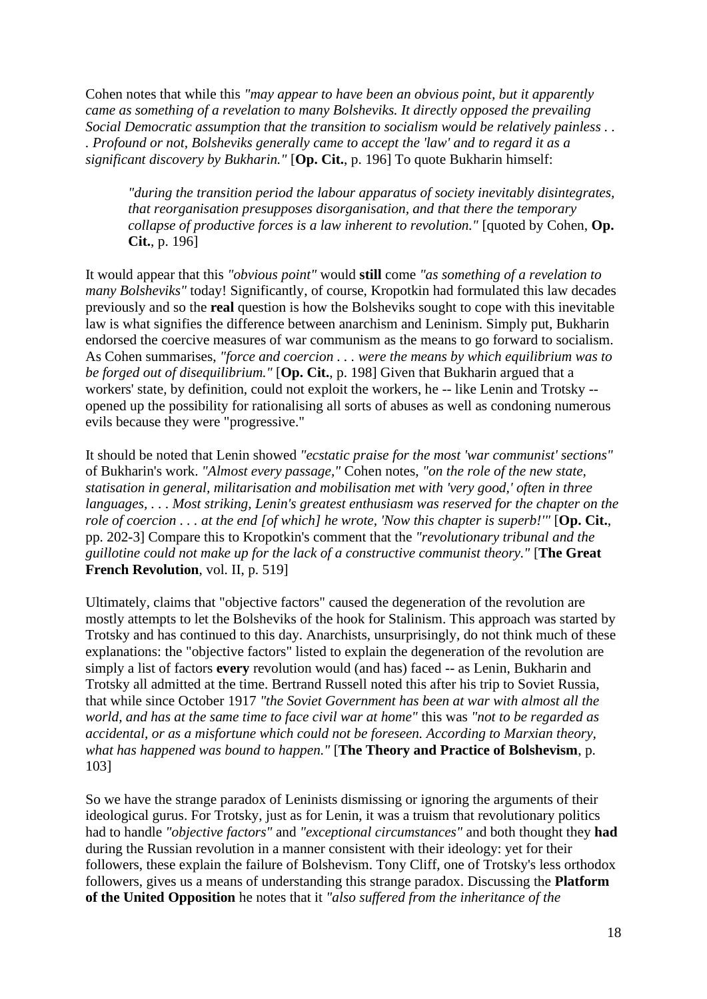Cohen notes that while this *"may appear to have been an obvious point, but it apparently came as something of a revelation to many Bolsheviks. It directly opposed the prevailing Social Democratic assumption that the transition to socialism would be relatively painless . . . Profound or not, Bolsheviks generally came to accept the 'law' and to regard it as a significant discovery by Bukharin."* [**Op. Cit.**, p. 196] To quote Bukharin himself:

*"during the transition period the labour apparatus of society inevitably disintegrates, that reorganisation presupposes disorganisation, and that there the temporary collapse of productive forces is a law inherent to revolution."* [quoted by Cohen, **Op. Cit.**, p. 196]

It would appear that this *"obvious point"* would **still** come *"as something of a revelation to many Bolsheviks"* today! Significantly, of course, Kropotkin had formulated this law decades previously and so the **real** question is how the Bolsheviks sought to cope with this inevitable law is what signifies the difference between anarchism and Leninism. Simply put, Bukharin endorsed the coercive measures of war communism as the means to go forward to socialism. As Cohen summarises, *"force and coercion . . . were the means by which equilibrium was to be forged out of disequilibrium."* [**Op. Cit.**, p. 198] Given that Bukharin argued that a workers' state, by definition, could not exploit the workers, he -- like Lenin and Trotsky - opened up the possibility for rationalising all sorts of abuses as well as condoning numerous evils because they were "progressive."

It should be noted that Lenin showed *"ecstatic praise for the most 'war communist' sections"* of Bukharin's work. *"Almost every passage,"* Cohen notes, *"on the role of the new state, statisation in general, militarisation and mobilisation met with 'very good,' often in three languages, . . . Most striking, Lenin's greatest enthusiasm was reserved for the chapter on the role of coercion . . . at the end [of which] he wrote, 'Now this chapter is superb!'"* [**Op. Cit.**, pp. 202-3] Compare this to Kropotkin's comment that the *"revolutionary tribunal and the guillotine could not make up for the lack of a constructive communist theory."* [**The Great French Revolution**, vol. II, p. 519]

Ultimately, claims that "objective factors" caused the degeneration of the revolution are mostly attempts to let the Bolsheviks of the hook for Stalinism. This approach was started by Trotsky and has continued to this day. Anarchists, unsurprisingly, do not think much of these explanations: the "objective factors" listed to explain the degeneration of the revolution are simply a list of factors **every** revolution would (and has) faced -- as Lenin, Bukharin and Trotsky all admitted at the time. Bertrand Russell noted this after his trip to Soviet Russia, that while since October 1917 *"the Soviet Government has been at war with almost all the world, and has at the same time to face civil war at home"* this was *"not to be regarded as accidental, or as a misfortune which could not be foreseen. According to Marxian theory, what has happened was bound to happen."* [**The Theory and Practice of Bolshevism**, p. 103]

So we have the strange paradox of Leninists dismissing or ignoring the arguments of their ideological gurus. For Trotsky, just as for Lenin, it was a truism that revolutionary politics had to handle *"objective factors"* and *"exceptional circumstances"* and both thought they **had** during the Russian revolution in a manner consistent with their ideology: yet for their followers, these explain the failure of Bolshevism. Tony Cliff, one of Trotsky's less orthodox followers, gives us a means of understanding this strange paradox. Discussing the **Platform of the United Opposition** he notes that it *"also suffered from the inheritance of the*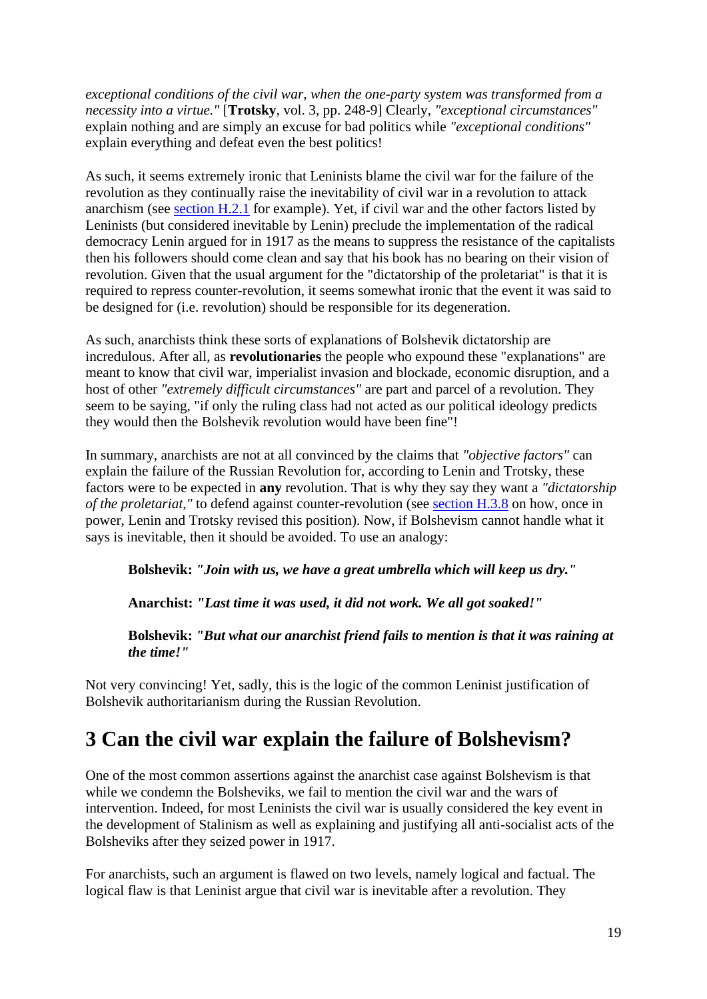*exceptional conditions of the civil war, when the one-party system was transformed from a necessity into a virtue."* [**Trotsky**, vol. 3, pp. 248-9] Clearly, *"exceptional circumstances"* explain nothing and are simply an excuse for bad politics while *"exceptional conditions"* explain everything and defeat even the best politics!

As such, it seems extremely ironic that Leninists blame the civil war for the failure of the revolution as they continually raise the inevitability of civil war in a revolution to attack anarchism (see [section H.2.1](sectionH.html#sech1) for example). Yet, if civil war and the other factors listed by Leninists (but considered inevitable by Lenin) preclude the implementation of the radical democracy Lenin argued for in 1917 as the means to suppress the resistance of the capitalists then his followers should come clean and say that his book has no bearing on their vision of revolution. Given that the usual argument for the "dictatorship of the proletariat" is that it is required to repress counter-revolution, it seems somewhat ironic that the event it was said to be designed for (i.e. revolution) should be responsible for its degeneration.

As such, anarchists think these sorts of explanations of Bolshevik dictatorship are incredulous. After all, as **revolutionaries** the people who expound these "explanations" are meant to know that civil war, imperialist invasion and blockade, economic disruption, and a host of other *"extremely difficult circumstances"* are part and parcel of a revolution. They seem to be saying, "if only the ruling class had not acted as our political ideology predicts they would then the Bolshevik revolution would have been fine"!

In summary, anarchists are not at all convinced by the claims that *"objective factors"* can explain the failure of the Russian Revolution for, according to Lenin and Trotsky, these factors were to be expected in **any** revolution. That is why they say they want a *"dictatorship of the proletariat,"* to defend against counter-revolution (see [section H.3.8](sectionH.html#sech38) on how, once in power, Lenin and Trotsky revised this position). Now, if Bolshevism cannot handle what it says is inevitable, then it should be avoided. To use an analogy:

**Bolshevik:** *"Join with us, we have a great umbrella which will keep us dry."*

**Anarchist:** *"Last time it was used, it did not work. We all got soaked!"*

**Bolshevik:** *"But what our anarchist friend fails to mention is that it was raining at the time!"*

Not very convincing! Yet, sadly, this is the logic of the common Leninist justification of Bolshevik authoritarianism during the Russian Revolution.

#### <span id="page-18-0"></span>**3 Can the civil war explain the failure of Bolshevism?**

One of the most common assertions against the anarchist case against Bolshevism is that while we condemn the Bolsheviks, we fail to mention the civil war and the wars of intervention. Indeed, for most Leninists the civil war is usually considered the key event in the development of Stalinism as well as explaining and justifying all anti-socialist acts of the Bolsheviks after they seized power in 1917.

For anarchists, such an argument is flawed on two levels, namely logical and factual. The logical flaw is that Leninist argue that civil war is inevitable after a revolution. They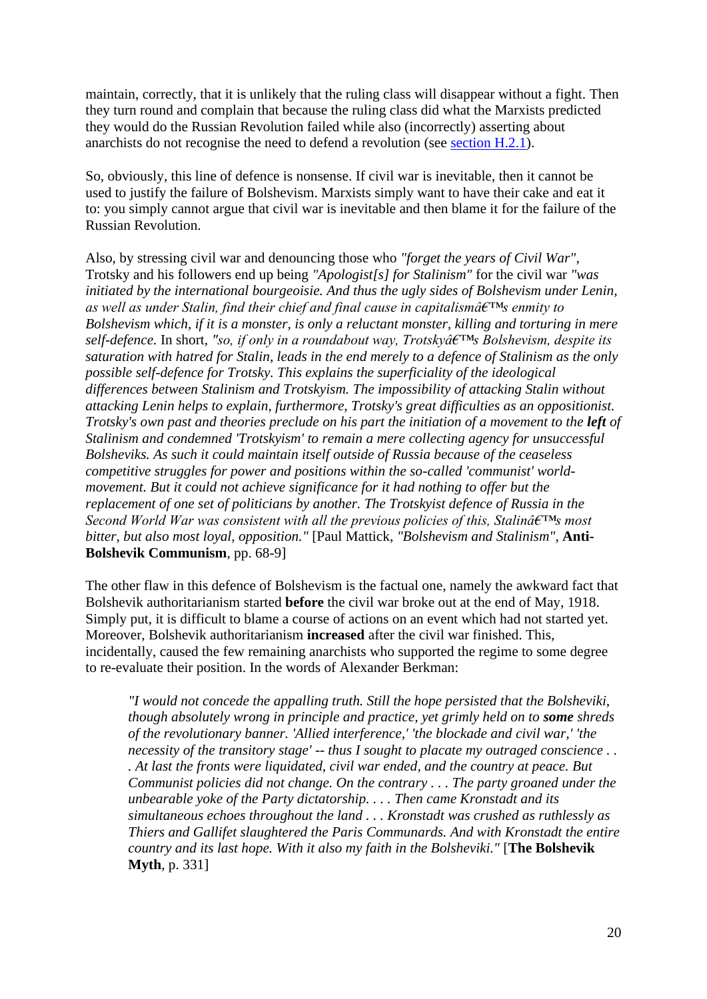maintain, correctly, that it is unlikely that the ruling class will disappear without a fight. Then they turn round and complain that because the ruling class did what the Marxists predicted they would do the Russian Revolution failed while also (incorrectly) asserting about anarchists do not recognise the need to defend a revolution (see [section H.2.1\)](sectionH.html#sech1).

So, obviously, this line of defence is nonsense. If civil war is inevitable, then it cannot be used to justify the failure of Bolshevism. Marxists simply want to have their cake and eat it to: you simply cannot argue that civil war is inevitable and then blame it for the failure of the Russian Revolution.

Also, by stressing civil war and denouncing those who *"forget the years of Civil War"*, Trotsky and his followers end up being *"Apologist[s] for Stalinism"* for the civil war *"was initiated by the international bourgeoisie. And thus the ugly sides of Bolshevism under Lenin, as well as under Stalin, find their chief and final cause in capitalism's enmity to Bolshevism which, if it is a monster, is only a reluctant monster, killing and torturing in mere self-defence.* In short, *"so, if only in a roundabout way, Trotsky's Bolshevism, despite its saturation with hatred for Stalin, leads in the end merely to a defence of Stalinism as the only possible self-defence for Trotsky. This explains the superficiality of the ideological differences between Stalinism and Trotskyism. The impossibility of attacking Stalin without attacking Lenin helps to explain, furthermore, Trotsky's great difficulties as an oppositionist. Trotsky's own past and theories preclude on his part the initiation of a movement to the <i>left* of *Stalinism and condemned 'Trotskyism' to remain a mere collecting agency for unsuccessful Bolsheviks. As such it could maintain itself outside of Russia because of the ceaseless competitive struggles for power and positions within the so-called 'communist' worldmovement. But it could not achieve significance for it had nothing to offer but the replacement of one set of politicians by another. The Trotskyist defence of Russia in the*  Second World War was consistent with all the previous policies of this, Stalinât<sup>TM</sup>s most *bitter, but also most loyal, opposition."* [Paul Mattick, *"Bolshevism and Stalinism"*, **Anti-Bolshevik Communism**, pp. 68-9]

The other flaw in this defence of Bolshevism is the factual one, namely the awkward fact that Bolshevik authoritarianism started **before** the civil war broke out at the end of May, 1918. Simply put, it is difficult to blame a course of actions on an event which had not started yet. Moreover, Bolshevik authoritarianism **increased** after the civil war finished. This, incidentally, caused the few remaining anarchists who supported the regime to some degree to re-evaluate their position. In the words of Alexander Berkman:

*"I would not concede the appalling truth. Still the hope persisted that the Bolsheviki, though absolutely wrong in principle and practice, yet grimly held on to some shreds of the revolutionary banner. 'Allied interference,' 'the blockade and civil war,' 'the necessity of the transitory stage' -- thus I sought to placate my outraged conscience . . . At last the fronts were liquidated, civil war ended, and the country at peace. But Communist policies did not change. On the contrary . . . The party groaned under the unbearable yoke of the Party dictatorship. . . . Then came Kronstadt and its simultaneous echoes throughout the land . . . Kronstadt was crushed as ruthlessly as Thiers and Gallifet slaughtered the Paris Communards. And with Kronstadt the entire country and its last hope. With it also my faith in the Bolsheviki."* [**The Bolshevik Myth**, p. 331]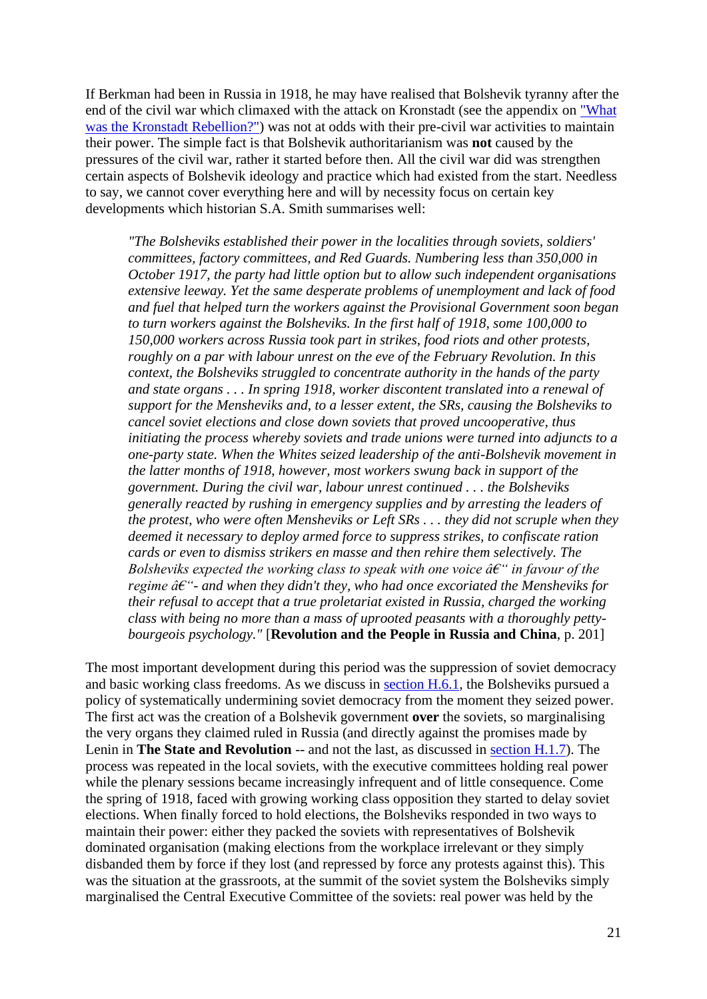If Berkman had been in Russia in 1918, he may have realised that Bolshevik tyranny after the end of the civil war which climaxed with the attack on Kronstadt (see the appendix on ["What](append42.html)  [was the Kronstadt Rebellion?"\)](append42.html) was not at odds with their pre-civil war activities to maintain their power. The simple fact is that Bolshevik authoritarianism was **not** caused by the pressures of the civil war, rather it started before then. All the civil war did was strengthen certain aspects of Bolshevik ideology and practice which had existed from the start. Needless to say, we cannot cover everything here and will by necessity focus on certain key developments which historian S.A. Smith summarises well:

*"The Bolsheviks established their power in the localities through soviets, soldiers' committees, factory committees, and Red Guards. Numbering less than 350,000 in October 1917, the party had little option but to allow such independent organisations extensive leeway. Yet the same desperate problems of unemployment and lack of food and fuel that helped turn the workers against the Provisional Government soon began to turn workers against the Bolsheviks. In the first half of 1918, some 100,000 to 150,000 workers across Russia took part in strikes, food riots and other protests, roughly on a par with labour unrest on the eve of the February Revolution. In this context, the Bolsheviks struggled to concentrate authority in the hands of the party and state organs . . . In spring 1918, worker discontent translated into a renewal of support for the Mensheviks and, to a lesser extent, the SRs, causing the Bolsheviks to cancel soviet elections and close down soviets that proved uncooperative, thus initiating the process whereby soviets and trade unions were turned into adjuncts to a one-party state. When the Whites seized leadership of the anti-Bolshevik movement in the latter months of 1918, however, most workers swung back in support of the government. During the civil war, labour unrest continued . . . the Bolsheviks generally reacted by rushing in emergency supplies and by arresting the leaders of the protest, who were often Mensheviks or Left SRs . . . they did not scruple when they deemed it necessary to deploy armed force to suppress strikes, to confiscate ration cards or even to dismiss strikers en masse and then rehire them selectively. The Bolsheviks expected the working class to speak with one voice*  $\hat{a} \in \hat{\theta}$  *in favour of the regime*  $\hat{a}\hat{\epsilon}$  *– and when they didn't they, who had once excoriated the Mensheviks for their refusal to accept that a true proletariat existed in Russia, charged the working class with being no more than a mass of uprooted peasants with a thoroughly pettybourgeois psychology."* [**Revolution and the People in Russia and China**, p. 201]

The most important development during this period was the suppression of soviet democracy and basic working class freedoms. As we discuss in [section H.6.1,](sectionH.html#sech61) the Bolsheviks pursued a policy of systematically undermining soviet democracy from the moment they seized power. The first act was the creation of a Bolshevik government **over** the soviets, so marginalising the very organs they claimed ruled in Russia (and directly against the promises made by Lenin in **The State and Revolution** -- and not the last, as discussed in [section H.1.7\)](sectionH.html#sech17). The process was repeated in the local soviets, with the executive committees holding real power while the plenary sessions became increasingly infrequent and of little consequence. Come the spring of 1918, faced with growing working class opposition they started to delay soviet elections. When finally forced to hold elections, the Bolsheviks responded in two ways to maintain their power: either they packed the soviets with representatives of Bolshevik dominated organisation (making elections from the workplace irrelevant or they simply disbanded them by force if they lost (and repressed by force any protests against this). This was the situation at the grassroots, at the summit of the soviet system the Bolsheviks simply marginalised the Central Executive Committee of the soviets: real power was held by the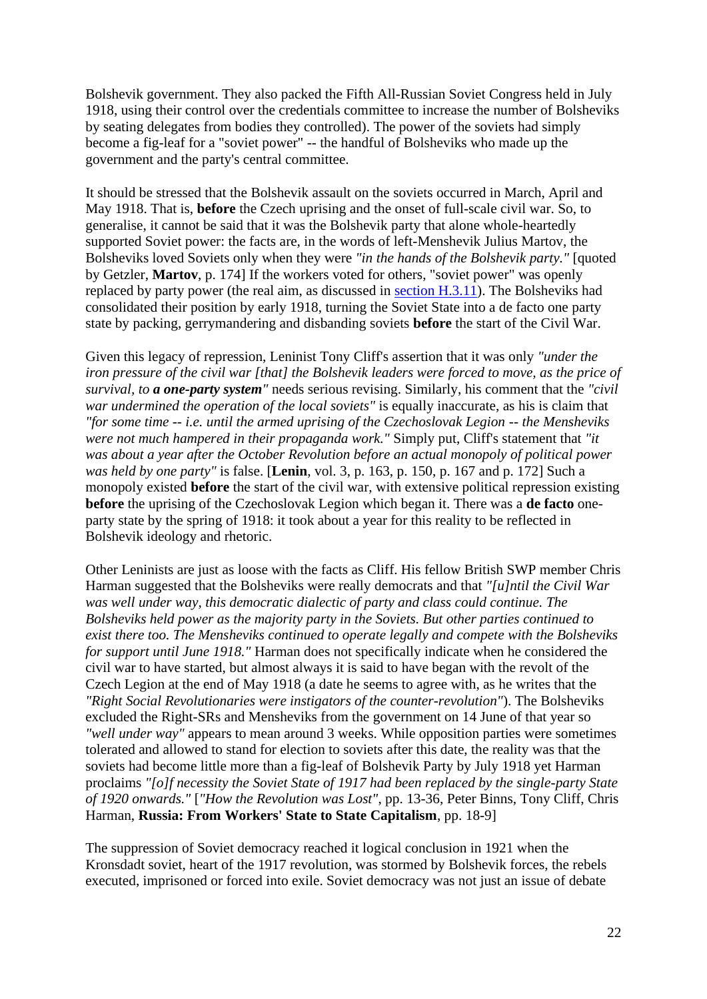Bolshevik government. They also packed the Fifth All-Russian Soviet Congress held in July 1918, using their control over the credentials committee to increase the number of Bolsheviks by seating delegates from bodies they controlled). The power of the soviets had simply become a fig-leaf for a "soviet power" -- the handful of Bolsheviks who made up the government and the party's central committee.

It should be stressed that the Bolshevik assault on the soviets occurred in March, April and May 1918. That is, **before** the Czech uprising and the onset of full-scale civil war. So, to generalise, it cannot be said that it was the Bolshevik party that alone whole-heartedly supported Soviet power: the facts are, in the words of left-Menshevik Julius Martov, the Bolsheviks loved Soviets only when they were *"in the hands of the Bolshevik party."* [quoted by Getzler, **Martov**, p. 174] If the workers voted for others, "soviet power" was openly replaced by party power (the real aim, as discussed in [section H.3.11\)](sectionH.html#sech311). The Bolsheviks had consolidated their position by early 1918, turning the Soviet State into a de facto one party state by packing, gerrymandering and disbanding soviets **before** the start of the Civil War.

Given this legacy of repression, Leninist Tony Cliff's assertion that it was only *"under the iron pressure of the civil war [that] the Bolshevik leaders were forced to move, as the price of survival, to a one-party system"* needs serious revising. Similarly, his comment that the *"civil war undermined the operation of the local soviets"* is equally inaccurate, as his is claim that *"for some time -- i.e. until the armed uprising of the Czechoslovak Legion -- the Mensheviks were not much hampered in their propaganda work."* Simply put, Cliff's statement that *"it was about a year after the October Revolution before an actual monopoly of political power was held by one party"* is false. [**Lenin**, vol. 3, p. 163, p. 150, p. 167 and p. 172] Such a monopoly existed **before** the start of the civil war, with extensive political repression existing **before** the uprising of the Czechoslovak Legion which began it. There was a **de facto** oneparty state by the spring of 1918: it took about a year for this reality to be reflected in Bolshevik ideology and rhetoric.

Other Leninists are just as loose with the facts as Cliff. His fellow British SWP member Chris Harman suggested that the Bolsheviks were really democrats and that *"[u]ntil the Civil War was well under way, this democratic dialectic of party and class could continue. The Bolsheviks held power as the majority party in the Soviets. But other parties continued to exist there too. The Mensheviks continued to operate legally and compete with the Bolsheviks for support until June 1918."* Harman does not specifically indicate when he considered the civil war to have started, but almost always it is said to have began with the revolt of the Czech Legion at the end of May 1918 (a date he seems to agree with, as he writes that the *"Right Social Revolutionaries were instigators of the counter-revolution"*). The Bolsheviks excluded the Right-SRs and Mensheviks from the government on 14 June of that year so *"well under way"* appears to mean around 3 weeks. While opposition parties were sometimes tolerated and allowed to stand for election to soviets after this date, the reality was that the soviets had become little more than a fig-leaf of Bolshevik Party by July 1918 yet Harman proclaims *"[o]f necessity the Soviet State of 1917 had been replaced by the single-party State of 1920 onwards."* [*"How the Revolution was Lost"*, pp. 13-36, Peter Binns, Tony Cliff, Chris Harman, **Russia: From Workers' State to State Capitalism**, pp. 18-9]

The suppression of Soviet democracy reached it logical conclusion in 1921 when the Kronsdadt soviet, heart of the 1917 revolution, was stormed by Bolshevik forces, the rebels executed, imprisoned or forced into exile. Soviet democracy was not just an issue of debate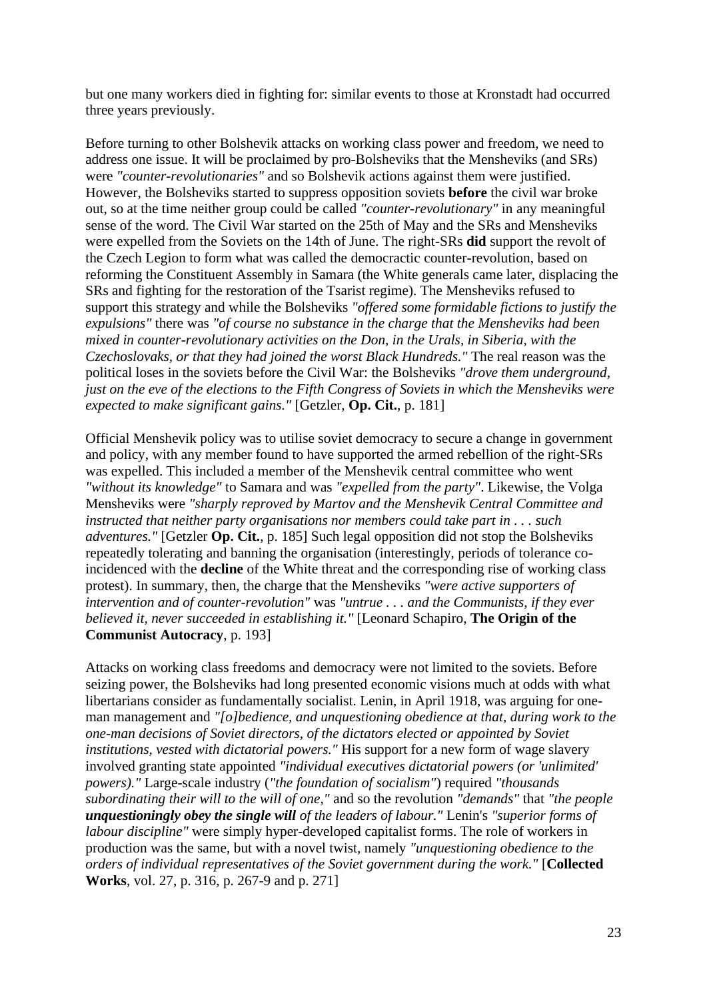but one many workers died in fighting for: similar events to those at Kronstadt had occurred three years previously.

Before turning to other Bolshevik attacks on working class power and freedom, we need to address one issue. It will be proclaimed by pro-Bolsheviks that the Mensheviks (and SRs) were *"counter-revolutionaries"* and so Bolshevik actions against them were justified. However, the Bolsheviks started to suppress opposition soviets **before** the civil war broke out, so at the time neither group could be called *"counter-revolutionary"* in any meaningful sense of the word. The Civil War started on the 25th of May and the SRs and Mensheviks were expelled from the Soviets on the 14th of June. The right-SRs **did** support the revolt of the Czech Legion to form what was called the democractic counter-revolution, based on reforming the Constituent Assembly in Samara (the White generals came later, displacing the SRs and fighting for the restoration of the Tsarist regime). The Mensheviks refused to support this strategy and while the Bolsheviks *"offered some formidable fictions to justify the expulsions"* there was *"of course no substance in the charge that the Mensheviks had been mixed in counter-revolutionary activities on the Don, in the Urals, in Siberia, with the Czechoslovaks, or that they had joined the worst Black Hundreds."* The real reason was the political loses in the soviets before the Civil War: the Bolsheviks *"drove them underground, just on the eve of the elections to the Fifth Congress of Soviets in which the Mensheviks were expected to make significant gains."* [Getzler, **Op. Cit.**, p. 181]

Official Menshevik policy was to utilise soviet democracy to secure a change in government and policy, with any member found to have supported the armed rebellion of the right-SRs was expelled. This included a member of the Menshevik central committee who went *"without its knowledge"* to Samara and was *"expelled from the party"*. Likewise, the Volga Mensheviks were *"sharply reproved by Martov and the Menshevik Central Committee and instructed that neither party organisations nor members could take part in . . . such adventures."* [Getzler **Op. Cit.**, p. 185] Such legal opposition did not stop the Bolsheviks repeatedly tolerating and banning the organisation (interestingly, periods of tolerance coincidenced with the **decline** of the White threat and the corresponding rise of working class protest). In summary, then, the charge that the Mensheviks *"were active supporters of intervention and of counter-revolution"* was *"untrue . . . and the Communists, if they ever believed it, never succeeded in establishing it."* [Leonard Schapiro, **The Origin of the Communist Autocracy**, p. 193]

Attacks on working class freedoms and democracy were not limited to the soviets. Before seizing power, the Bolsheviks had long presented economic visions much at odds with what libertarians consider as fundamentally socialist. Lenin, in April 1918, was arguing for oneman management and *"[o]bedience, and unquestioning obedience at that, during work to the one-man decisions of Soviet directors, of the dictators elected or appointed by Soviet institutions, vested with dictatorial powers."* His support for a new form of wage slavery involved granting state appointed *"individual executives dictatorial powers (or 'unlimited' powers)."* Large-scale industry (*"the foundation of socialism"*) required *"thousands subordinating their will to the will of one,"* and so the revolution *"demands"* that *"the people unquestioningly obey the single will of the leaders of labour."* Lenin's *"superior forms of labour discipline"* were simply hyper-developed capitalist forms. The role of workers in production was the same, but with a novel twist, namely *"unquestioning obedience to the orders of individual representatives of the Soviet government during the work."* [**Collected Works**, vol. 27, p. 316, p. 267-9 and p. 271]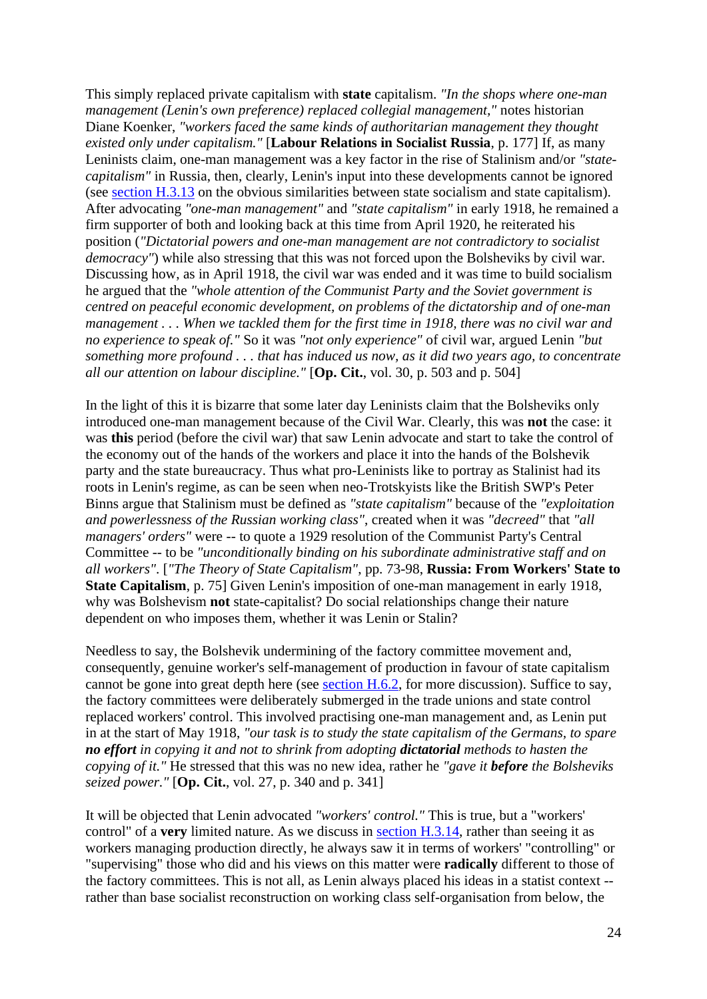This simply replaced private capitalism with **state** capitalism. *"In the shops where one-man management (Lenin's own preference) replaced collegial management,"* notes historian Diane Koenker, *"workers faced the same kinds of authoritarian management they thought existed only under capitalism."* [**Labour Relations in Socialist Russia**, p. 177] If, as many Leninists claim, one-man management was a key factor in the rise of Stalinism and/or *"statecapitalism"* in Russia, then, clearly, Lenin's input into these developments cannot be ignored (see [section H.3.13](sectionH.html#sech313) on the obvious similarities between state socialism and state capitalism). After advocating *"one-man management"* and *"state capitalism"* in early 1918, he remained a firm supporter of both and looking back at this time from April 1920, he reiterated his position (*"Dictatorial powers and one-man management are not contradictory to socialist democracy*") while also stressing that this was not forced upon the Bolsheviks by civil war. Discussing how, as in April 1918, the civil war was ended and it was time to build socialism he argued that the *"whole attention of the Communist Party and the Soviet government is centred on peaceful economic development, on problems of the dictatorship and of one-man management . . . When we tackled them for the first time in 1918, there was no civil war and no experience to speak of."* So it was *"not only experience"* of civil war, argued Lenin *"but something more profound . . . that has induced us now, as it did two years ago, to concentrate all our attention on labour discipline."* [**Op. Cit.**, vol. 30, p. 503 and p. 504]

In the light of this it is bizarre that some later day Leninists claim that the Bolsheviks only introduced one-man management because of the Civil War. Clearly, this was **not** the case: it was **this** period (before the civil war) that saw Lenin advocate and start to take the control of the economy out of the hands of the workers and place it into the hands of the Bolshevik party and the state bureaucracy. Thus what pro-Leninists like to portray as Stalinist had its roots in Lenin's regime, as can be seen when neo-Trotskyists like the British SWP's Peter Binns argue that Stalinism must be defined as *"state capitalism"* because of the *"exploitation and powerlessness of the Russian working class"*, created when it was *"decreed"* that *"all managers' orders"* were -- to quote a 1929 resolution of the Communist Party's Central Committee -- to be *"unconditionally binding on his subordinate administrative staff and on all workers"*. [*"The Theory of State Capitalism"*, pp. 73-98, **Russia: From Workers' State to State Capitalism**, p. 75] Given Lenin's imposition of one-man management in early 1918, why was Bolshevism **not** state-capitalist? Do social relationships change their nature dependent on who imposes them, whether it was Lenin or Stalin?

Needless to say, the Bolshevik undermining of the factory committee movement and, consequently, genuine worker's self-management of production in favour of state capitalism cannot be gone into great depth here (see [section H.6.2,](sectionH.html#sech62) for more discussion). Suffice to say, the factory committees were deliberately submerged in the trade unions and state control replaced workers' control. This involved practising one-man management and, as Lenin put in at the start of May 1918, *"our task is to study the state capitalism of the Germans, to spare no effort in copying it and not to shrink from adopting dictatorial methods to hasten the copying of it."* He stressed that this was no new idea, rather he *"gave it before the Bolsheviks seized power."* [**Op. Cit.**, vol. 27, p. 340 and p. 341]

It will be objected that Lenin advocated *"workers' control."* This is true, but a "workers' control" of a **very** limited nature. As we discuss in [section H.3.14,](sectionH.html#sech314) rather than seeing it as workers managing production directly, he always saw it in terms of workers' "controlling" or "supervising" those who did and his views on this matter were **radically** different to those of the factory committees. This is not all, as Lenin always placed his ideas in a statist context - rather than base socialist reconstruction on working class self-organisation from below, the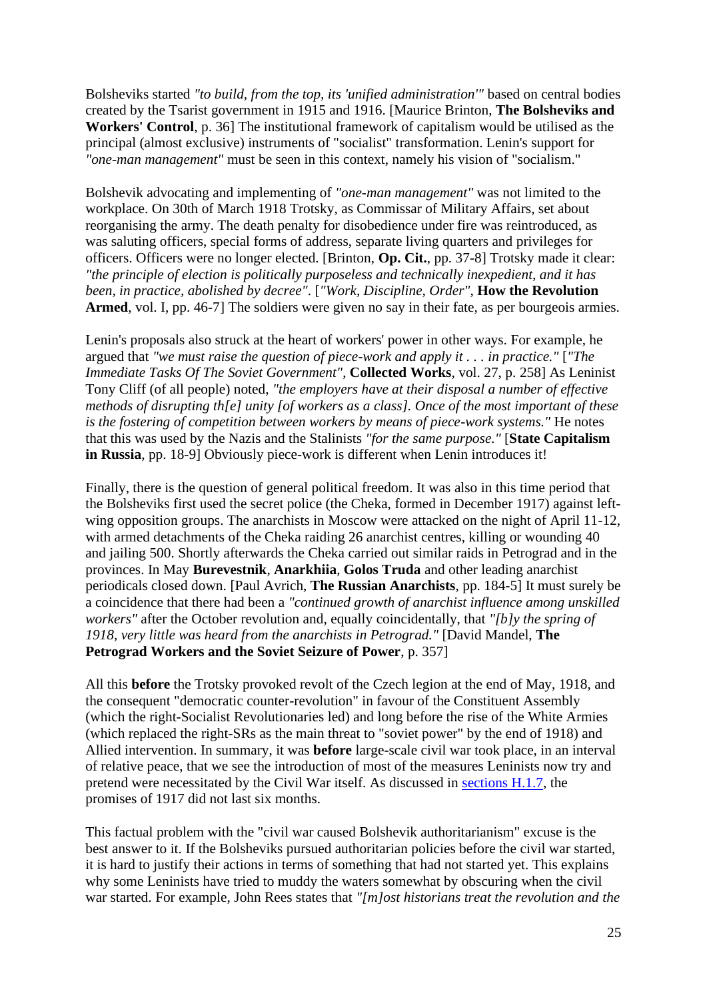Bolsheviks started *"to build, from the top, its 'unified administration'"* based on central bodies created by the Tsarist government in 1915 and 1916. [Maurice Brinton, **The Bolsheviks and Workers' Control**, p. 36] The institutional framework of capitalism would be utilised as the principal (almost exclusive) instruments of "socialist" transformation. Lenin's support for *"one-man management"* must be seen in this context, namely his vision of "socialism."

Bolshevik advocating and implementing of *"one-man management"* was not limited to the workplace. On 30th of March 1918 Trotsky, as Commissar of Military Affairs, set about reorganising the army. The death penalty for disobedience under fire was reintroduced, as was saluting officers, special forms of address, separate living quarters and privileges for officers. Officers were no longer elected. [Brinton, **Op. Cit.**, pp. 37-8] Trotsky made it clear: *"the principle of election is politically purposeless and technically inexpedient, and it has been, in practice, abolished by decree"*. [*"Work, Discipline, Order"*, **How the Revolution Armed**, vol. I, pp. 46-7] The soldiers were given no say in their fate, as per bourgeois armies.

Lenin's proposals also struck at the heart of workers' power in other ways. For example, he argued that *"we must raise the question of piece-work and apply it . . . in practice."* [*"The Immediate Tasks Of The Soviet Government"*, **Collected Works**, vol. 27, p. 258] As Leninist Tony Cliff (of all people) noted, *"the employers have at their disposal a number of effective methods of disrupting th[e] unity [of workers as a class]. Once of the most important of these is the fostering of competition between workers by means of piece-work systems."* He notes that this was used by the Nazis and the Stalinists *"for the same purpose."* [**State Capitalism in Russia**, pp. 18-9] Obviously piece-work is different when Lenin introduces it!

Finally, there is the question of general political freedom. It was also in this time period that the Bolsheviks first used the secret police (the Cheka, formed in December 1917) against leftwing opposition groups. The anarchists in Moscow were attacked on the night of April 11-12, with armed detachments of the Cheka raiding 26 anarchist centres, killing or wounding 40 and jailing 500. Shortly afterwards the Cheka carried out similar raids in Petrograd and in the provinces. In May **Burevestnik**, **Anarkhiia**, **Golos Truda** and other leading anarchist periodicals closed down. [Paul Avrich, **The Russian Anarchists**, pp. 184-5] It must surely be a coincidence that there had been a *"continued growth of anarchist influence among unskilled workers"* after the October revolution and, equally coincidentally, that *"[b]y the spring of 1918, very little was heard from the anarchists in Petrograd."* [David Mandel, **The Petrograd Workers and the Soviet Seizure of Power**, p. 357]

All this **before** the Trotsky provoked revolt of the Czech legion at the end of May, 1918, and the consequent "democratic counter-revolution" in favour of the Constituent Assembly (which the right-Socialist Revolutionaries led) and long before the rise of the White Armies (which replaced the right-SRs as the main threat to "soviet power" by the end of 1918) and Allied intervention. In summary, it was **before** large-scale civil war took place, in an interval of relative peace, that we see the introduction of most of the measures Leninists now try and pretend were necessitated by the Civil War itself. As discussed in [sections H.1.7,](sectionH.html#sec17) the promises of 1917 did not last six months.

This factual problem with the "civil war caused Bolshevik authoritarianism" excuse is the best answer to it. If the Bolsheviks pursued authoritarian policies before the civil war started, it is hard to justify their actions in terms of something that had not started yet. This explains why some Leninists have tried to muddy the waters somewhat by obscuring when the civil war started. For example, John Rees states that *"[m]ost historians treat the revolution and the*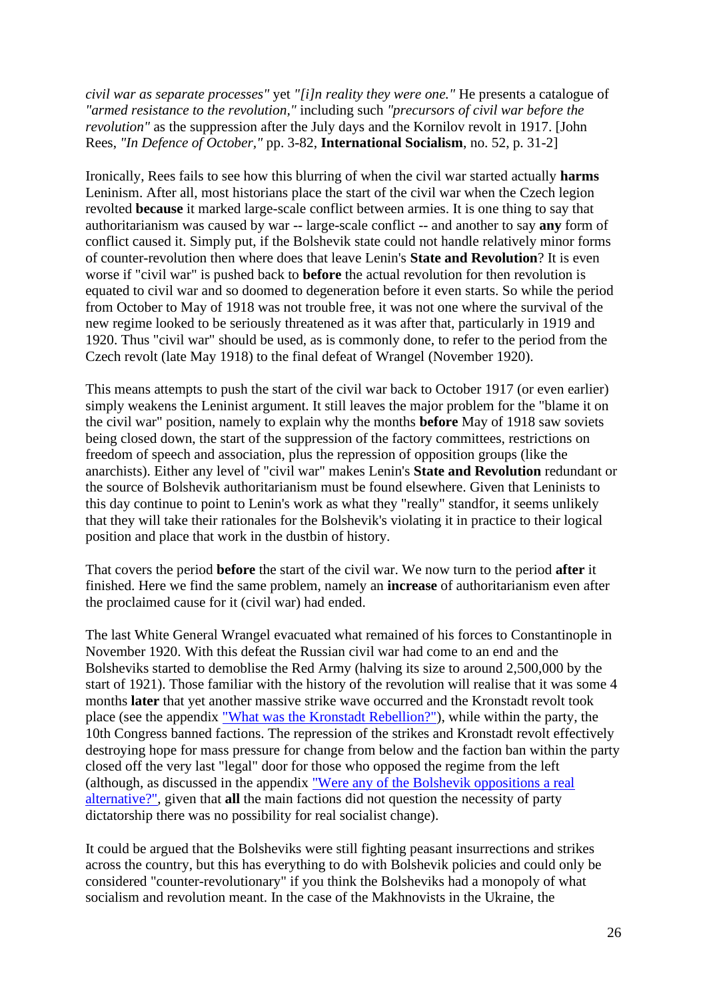*civil war as separate processes"* yet *"[i]n reality they were one."* He presents a catalogue of *"armed resistance to the revolution,"* including such *"precursors of civil war before the revolution"* as the suppression after the July days and the Kornilov revolt in 1917. [John Rees, *"In Defence of October,"* pp. 3-82, **International Socialism**, no. 52, p. 31-2]

Ironically, Rees fails to see how this blurring of when the civil war started actually **harms** Leninism. After all, most historians place the start of the civil war when the Czech legion revolted **because** it marked large-scale conflict between armies. It is one thing to say that authoritarianism was caused by war -- large-scale conflict -- and another to say **any** form of conflict caused it. Simply put, if the Bolshevik state could not handle relatively minor forms of counter-revolution then where does that leave Lenin's **State and Revolution**? It is even worse if "civil war" is pushed back to **before** the actual revolution for then revolution is equated to civil war and so doomed to degeneration before it even starts. So while the period from October to May of 1918 was not trouble free, it was not one where the survival of the new regime looked to be seriously threatened as it was after that, particularly in 1919 and 1920. Thus "civil war" should be used, as is commonly done, to refer to the period from the Czech revolt (late May 1918) to the final defeat of Wrangel (November 1920).

This means attempts to push the start of the civil war back to October 1917 (or even earlier) simply weakens the Leninist argument. It still leaves the major problem for the "blame it on the civil war" position, namely to explain why the months **before** May of 1918 saw soviets being closed down, the start of the suppression of the factory committees, restrictions on freedom of speech and association, plus the repression of opposition groups (like the anarchists). Either any level of "civil war" makes Lenin's **State and Revolution** redundant or the source of Bolshevik authoritarianism must be found elsewhere. Given that Leninists to this day continue to point to Lenin's work as what they "really" standfor, it seems unlikely that they will take their rationales for the Bolshevik's violating it in practice to their logical position and place that work in the dustbin of history.

That covers the period **before** the start of the civil war. We now turn to the period **after** it finished. Here we find the same problem, namely an **increase** of authoritarianism even after the proclaimed cause for it (civil war) had ended.

The last White General Wrangel evacuated what remained of his forces to Constantinople in November 1920. With this defeat the Russian civil war had come to an end and the Bolsheviks started to demoblise the Red Army (halving its size to around 2,500,000 by the start of 1921). Those familiar with the history of the revolution will realise that it was some 4 months **later** that yet another massive strike wave occurred and the Kronstadt revolt took place (see the appendix ["What was the Kronstadt Rebellion?"\)](append42.html), while within the party, the 10th Congress banned factions. The repression of the strikes and Kronstadt revolt effectively destroying hope for mass pressure for change from below and the faction ban within the party closed off the very last "legal" door for those who opposed the regime from the left (although, as discussed in the appendix ["Were any of the Bolshevik oppositions a real](append45.html)  [alternative?",](append45.html) given that **all** the main factions did not question the necessity of party dictatorship there was no possibility for real socialist change).

It could be argued that the Bolsheviks were still fighting peasant insurrections and strikes across the country, but this has everything to do with Bolshevik policies and could only be considered "counter-revolutionary" if you think the Bolsheviks had a monopoly of what socialism and revolution meant. In the case of the Makhnovists in the Ukraine, the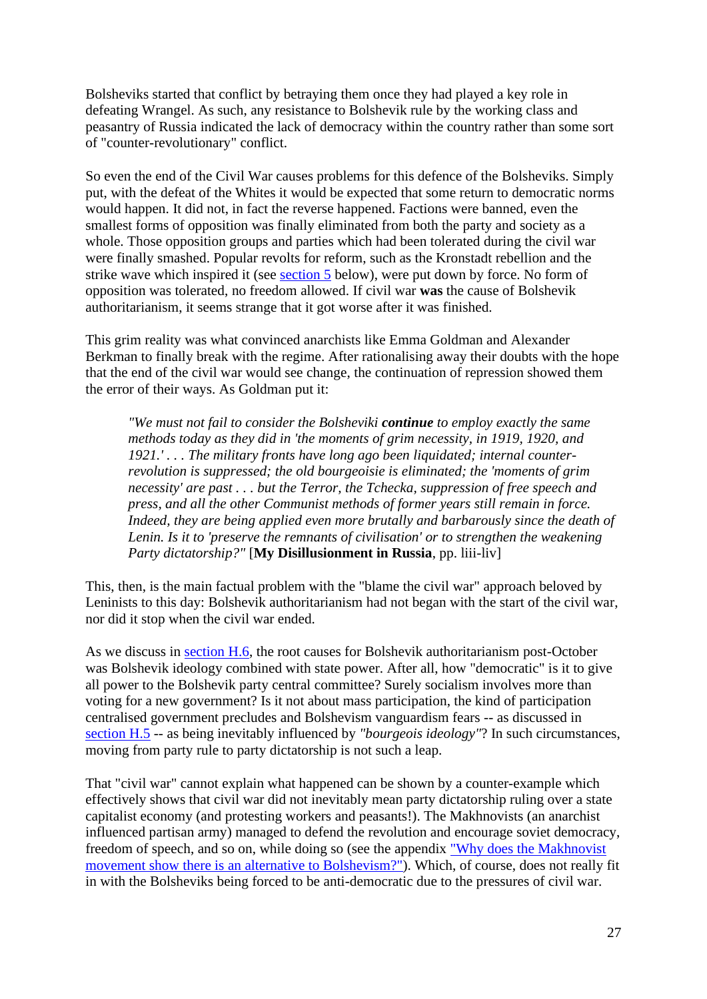Bolsheviks started that conflict by betraying them once they had played a key role in defeating Wrangel. As such, any resistance to Bolshevik rule by the working class and peasantry of Russia indicated the lack of democracy within the country rather than some sort of "counter-revolutionary" conflict.

So even the end of the Civil War causes problems for this defence of the Bolsheviks. Simply put, with the defeat of the Whites it would be expected that some return to democratic norms would happen. It did not, in fact the reverse happened. Factions were banned, even the smallest forms of opposition was finally eliminated from both the party and society as a whole. Those opposition groups and parties which had been tolerated during the civil war were finally smashed. Popular revolts for reform, such as the Kronstadt rebellion and the strike wave which inspired it (see section 5 below), were put down by force. No form of opposition was tolerated, no freedom allowed. If civil war **was** the cause of Bolshevik authoritarianism, it seems strange that it got worse after it was finished.

This grim reality was what convinced anarchists like Emma Goldman and Alexander Berkman to finally break with the regime. After rationalising away their doubts with the hope that the end of the civil war would see change, the continuation of repression showed them the error of their ways. As Goldman put it:

*"We must not fail to consider the Bolsheviki continue to employ exactly the same methods today as they did in 'the moments of grim necessity, in 1919, 1920, and 1921.' . . . The military fronts have long ago been liquidated; internal counterrevolution is suppressed; the old bourgeoisie is eliminated; the 'moments of grim necessity' are past . . . but the Terror, the Tchecka, suppression of free speech and press, and all the other Communist methods of former years still remain in force. Indeed, they are being applied even more brutally and barbarously since the death of Lenin. Is it to 'preserve the remnants of civilisation' or to strengthen the weakening Party dictatorship?"* [**My Disillusionment in Russia**, pp. liii-liv]

This, then, is the main factual problem with the "blame the civil war" approach beloved by Leninists to this day: Bolshevik authoritarianism had not began with the start of the civil war, nor did it stop when the civil war ended.

As we discuss in [section H.6,](sectionH.html#sech6) the root causes for Bolshevik authoritarianism post-October was Bolshevik ideology combined with state power. After all, how "democratic" is it to give all power to the Bolshevik party central committee? Surely socialism involves more than voting for a new government? Is it not about mass participation, the kind of participation centralised government precludes and Bolshevism vanguardism fears -- as discussed in [section H.5](sectionH.html#sech5) -- as being inevitably influenced by *"bourgeois ideology"*? In such circumstances, moving from party rule to party dictatorship is not such a leap.

That "civil war" cannot explain what happened can be shown by a counter-example which effectively shows that civil war did not inevitably mean party dictatorship ruling over a state capitalist economy (and protesting workers and peasants!). The Makhnovists (an anarchist influenced partisan army) managed to defend the revolution and encourage soviet democracy, freedom of speech, and so on, while doing so (see the appendix ["Why does the Makhnovist](append46.html)  [movement show there is an alternative to Bolshevism?"\)](append46.html). Which, of course, does not really fit in with the Bolsheviks being forced to be anti-democratic due to the pressures of civil war.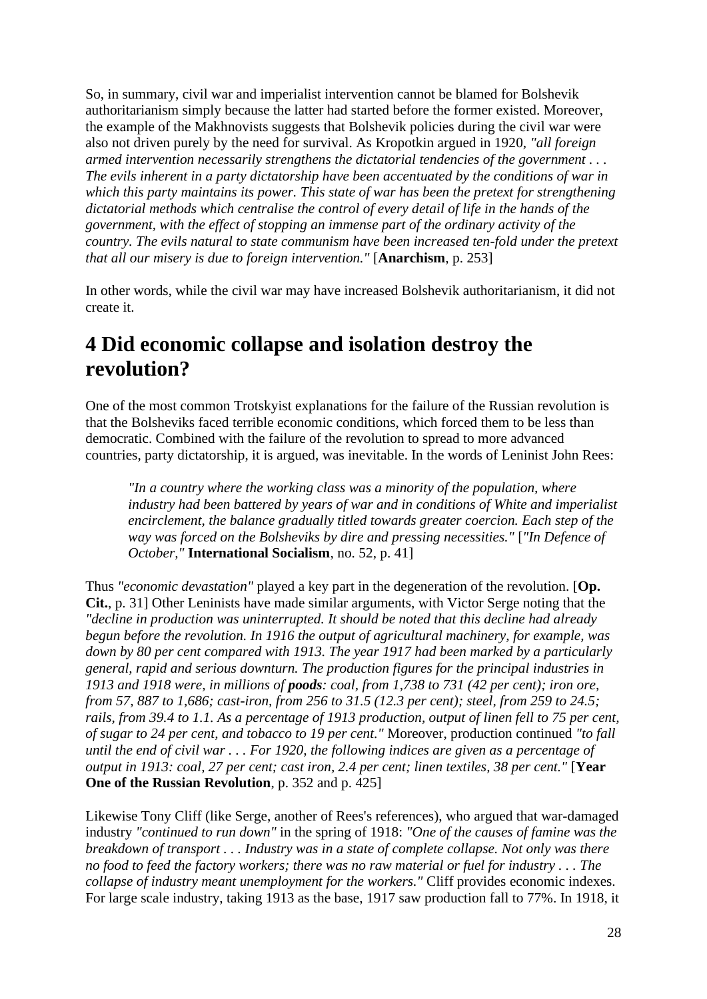So, in summary, civil war and imperialist intervention cannot be blamed for Bolshevik authoritarianism simply because the latter had started before the former existed. Moreover, the example of the Makhnovists suggests that Bolshevik policies during the civil war were also not driven purely by the need for survival. As Kropotkin argued in 1920, *"all foreign armed intervention necessarily strengthens the dictatorial tendencies of the government . . . The evils inherent in a party dictatorship have been accentuated by the conditions of war in which this party maintains its power. This state of war has been the pretext for strengthening dictatorial methods which centralise the control of every detail of life in the hands of the government, with the effect of stopping an immense part of the ordinary activity of the country. The evils natural to state communism have been increased ten-fold under the pretext that all our misery is due to foreign intervention."* [**Anarchism**, p. 253]

In other words, while the civil war may have increased Bolshevik authoritarianism, it did not create it.

### <span id="page-27-0"></span>**4 Did economic collapse and isolation destroy the revolution?**

One of the most common Trotskyist explanations for the failure of the Russian revolution is that the Bolsheviks faced terrible economic conditions, which forced them to be less than democratic. Combined with the failure of the revolution to spread to more advanced countries, party dictatorship, it is argued, was inevitable. In the words of Leninist John Rees:

*"In a country where the working class was a minority of the population, where industry had been battered by years of war and in conditions of White and imperialist encirclement, the balance gradually titled towards greater coercion. Each step of the way was forced on the Bolsheviks by dire and pressing necessities."* [*"In Defence of October,"* **International Socialism**, no. 52, p. 41]

Thus *"economic devastation"* played a key part in the degeneration of the revolution. [**Op. Cit.**, p. 31] Other Leninists have made similar arguments, with Victor Serge noting that the *"decline in production was uninterrupted. It should be noted that this decline had already begun before the revolution. In 1916 the output of agricultural machinery, for example, was down by 80 per cent compared with 1913. The year 1917 had been marked by a particularly general, rapid and serious downturn. The production figures for the principal industries in 1913 and 1918 were, in millions of poods: coal, from 1,738 to 731 (42 per cent); iron ore, from 57, 887 to 1,686; cast-iron, from 256 to 31.5 (12.3 per cent); steel, from 259 to 24.5; rails, from 39.4 to 1.1. As a percentage of 1913 production, output of linen fell to 75 per cent, of sugar to 24 per cent, and tobacco to 19 per cent."* Moreover, production continued *"to fall until the end of civil war . . . For 1920, the following indices are given as a percentage of output in 1913: coal, 27 per cent; cast iron, 2.4 per cent; linen textiles, 38 per cent."* [**Year One of the Russian Revolution**, p. 352 and p. 425]

Likewise Tony Cliff (like Serge, another of Rees's references), who argued that war-damaged industry *"continued to run down"* in the spring of 1918: *"One of the causes of famine was the breakdown of transport . . . Industry was in a state of complete collapse. Not only was there no food to feed the factory workers; there was no raw material or fuel for industry . . . The collapse of industry meant unemployment for the workers."* Cliff provides economic indexes. For large scale industry, taking 1913 as the base, 1917 saw production fall to 77%. In 1918, it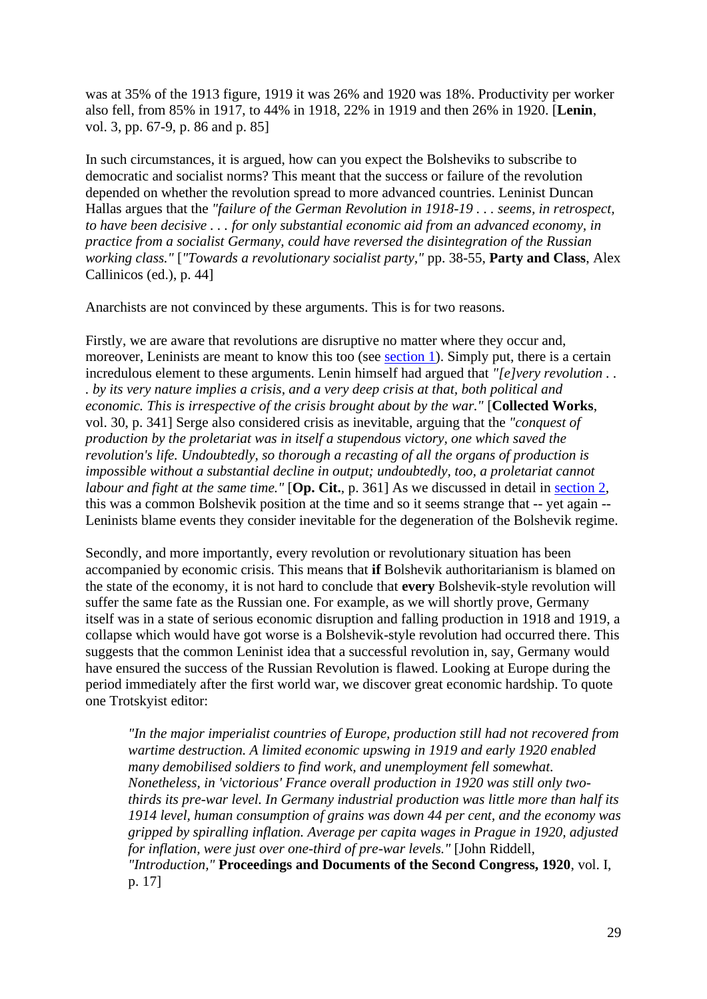was at 35% of the 1913 figure, 1919 it was 26% and 1920 was 18%. Productivity per worker also fell, from 85% in 1917, to 44% in 1918, 22% in 1919 and then 26% in 1920. [**Lenin**, vol. 3, pp. 67-9, p. 86 and p. 85]

In such circumstances, it is argued, how can you expect the Bolsheviks to subscribe to democratic and socialist norms? This meant that the success or failure of the revolution depended on whether the revolution spread to more advanced countries. Leninist Duncan Hallas argues that the *"failure of the German Revolution in 1918-19 . . . seems, in retrospect, to have been decisive . . . for only substantial economic aid from an advanced economy, in practice from a socialist Germany, could have reversed the disintegration of the Russian working class."* [*"Towards a revolutionary socialist party,"* pp. 38-55, **Party and Class**, Alex Callinicos (ed.), p. 44]

Anarchists are not convinced by these arguments. This is for two reasons.

Firstly, we are aware that revolutions are disruptive no matter where they occur and, moreover, Leninists are meant to know this too (see [section 1\)](append43.html#app1). Simply put, there is a certain incredulous element to these arguments. Lenin himself had argued that *"[e]very revolution . . . by its very nature implies a crisis, and a very deep crisis at that, both political and economic. This is irrespective of the crisis brought about by the war."* [**Collected Works**, vol. 30, p. 341] Serge also considered crisis as inevitable, arguing that the *"conquest of production by the proletariat was in itself a stupendous victory, one which saved the revolution's life. Undoubtedly, so thorough a recasting of all the organs of production is impossible without a substantial decline in output; undoubtedly, too, a proletariat cannot labour and fight at the same time."* [Op. Cit., p. 361] As we discussed in detail in [section 2,](append43.html#app2) this was a common Bolshevik position at the time and so it seems strange that -- yet again -- Leninists blame events they consider inevitable for the degeneration of the Bolshevik regime.

Secondly, and more importantly, every revolution or revolutionary situation has been accompanied by economic crisis. This means that **if** Bolshevik authoritarianism is blamed on the state of the economy, it is not hard to conclude that **every** Bolshevik-style revolution will suffer the same fate as the Russian one. For example, as we will shortly prove, Germany itself was in a state of serious economic disruption and falling production in 1918 and 1919, a collapse which would have got worse is a Bolshevik-style revolution had occurred there. This suggests that the common Leninist idea that a successful revolution in, say, Germany would have ensured the success of the Russian Revolution is flawed. Looking at Europe during the period immediately after the first world war, we discover great economic hardship. To quote one Trotskyist editor:

*"In the major imperialist countries of Europe, production still had not recovered from wartime destruction. A limited economic upswing in 1919 and early 1920 enabled many demobilised soldiers to find work, and unemployment fell somewhat. Nonetheless, in 'victorious' France overall production in 1920 was still only twothirds its pre-war level. In Germany industrial production was little more than half its 1914 level, human consumption of grains was down 44 per cent, and the economy was gripped by spiralling inflation. Average per capita wages in Prague in 1920, adjusted for inflation, were just over one-third of pre-war levels."* [John Riddell, *"Introduction,"* **Proceedings and Documents of the Second Congress, 1920**, vol. I,

p. 17]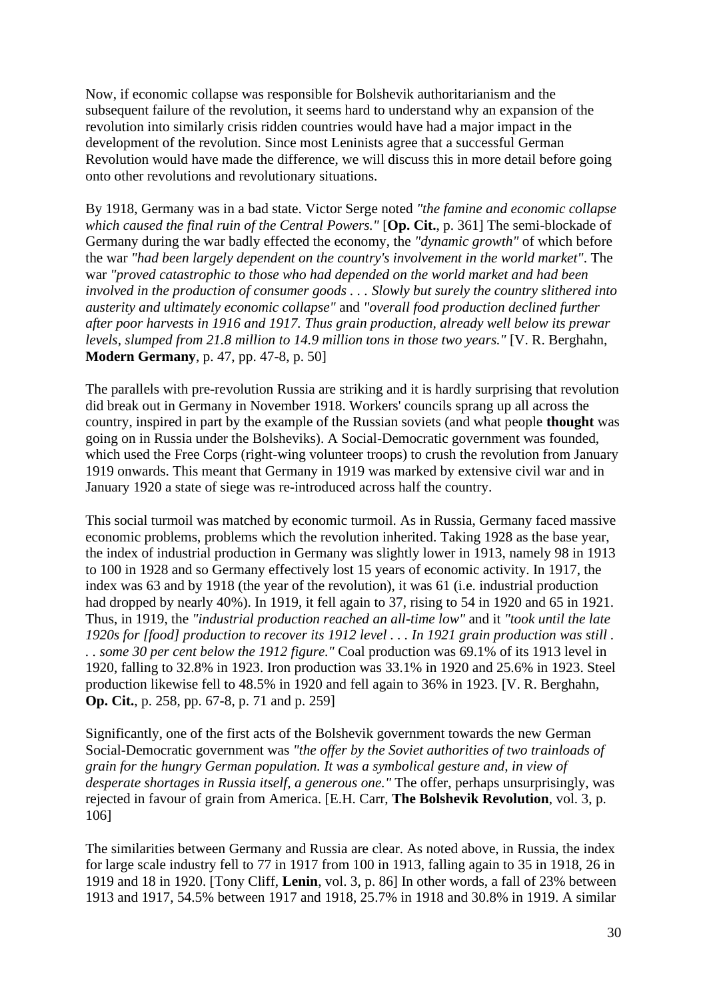Now, if economic collapse was responsible for Bolshevik authoritarianism and the subsequent failure of the revolution, it seems hard to understand why an expansion of the revolution into similarly crisis ridden countries would have had a major impact in the development of the revolution. Since most Leninists agree that a successful German Revolution would have made the difference, we will discuss this in more detail before going onto other revolutions and revolutionary situations.

By 1918, Germany was in a bad state. Victor Serge noted *"the famine and economic collapse which caused the final ruin of the Central Powers."* [**Op. Cit.**, p. 361] The semi-blockade of Germany during the war badly effected the economy, the *"dynamic growth"* of which before the war *"had been largely dependent on the country's involvement in the world market"*. The war *"proved catastrophic to those who had depended on the world market and had been involved in the production of consumer goods . . . Slowly but surely the country slithered into austerity and ultimately economic collapse"* and *"overall food production declined further after poor harvests in 1916 and 1917. Thus grain production, already well below its prewar levels, slumped from 21.8 million to 14.9 million tons in those two years."* [V. R. Berghahn, **Modern Germany**, p. 47, pp. 47-8, p. 50]

The parallels with pre-revolution Russia are striking and it is hardly surprising that revolution did break out in Germany in November 1918. Workers' councils sprang up all across the country, inspired in part by the example of the Russian soviets (and what people **thought** was going on in Russia under the Bolsheviks). A Social-Democratic government was founded, which used the Free Corps (right-wing volunteer troops) to crush the revolution from January 1919 onwards. This meant that Germany in 1919 was marked by extensive civil war and in January 1920 a state of siege was re-introduced across half the country.

This social turmoil was matched by economic turmoil. As in Russia, Germany faced massive economic problems, problems which the revolution inherited. Taking 1928 as the base year, the index of industrial production in Germany was slightly lower in 1913, namely 98 in 1913 to 100 in 1928 and so Germany effectively lost 15 years of economic activity. In 1917, the index was 63 and by 1918 (the year of the revolution), it was 61 (i.e. industrial production had dropped by nearly 40%). In 1919, it fell again to 37, rising to 54 in 1920 and 65 in 1921. Thus, in 1919, the *"industrial production reached an all-time low"* and it *"took until the late 1920s for [food] production to recover its 1912 level . . . In 1921 grain production was still . . . some 30 per cent below the 1912 figure."* Coal production was 69.1% of its 1913 level in 1920, falling to 32.8% in 1923. Iron production was 33.1% in 1920 and 25.6% in 1923. Steel production likewise fell to 48.5% in 1920 and fell again to 36% in 1923. [V. R. Berghahn, **Op. Cit.**, p. 258, pp. 67-8, p. 71 and p. 259]

Significantly, one of the first acts of the Bolshevik government towards the new German Social-Democratic government was *"the offer by the Soviet authorities of two trainloads of grain for the hungry German population. It was a symbolical gesture and, in view of desperate shortages in Russia itself, a generous one."* The offer, perhaps unsurprisingly, was rejected in favour of grain from America. [E.H. Carr, **The Bolshevik Revolution**, vol. 3, p. 106]

The similarities between Germany and Russia are clear. As noted above, in Russia, the index for large scale industry fell to 77 in 1917 from 100 in 1913, falling again to 35 in 1918, 26 in 1919 and 18 in 1920. [Tony Cliff, **Lenin**, vol. 3, p. 86] In other words, a fall of 23% between 1913 and 1917, 54.5% between 1917 and 1918, 25.7% in 1918 and 30.8% in 1919. A similar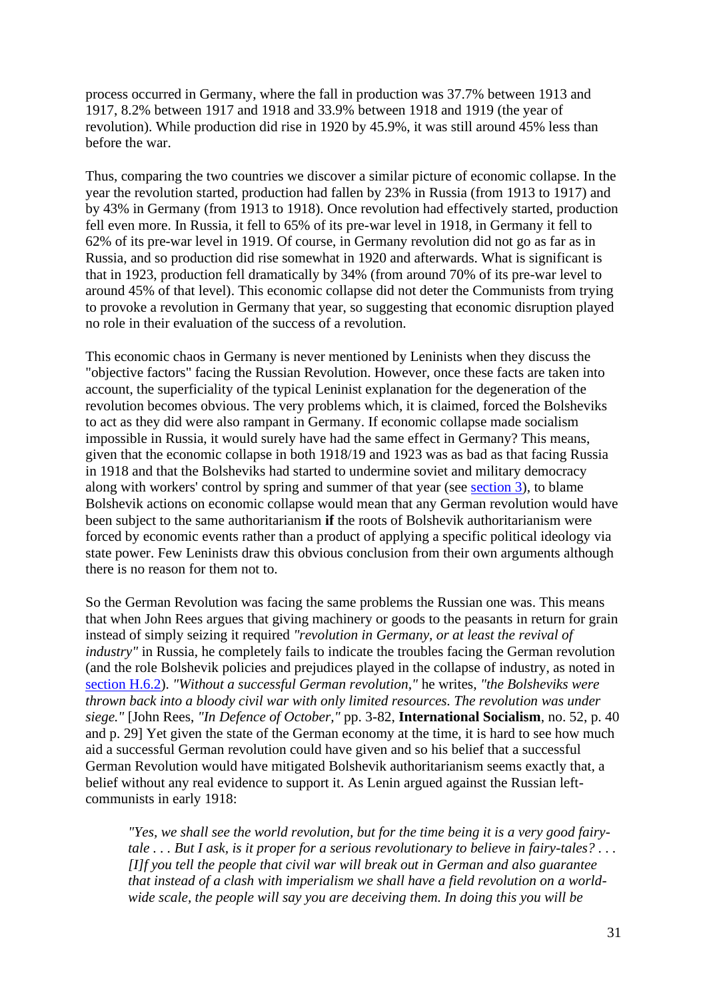process occurred in Germany, where the fall in production was 37.7% between 1913 and 1917, 8.2% between 1917 and 1918 and 33.9% between 1918 and 1919 (the year of revolution). While production did rise in 1920 by 45.9%, it was still around 45% less than before the war.

Thus, comparing the two countries we discover a similar picture of economic collapse. In the year the revolution started, production had fallen by 23% in Russia (from 1913 to 1917) and by 43% in Germany (from 1913 to 1918). Once revolution had effectively started, production fell even more. In Russia, it fell to 65% of its pre-war level in 1918, in Germany it fell to 62% of its pre-war level in 1919. Of course, in Germany revolution did not go as far as in Russia, and so production did rise somewhat in 1920 and afterwards. What is significant is that in 1923, production fell dramatically by 34% (from around 70% of its pre-war level to around 45% of that level). This economic collapse did not deter the Communists from trying to provoke a revolution in Germany that year, so suggesting that economic disruption played no role in their evaluation of the success of a revolution.

This economic chaos in Germany is never mentioned by Leninists when they discuss the "objective factors" facing the Russian Revolution. However, once these facts are taken into account, the superficiality of the typical Leninist explanation for the degeneration of the revolution becomes obvious. The very problems which, it is claimed, forced the Bolsheviks to act as they did were also rampant in Germany. If economic collapse made socialism impossible in Russia, it would surely have had the same effect in Germany? This means, given that the economic collapse in both 1918/19 and 1923 was as bad as that facing Russia in 1918 and that the Bolsheviks had started to undermine soviet and military democracy along with workers' control by spring and summer of that year (see [section 3\)](append43.html#app3), to blame Bolshevik actions on economic collapse would mean that any German revolution would have been subject to the same authoritarianism **if** the roots of Bolshevik authoritarianism were forced by economic events rather than a product of applying a specific political ideology via state power. Few Leninists draw this obvious conclusion from their own arguments although there is no reason for them not to.

So the German Revolution was facing the same problems the Russian one was. This means that when John Rees argues that giving machinery or goods to the peasants in return for grain instead of simply seizing it required *"revolution in Germany, or at least the revival of industry"* in Russia, he completely fails to indicate the troubles facing the German revolution (and the role Bolshevik policies and prejudices played in the collapse of industry, as noted in [section H.6.2\)](sectionH.html#sech62). *"Without a successful German revolution,"* he writes, *"the Bolsheviks were thrown back into a bloody civil war with only limited resources. The revolution was under siege."* [John Rees, *"In Defence of October,"* pp. 3-82, **International Socialism**, no. 52, p. 40 and p. 29] Yet given the state of the German economy at the time, it is hard to see how much aid a successful German revolution could have given and so his belief that a successful German Revolution would have mitigated Bolshevik authoritarianism seems exactly that, a belief without any real evidence to support it. As Lenin argued against the Russian leftcommunists in early 1918:

*"Yes, we shall see the world revolution, but for the time being it is a very good fairytale . . . But I ask, is it proper for a serious revolutionary to believe in fairy-tales? . . . [I]f you tell the people that civil war will break out in German and also guarantee that instead of a clash with imperialism we shall have a field revolution on a worldwide scale, the people will say you are deceiving them. In doing this you will be*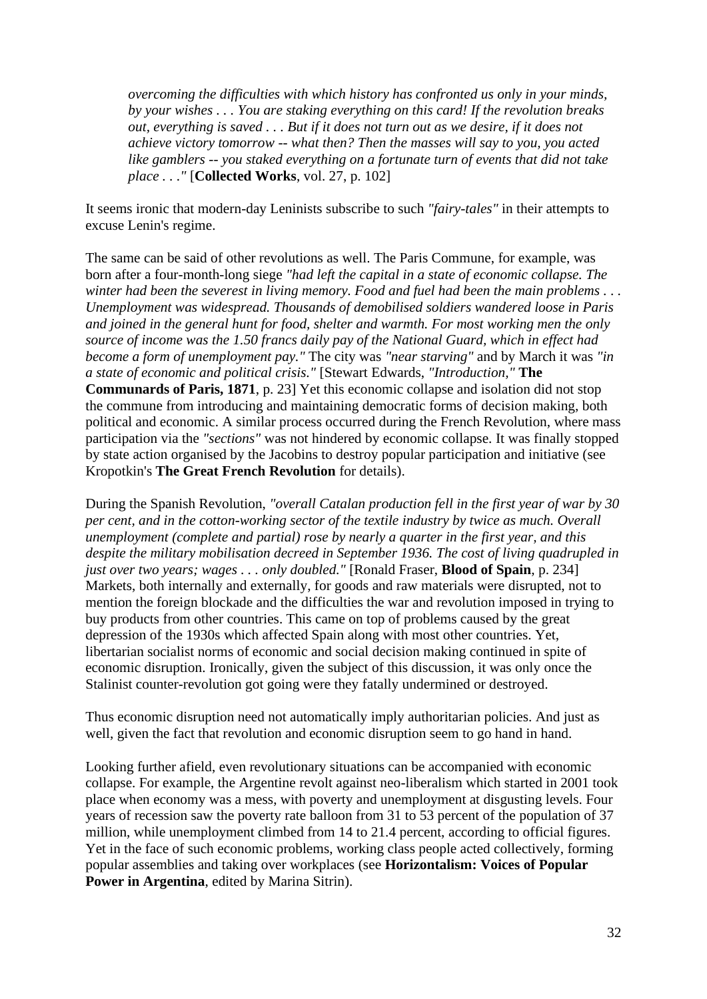*overcoming the difficulties with which history has confronted us only in your minds, by your wishes . . . You are staking everything on this card! If the revolution breaks out, everything is saved . . . But if it does not turn out as we desire, if it does not achieve victory tomorrow -- what then? Then the masses will say to you, you acted like gamblers -- you staked everything on a fortunate turn of events that did not take place . . ."* [**Collected Works**, vol. 27, p. 102]

It seems ironic that modern-day Leninists subscribe to such *"fairy-tales"* in their attempts to excuse Lenin's regime.

The same can be said of other revolutions as well. The Paris Commune, for example, was born after a four-month-long siege *"had left the capital in a state of economic collapse. The winter had been the severest in living memory. Food and fuel had been the main problems . . . Unemployment was widespread. Thousands of demobilised soldiers wandered loose in Paris and joined in the general hunt for food, shelter and warmth. For most working men the only source of income was the 1.50 francs daily pay of the National Guard, which in effect had become a form of unemployment pay."* The city was *"near starving"* and by March it was *"in a state of economic and political crisis."* [Stewart Edwards, *"Introduction,"* **The Communards of Paris, 1871**, p. 23] Yet this economic collapse and isolation did not stop the commune from introducing and maintaining democratic forms of decision making, both political and economic. A similar process occurred during the French Revolution, where mass participation via the *"sections"* was not hindered by economic collapse. It was finally stopped by state action organised by the Jacobins to destroy popular participation and initiative (see Kropotkin's **The Great French Revolution** for details).

During the Spanish Revolution, *"overall Catalan production fell in the first year of war by 30 per cent, and in the cotton-working sector of the textile industry by twice as much. Overall unemployment (complete and partial) rose by nearly a quarter in the first year, and this despite the military mobilisation decreed in September 1936. The cost of living quadrupled in just over two years; wages . . . only doubled."* [Ronald Fraser, **Blood of Spain**, p. 234] Markets, both internally and externally, for goods and raw materials were disrupted, not to mention the foreign blockade and the difficulties the war and revolution imposed in trying to buy products from other countries. This came on top of problems caused by the great depression of the 1930s which affected Spain along with most other countries. Yet, libertarian socialist norms of economic and social decision making continued in spite of economic disruption. Ironically, given the subject of this discussion, it was only once the Stalinist counter-revolution got going were they fatally undermined or destroyed.

Thus economic disruption need not automatically imply authoritarian policies. And just as well, given the fact that revolution and economic disruption seem to go hand in hand.

Looking further afield, even revolutionary situations can be accompanied with economic collapse. For example, the Argentine revolt against neo-liberalism which started in 2001 took place when economy was a mess, with poverty and unemployment at disgusting levels. Four years of recession saw the poverty rate balloon from 31 to 53 percent of the population of 37 million, while unemployment climbed from 14 to 21.4 percent, according to official figures. Yet in the face of such economic problems, working class people acted collectively, forming popular assemblies and taking over workplaces (see **Horizontalism: Voices of Popular Power in Argentina**, edited by Marina Sitrin).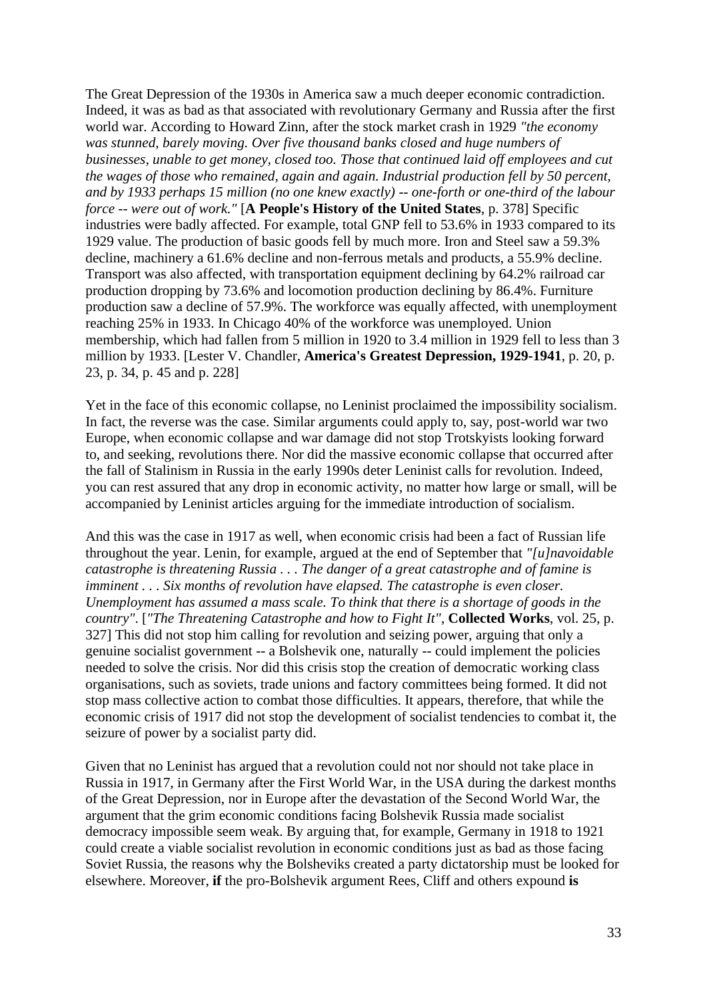The Great Depression of the 1930s in America saw a much deeper economic contradiction. Indeed, it was as bad as that associated with revolutionary Germany and Russia after the first world war. According to Howard Zinn, after the stock market crash in 1929 *"the economy was stunned, barely moving. Over five thousand banks closed and huge numbers of businesses, unable to get money, closed too. Those that continued laid off employees and cut the wages of those who remained, again and again. Industrial production fell by 50 percent, and by 1933 perhaps 15 million (no one knew exactly) -- one-forth or one-third of the labour force -- were out of work."* [**A People's History of the United States**, p. 378] Specific industries were badly affected. For example, total GNP fell to 53.6% in 1933 compared to its 1929 value. The production of basic goods fell by much more. Iron and Steel saw a 59.3% decline, machinery a 61.6% decline and non-ferrous metals and products, a 55.9% decline. Transport was also affected, with transportation equipment declining by 64.2% railroad car production dropping by 73.6% and locomotion production declining by 86.4%. Furniture production saw a decline of 57.9%. The workforce was equally affected, with unemployment reaching 25% in 1933. In Chicago 40% of the workforce was unemployed. Union membership, which had fallen from 5 million in 1920 to 3.4 million in 1929 fell to less than 3 million by 1933. [Lester V. Chandler, **America's Greatest Depression, 1929-1941**, p. 20, p. 23, p. 34, p. 45 and p. 228]

Yet in the face of this economic collapse, no Leninist proclaimed the impossibility socialism. In fact, the reverse was the case. Similar arguments could apply to, say, post-world war two Europe, when economic collapse and war damage did not stop Trotskyists looking forward to, and seeking, revolutions there. Nor did the massive economic collapse that occurred after the fall of Stalinism in Russia in the early 1990s deter Leninist calls for revolution. Indeed, you can rest assured that any drop in economic activity, no matter how large or small, will be accompanied by Leninist articles arguing for the immediate introduction of socialism.

And this was the case in 1917 as well, when economic crisis had been a fact of Russian life throughout the year. Lenin, for example, argued at the end of September that *"[u]navoidable catastrophe is threatening Russia . . . The danger of a great catastrophe and of famine is imminent* . . . Six months of revolution have elapsed. The catastrophe is even closer. *Unemployment has assumed a mass scale. To think that there is a shortage of goods in the country"*. [*"The Threatening Catastrophe and how to Fight It"*, **Collected Works**, vol. 25, p. 327] This did not stop him calling for revolution and seizing power, arguing that only a genuine socialist government -- a Bolshevik one, naturally -- could implement the policies needed to solve the crisis. Nor did this crisis stop the creation of democratic working class organisations, such as soviets, trade unions and factory committees being formed. It did not stop mass collective action to combat those difficulties. It appears, therefore, that while the economic crisis of 1917 did not stop the development of socialist tendencies to combat it, the seizure of power by a socialist party did.

Given that no Leninist has argued that a revolution could not nor should not take place in Russia in 1917, in Germany after the First World War, in the USA during the darkest months of the Great Depression, nor in Europe after the devastation of the Second World War, the argument that the grim economic conditions facing Bolshevik Russia made socialist democracy impossible seem weak. By arguing that, for example, Germany in 1918 to 1921 could create a viable socialist revolution in economic conditions just as bad as those facing Soviet Russia, the reasons why the Bolsheviks created a party dictatorship must be looked for elsewhere. Moreover, **if** the pro-Bolshevik argument Rees, Cliff and others expound **is**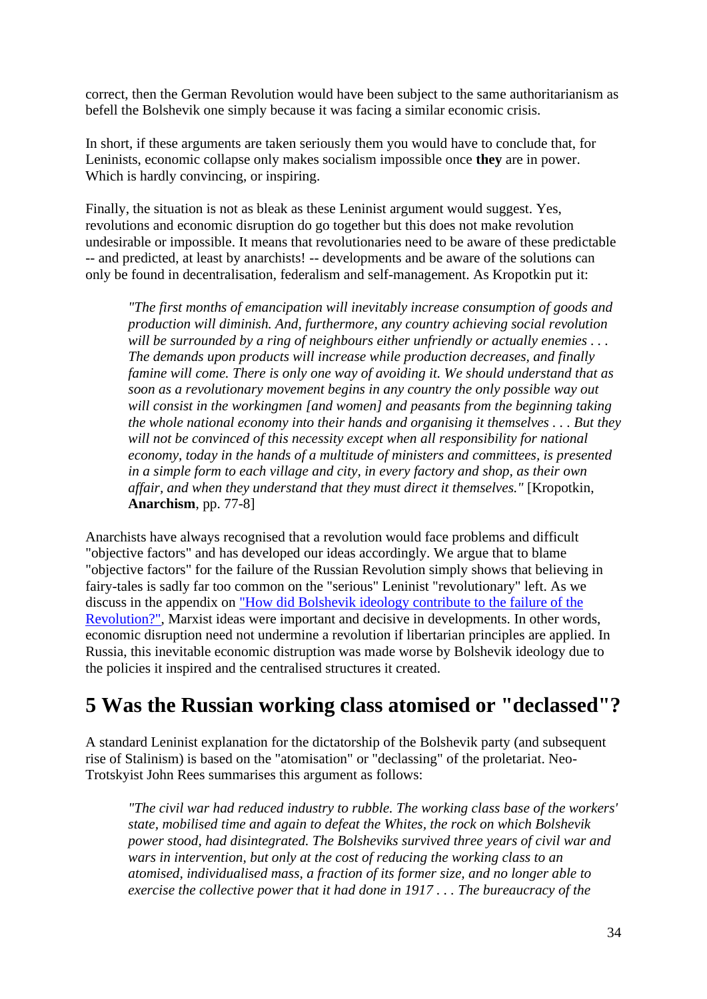correct, then the German Revolution would have been subject to the same authoritarianism as befell the Bolshevik one simply because it was facing a similar economic crisis.

In short, if these arguments are taken seriously them you would have to conclude that, for Leninists, economic collapse only makes socialism impossible once **they** are in power. Which is hardly convincing, or inspiring.

Finally, the situation is not as bleak as these Leninist argument would suggest. Yes, revolutions and economic disruption do go together but this does not make revolution undesirable or impossible. It means that revolutionaries need to be aware of these predictable -- and predicted, at least by anarchists! -- developments and be aware of the solutions can only be found in decentralisation, federalism and self-management. As Kropotkin put it:

*"The first months of emancipation will inevitably increase consumption of goods and production will diminish. And, furthermore, any country achieving social revolution will be surrounded by a ring of neighbours either unfriendly or actually enemies . . . The demands upon products will increase while production decreases, and finally famine will come. There is only one way of avoiding it. We should understand that as soon as a revolutionary movement begins in any country the only possible way out will consist in the workingmen [and women] and peasants from the beginning taking the whole national economy into their hands and organising it themselves . . . But they will not be convinced of this necessity except when all responsibility for national economy, today in the hands of a multitude of ministers and committees, is presented in a simple form to each village and city, in every factory and shop, as their own affair, and when they understand that they must direct it themselves."* [Kropotkin, **Anarchism**, pp. 77-8]

Anarchists have always recognised that a revolution would face problems and difficult "objective factors" and has developed our ideas accordingly. We argue that to blame "objective factors" for the failure of the Russian Revolution simply shows that believing in fairy-tales is sadly far too common on the "serious" Leninist "revolutionary" left. As we discuss in the appendix on ["How did Bolshevik ideology contribute to the failure of the](append44.html)  [Revolution?",](append44.html) Marxist ideas were important and decisive in developments. In other words, economic disruption need not undermine a revolution if libertarian principles are applied. In Russia, this inevitable economic distruption was made worse by Bolshevik ideology due to the policies it inspired and the centralised structures it created.

#### <span id="page-33-0"></span>**5 Was the Russian working class atomised or "declassed"?**

A standard Leninist explanation for the dictatorship of the Bolshevik party (and subsequent rise of Stalinism) is based on the "atomisation" or "declassing" of the proletariat. Neo-Trotskyist John Rees summarises this argument as follows:

*"The civil war had reduced industry to rubble. The working class base of the workers' state, mobilised time and again to defeat the Whites, the rock on which Bolshevik power stood, had disintegrated. The Bolsheviks survived three years of civil war and wars in intervention, but only at the cost of reducing the working class to an atomised, individualised mass, a fraction of its former size, and no longer able to exercise the collective power that it had done in 1917 . . . The bureaucracy of the*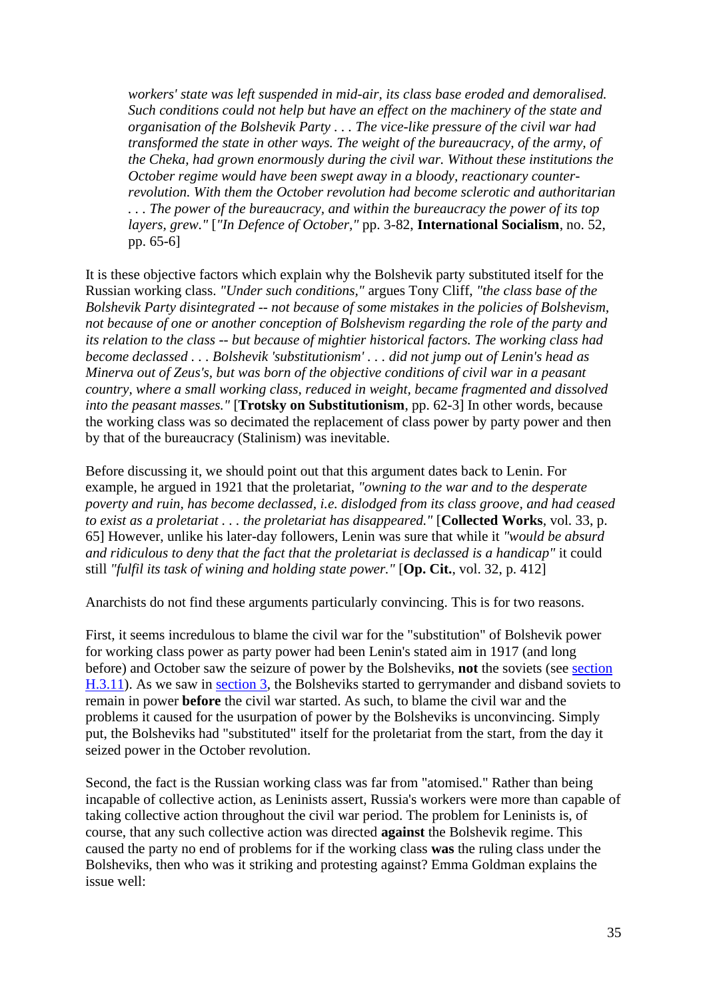*workers' state was left suspended in mid-air, its class base eroded and demoralised. Such conditions could not help but have an effect on the machinery of the state and organisation of the Bolshevik Party . . . The vice-like pressure of the civil war had transformed the state in other ways. The weight of the bureaucracy, of the army, of the Cheka, had grown enormously during the civil war. Without these institutions the October regime would have been swept away in a bloody, reactionary counterrevolution. With them the October revolution had become sclerotic and authoritarian . . . The power of the bureaucracy, and within the bureaucracy the power of its top layers, grew."* [*"In Defence of October,"* pp. 3-82, **International Socialism**, no. 52, pp. 65-6]

It is these objective factors which explain why the Bolshevik party substituted itself for the Russian working class. *"Under such conditions,"* argues Tony Cliff, *"the class base of the Bolshevik Party disintegrated -- not because of some mistakes in the policies of Bolshevism, not because of one or another conception of Bolshevism regarding the role of the party and its relation to the class -- but because of mightier historical factors. The working class had become declassed . . . Bolshevik 'substitutionism' . . . did not jump out of Lenin's head as Minerva out of Zeus's, but was born of the objective conditions of civil war in a peasant country, where a small working class, reduced in weight, became fragmented and dissolved into the peasant masses."* [**Trotsky on Substitutionism**, pp. 62-3] In other words, because the working class was so decimated the replacement of class power by party power and then by that of the bureaucracy (Stalinism) was inevitable.

Before discussing it, we should point out that this argument dates back to Lenin. For example, he argued in 1921 that the proletariat, *"owning to the war and to the desperate poverty and ruin, has become declassed, i.e. dislodged from its class groove, and had ceased to exist as a proletariat . . . the proletariat has disappeared."* [**Collected Works**, vol. 33, p. 65] However, unlike his later-day followers, Lenin was sure that while it *"would be absurd and ridiculous to deny that the fact that the proletariat is declassed is a handicap"* it could still *"fulfil its task of wining and holding state power."* [**Op. Cit.**, vol. 32, p. 412]

Anarchists do not find these arguments particularly convincing. This is for two reasons.

First, it seems incredulous to blame the civil war for the "substitution" of Bolshevik power for working class power as party power had been Lenin's stated aim in 1917 (and long before) and October saw the seizure of power by the Bolsheviks, **not** the soviets (see [section](sectionH.html#sech311)  [H.3.11\)](sectionH.html#sech311). As we saw in [section 3,](append43.html#app3) the Bolsheviks started to gerrymander and disband soviets to remain in power **before** the civil war started. As such, to blame the civil war and the problems it caused for the usurpation of power by the Bolsheviks is unconvincing. Simply put, the Bolsheviks had "substituted" itself for the proletariat from the start, from the day it seized power in the October revolution.

Second, the fact is the Russian working class was far from "atomised." Rather than being incapable of collective action, as Leninists assert, Russia's workers were more than capable of taking collective action throughout the civil war period. The problem for Leninists is, of course, that any such collective action was directed **against** the Bolshevik regime. This caused the party no end of problems for if the working class **was** the ruling class under the Bolsheviks, then who was it striking and protesting against? Emma Goldman explains the issue well: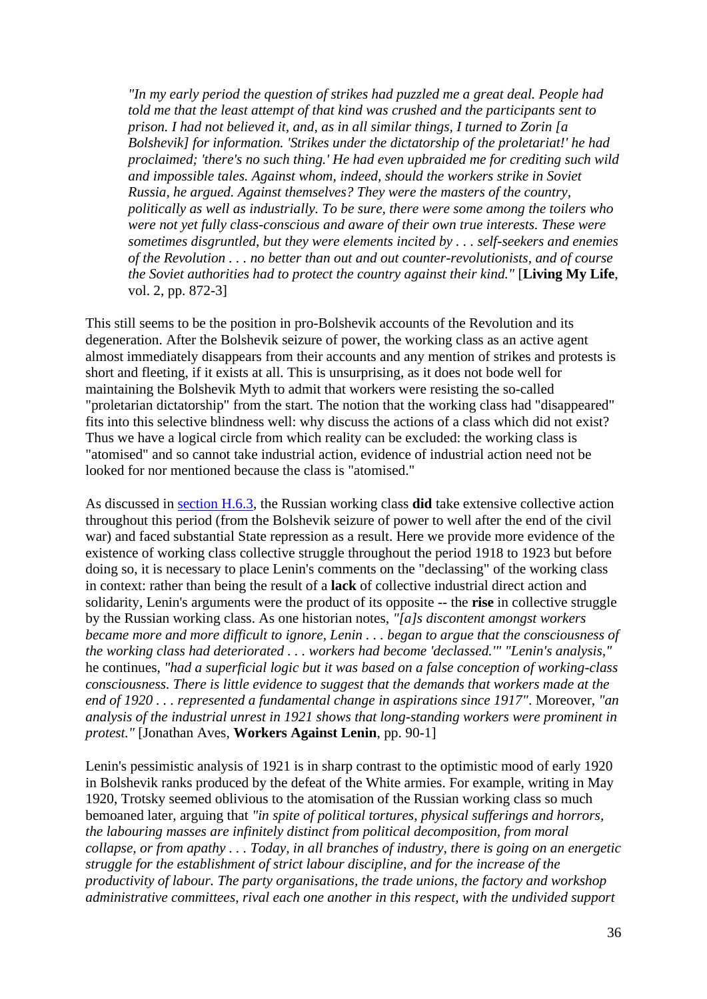*"In my early period the question of strikes had puzzled me a great deal. People had told me that the least attempt of that kind was crushed and the participants sent to prison. I had not believed it, and, as in all similar things, I turned to Zorin [a Bolshevik] for information. 'Strikes under the dictatorship of the proletariat!' he had proclaimed; 'there's no such thing.' He had even upbraided me for crediting such wild and impossible tales. Against whom, indeed, should the workers strike in Soviet Russia, he argued. Against themselves? They were the masters of the country, politically as well as industrially. To be sure, there were some among the toilers who were not yet fully class-conscious and aware of their own true interests. These were sometimes disgruntled, but they were elements incited by . . . self-seekers and enemies of the Revolution . . . no better than out and out counter-revolutionists, and of course the Soviet authorities had to protect the country against their kind."* [**Living My Life**, vol. 2, pp. 872-3]

This still seems to be the position in pro-Bolshevik accounts of the Revolution and its degeneration. After the Bolshevik seizure of power, the working class as an active agent almost immediately disappears from their accounts and any mention of strikes and protests is short and fleeting, if it exists at all. This is unsurprising, as it does not bode well for maintaining the Bolshevik Myth to admit that workers were resisting the so-called "proletarian dictatorship" from the start. The notion that the working class had "disappeared" fits into this selective blindness well: why discuss the actions of a class which did not exist? Thus we have a logical circle from which reality can be excluded: the working class is "atomised" and so cannot take industrial action, evidence of industrial action need not be looked for nor mentioned because the class is "atomised."

As discussed in [section H.6.3,](sectionH.html#sech63) the Russian working class **did** take extensive collective action throughout this period (from the Bolshevik seizure of power to well after the end of the civil war) and faced substantial State repression as a result. Here we provide more evidence of the existence of working class collective struggle throughout the period 1918 to 1923 but before doing so, it is necessary to place Lenin's comments on the "declassing" of the working class in context: rather than being the result of a **lack** of collective industrial direct action and solidarity, Lenin's arguments were the product of its opposite -- the **rise** in collective struggle by the Russian working class. As one historian notes, *"[a]s discontent amongst workers became more and more difficult to ignore, Lenin . . . began to argue that the consciousness of the working class had deteriorated . . . workers had become 'declassed.'" "Lenin's analysis,"* he continues, *"had a superficial logic but it was based on a false conception of working-class consciousness. There is little evidence to suggest that the demands that workers made at the end of 1920 . . . represented a fundamental change in aspirations since 1917"*. Moreover, *"an analysis of the industrial unrest in 1921 shows that long-standing workers were prominent in protest."* [Jonathan Aves, **Workers Against Lenin**, pp. 90-1]

Lenin's pessimistic analysis of 1921 is in sharp contrast to the optimistic mood of early 1920 in Bolshevik ranks produced by the defeat of the White armies. For example, writing in May 1920, Trotsky seemed oblivious to the atomisation of the Russian working class so much bemoaned later, arguing that *"in spite of political tortures, physical sufferings and horrors, the labouring masses are infinitely distinct from political decomposition, from moral collapse, or from apathy . . . Today, in all branches of industry, there is going on an energetic struggle for the establishment of strict labour discipline, and for the increase of the productivity of labour. The party organisations, the trade unions, the factory and workshop administrative committees, rival each one another in this respect, with the undivided support*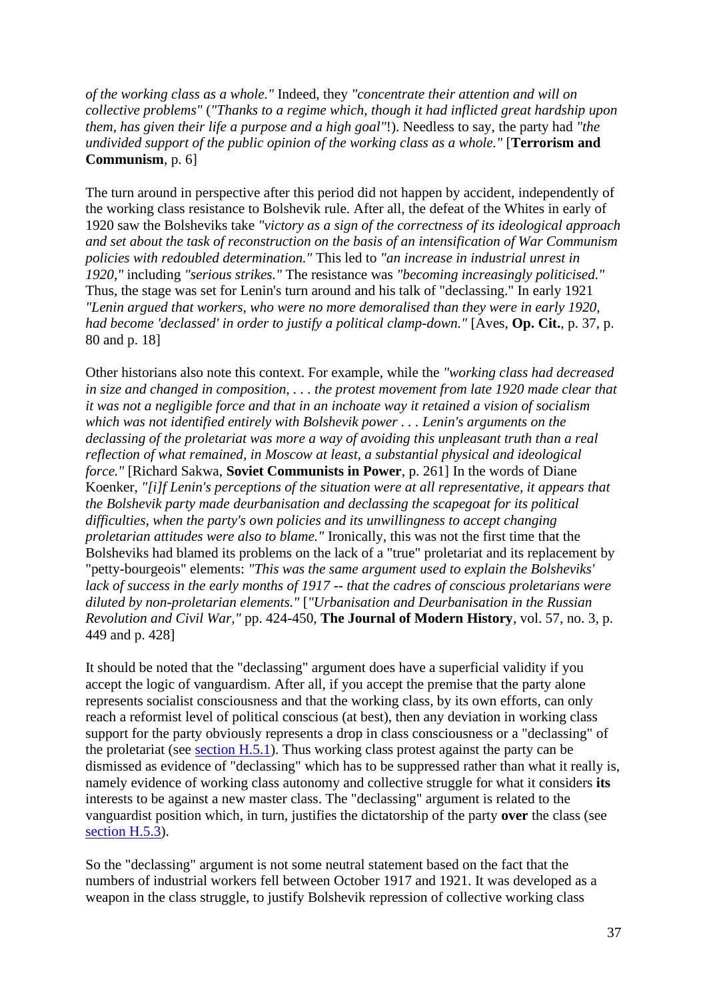*of the working class as a whole."* Indeed, they *"concentrate their attention and will on collective problems"* (*"Thanks to a regime which, though it had inflicted great hardship upon them, has given their life a purpose and a high goal"*!). Needless to say, the party had *"the undivided support of the public opinion of the working class as a whole."* [**Terrorism and Communism**, p. 6]

The turn around in perspective after this period did not happen by accident, independently of the working class resistance to Bolshevik rule. After all, the defeat of the Whites in early of 1920 saw the Bolsheviks take *"victory as a sign of the correctness of its ideological approach and set about the task of reconstruction on the basis of an intensification of War Communism policies with redoubled determination."* This led to *"an increase in industrial unrest in 1920,"* including *"serious strikes."* The resistance was *"becoming increasingly politicised."* Thus, the stage was set for Lenin's turn around and his talk of "declassing." In early 1921 *"Lenin argued that workers, who were no more demoralised than they were in early 1920, had become 'declassed' in order to justify a political clamp-down."* [Aves, **Op. Cit.**, p. 37, p. 80 and p. 18]

Other historians also note this context. For example, while the *"working class had decreased in size and changed in composition, . . . the protest movement from late 1920 made clear that it was not a negligible force and that in an inchoate way it retained a vision of socialism which was not identified entirely with Bolshevik power . . . Lenin's arguments on the declassing of the proletariat was more a way of avoiding this unpleasant truth than a real reflection of what remained, in Moscow at least, a substantial physical and ideological force."* [Richard Sakwa, **Soviet Communists in Power**, p. 261] In the words of Diane Koenker, *"[i]f Lenin's perceptions of the situation were at all representative, it appears that the Bolshevik party made deurbanisation and declassing the scapegoat for its political difficulties, when the party's own policies and its unwillingness to accept changing proletarian attitudes were also to blame."* Ironically, this was not the first time that the Bolsheviks had blamed its problems on the lack of a "true" proletariat and its replacement by "petty-bourgeois" elements: *"This was the same argument used to explain the Bolsheviks' lack of success in the early months of 1917 -- that the cadres of conscious proletarians were diluted by non-proletarian elements."* [*"Urbanisation and Deurbanisation in the Russian Revolution and Civil War,"* pp. 424-450, **The Journal of Modern History**, vol. 57, no. 3, p. 449 and p. 428]

It should be noted that the "declassing" argument does have a superficial validity if you accept the logic of vanguardism. After all, if you accept the premise that the party alone represents socialist consciousness and that the working class, by its own efforts, can only reach a reformist level of political conscious (at best), then any deviation in working class support for the party obviously represents a drop in class consciousness or a "declassing" of the proletariat (see [section H.5.1\)](sectionH.html#sech51). Thus working class protest against the party can be dismissed as evidence of "declassing" which has to be suppressed rather than what it really is, namely evidence of working class autonomy and collective struggle for what it considers **its** interests to be against a new master class. The "declassing" argument is related to the vanguardist position which, in turn, justifies the dictatorship of the party **over** the class (see [section H.5.3\)](sectionH.html#sech53).

So the "declassing" argument is not some neutral statement based on the fact that the numbers of industrial workers fell between October 1917 and 1921. It was developed as a weapon in the class struggle, to justify Bolshevik repression of collective working class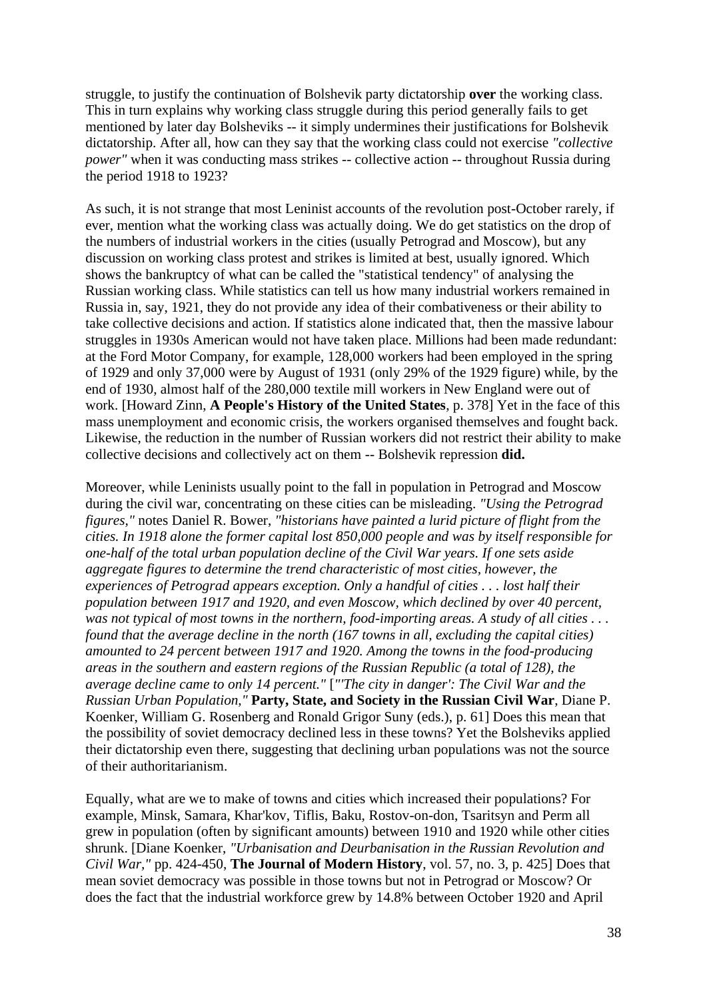struggle, to justify the continuation of Bolshevik party dictatorship **over** the working class. This in turn explains why working class struggle during this period generally fails to get mentioned by later day Bolsheviks -- it simply undermines their justifications for Bolshevik dictatorship. After all, how can they say that the working class could not exercise *"collective power*" when it was conducting mass strikes -- collective action -- throughout Russia during the period 1918 to 1923?

As such, it is not strange that most Leninist accounts of the revolution post-October rarely, if ever, mention what the working class was actually doing. We do get statistics on the drop of the numbers of industrial workers in the cities (usually Petrograd and Moscow), but any discussion on working class protest and strikes is limited at best, usually ignored. Which shows the bankruptcy of what can be called the "statistical tendency" of analysing the Russian working class. While statistics can tell us how many industrial workers remained in Russia in, say, 1921, they do not provide any idea of their combativeness or their ability to take collective decisions and action. If statistics alone indicated that, then the massive labour struggles in 1930s American would not have taken place. Millions had been made redundant: at the Ford Motor Company, for example, 128,000 workers had been employed in the spring of 1929 and only 37,000 were by August of 1931 (only 29% of the 1929 figure) while, by the end of 1930, almost half of the 280,000 textile mill workers in New England were out of work. [Howard Zinn, **A People's History of the United States**, p. 378] Yet in the face of this mass unemployment and economic crisis, the workers organised themselves and fought back. Likewise, the reduction in the number of Russian workers did not restrict their ability to make collective decisions and collectively act on them -- Bolshevik repression **did.**

Moreover, while Leninists usually point to the fall in population in Petrograd and Moscow during the civil war, concentrating on these cities can be misleading. *"Using the Petrograd figures,"* notes Daniel R. Bower, *"historians have painted a lurid picture of flight from the cities. In 1918 alone the former capital lost 850,000 people and was by itself responsible for one-half of the total urban population decline of the Civil War years. If one sets aside aggregate figures to determine the trend characteristic of most cities, however, the experiences of Petrograd appears exception. Only a handful of cities . . . lost half their population between 1917 and 1920, and even Moscow, which declined by over 40 percent, was not typical of most towns in the northern, food-importing areas. A study of all cities . . . found that the average decline in the north (167 towns in all, excluding the capital cities) amounted to 24 percent between 1917 and 1920. Among the towns in the food-producing areas in the southern and eastern regions of the Russian Republic (a total of 128), the average decline came to only 14 percent."* [*"'The city in danger': The Civil War and the Russian Urban Population,"* **Party, State, and Society in the Russian Civil War**, Diane P. Koenker, William G. Rosenberg and Ronald Grigor Suny (eds.), p. 61] Does this mean that the possibility of soviet democracy declined less in these towns? Yet the Bolsheviks applied their dictatorship even there, suggesting that declining urban populations was not the source of their authoritarianism.

Equally, what are we to make of towns and cities which increased their populations? For example, Minsk, Samara, Khar'kov, Tiflis, Baku, Rostov-on-don, Tsaritsyn and Perm all grew in population (often by significant amounts) between 1910 and 1920 while other cities shrunk. [Diane Koenker, *"Urbanisation and Deurbanisation in the Russian Revolution and Civil War,"* pp. 424-450, **The Journal of Modern History**, vol. 57, no. 3, p. 425] Does that mean soviet democracy was possible in those towns but not in Petrograd or Moscow? Or does the fact that the industrial workforce grew by 14.8% between October 1920 and April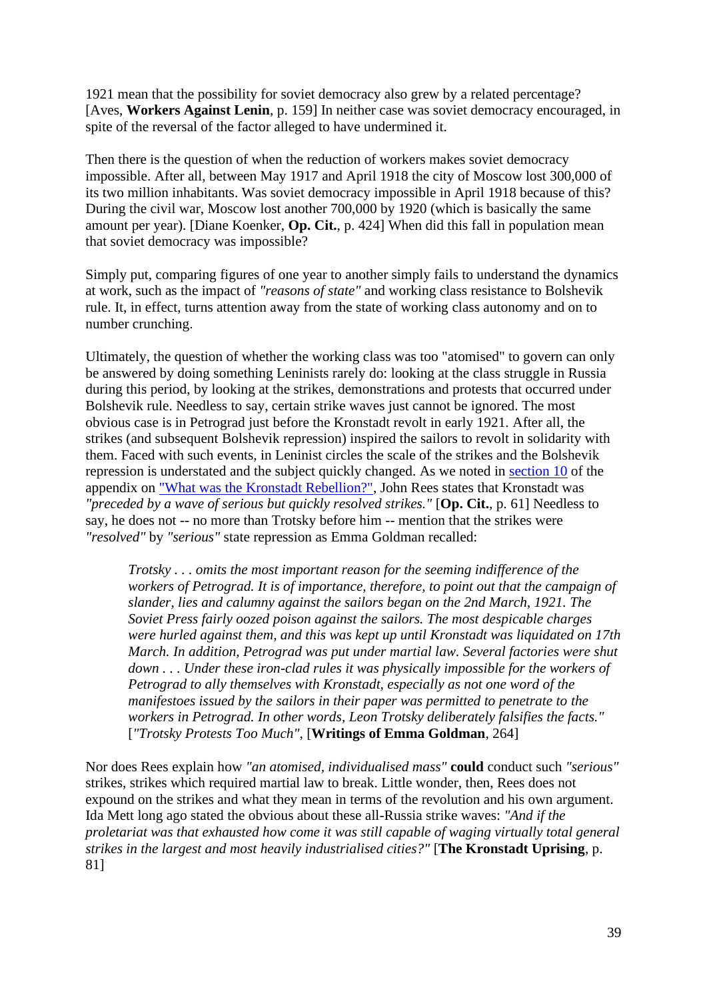1921 mean that the possibility for soviet democracy also grew by a related percentage? [Aves, **Workers Against Lenin**, p. 159] In neither case was soviet democracy encouraged, in spite of the reversal of the factor alleged to have undermined it.

Then there is the question of when the reduction of workers makes soviet democracy impossible. After all, between May 1917 and April 1918 the city of Moscow lost 300,000 of its two million inhabitants. Was soviet democracy impossible in April 1918 because of this? During the civil war, Moscow lost another 700,000 by 1920 (which is basically the same amount per year). [Diane Koenker, **Op. Cit.**, p. 424] When did this fall in population mean that soviet democracy was impossible?

Simply put, comparing figures of one year to another simply fails to understand the dynamics at work, such as the impact of *"reasons of state"* and working class resistance to Bolshevik rule. It, in effect, turns attention away from the state of working class autonomy and on to number crunching.

Ultimately, the question of whether the working class was too "atomised" to govern can only be answered by doing something Leninists rarely do: looking at the class struggle in Russia during this period, by looking at the strikes, demonstrations and protests that occurred under Bolshevik rule. Needless to say, certain strike waves just cannot be ignored. The most obvious case is in Petrograd just before the Kronstadt revolt in early 1921. After all, the strikes (and subsequent Bolshevik repression) inspired the sailors to revolt in solidarity with them. Faced with such events, in Leninist circles the scale of the strikes and the Bolshevik repression is understated and the subject quickly changed. As we noted in [section 10](append42.html#app10) of the appendix on ["What was the Kronstadt Rebellion?",](append42.html) John Rees states that Kronstadt was *"preceded by a wave of serious but quickly resolved strikes."* [**Op. Cit.**, p. 61] Needless to say, he does not -- no more than Trotsky before him -- mention that the strikes were *"resolved"* by *"serious"* state repression as Emma Goldman recalled:

*Trotsky . . . omits the most important reason for the seeming indifference of the workers of Petrograd. It is of importance, therefore, to point out that the campaign of slander, lies and calumny against the sailors began on the 2nd March, 1921. The Soviet Press fairly oozed poison against the sailors. The most despicable charges were hurled against them, and this was kept up until Kronstadt was liquidated on 17th March. In addition, Petrograd was put under martial law. Several factories were shut down . . . Under these iron-clad rules it was physically impossible for the workers of Petrograd to ally themselves with Kronstadt, especially as not one word of the manifestoes issued by the sailors in their paper was permitted to penetrate to the workers in Petrograd. In other words, Leon Trotsky deliberately falsifies the facts."* [*"Trotsky Protests Too Much"*, [**Writings of Emma Goldman**, 264]

Nor does Rees explain how *"an atomised, individualised mass"* **could** conduct such *"serious"* strikes, strikes which required martial law to break. Little wonder, then, Rees does not expound on the strikes and what they mean in terms of the revolution and his own argument. Ida Mett long ago stated the obvious about these all-Russia strike waves: *"And if the proletariat was that exhausted how come it was still capable of waging virtually total general strikes in the largest and most heavily industrialised cities?"* [**The Kronstadt Uprising**, p. 81]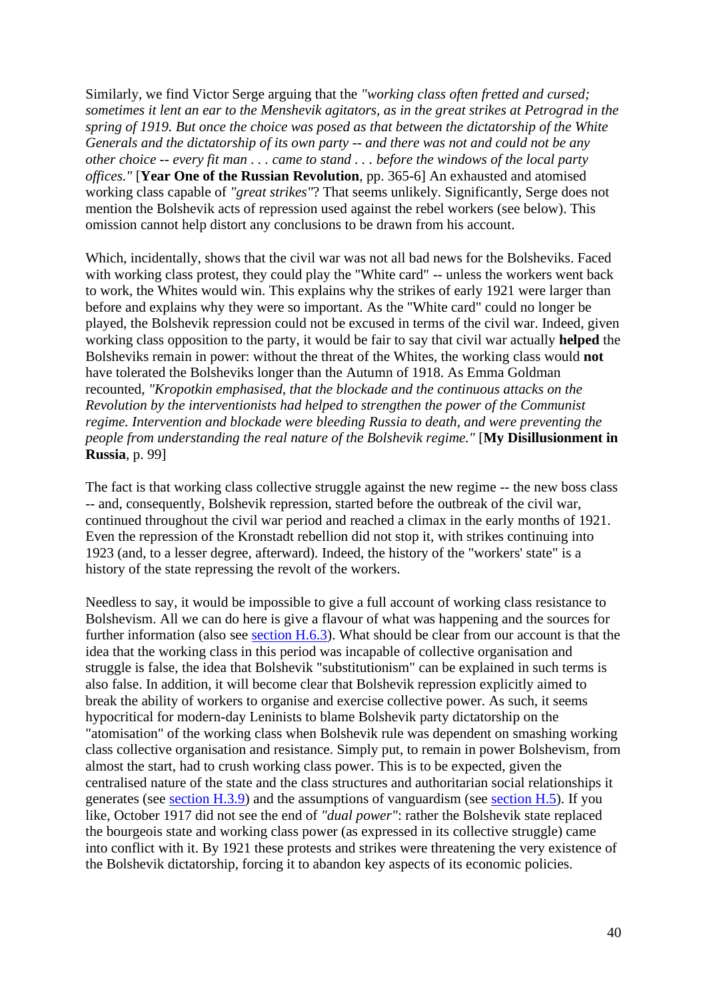Similarly, we find Victor Serge arguing that the *"working class often fretted and cursed; sometimes it lent an ear to the Menshevik agitators, as in the great strikes at Petrograd in the spring of 1919. But once the choice was posed as that between the dictatorship of the White Generals and the dictatorship of its own party -- and there was not and could not be any other choice -- every fit man . . . came to stand . . . before the windows of the local party offices."* [**Year One of the Russian Revolution**, pp. 365-6] An exhausted and atomised working class capable of *"great strikes"*? That seems unlikely. Significantly, Serge does not mention the Bolshevik acts of repression used against the rebel workers (see below). This omission cannot help distort any conclusions to be drawn from his account.

Which, incidentally, shows that the civil war was not all bad news for the Bolsheviks. Faced with working class protest, they could play the "White card" -- unless the workers went back to work, the Whites would win. This explains why the strikes of early 1921 were larger than before and explains why they were so important. As the "White card" could no longer be played, the Bolshevik repression could not be excused in terms of the civil war. Indeed, given working class opposition to the party, it would be fair to say that civil war actually **helped** the Bolsheviks remain in power: without the threat of the Whites, the working class would **not** have tolerated the Bolsheviks longer than the Autumn of 1918. As Emma Goldman recounted, *"Kropotkin emphasised, that the blockade and the continuous attacks on the Revolution by the interventionists had helped to strengthen the power of the Communist regime. Intervention and blockade were bleeding Russia to death, and were preventing the people from understanding the real nature of the Bolshevik regime."* [**My Disillusionment in Russia**, p. 99]

The fact is that working class collective struggle against the new regime -- the new boss class -- and, consequently, Bolshevik repression, started before the outbreak of the civil war, continued throughout the civil war period and reached a climax in the early months of 1921. Even the repression of the Kronstadt rebellion did not stop it, with strikes continuing into 1923 (and, to a lesser degree, afterward). Indeed, the history of the "workers' state" is a history of the state repressing the revolt of the workers.

Needless to say, it would be impossible to give a full account of working class resistance to Bolshevism. All we can do here is give a flavour of what was happening and the sources for further information (also see [section H.6.3\)](sectionH.html#sech63). What should be clear from our account is that the idea that the working class in this period was incapable of collective organisation and struggle is false, the idea that Bolshevik "substitutionism" can be explained in such terms is also false. In addition, it will become clear that Bolshevik repression explicitly aimed to break the ability of workers to organise and exercise collective power. As such, it seems hypocritical for modern-day Leninists to blame Bolshevik party dictatorship on the "atomisation" of the working class when Bolshevik rule was dependent on smashing working class collective organisation and resistance. Simply put, to remain in power Bolshevism, from almost the start, had to crush working class power. This is to be expected, given the centralised nature of the state and the class structures and authoritarian social relationships it generates (see [section H.3.9\)](sectionH.html#sech39) and the assumptions of vanguardism (see [section H.5\)](sectionH.html#sech53). If you like, October 1917 did not see the end of *"dual power"*: rather the Bolshevik state replaced the bourgeois state and working class power (as expressed in its collective struggle) came into conflict with it. By 1921 these protests and strikes were threatening the very existence of the Bolshevik dictatorship, forcing it to abandon key aspects of its economic policies.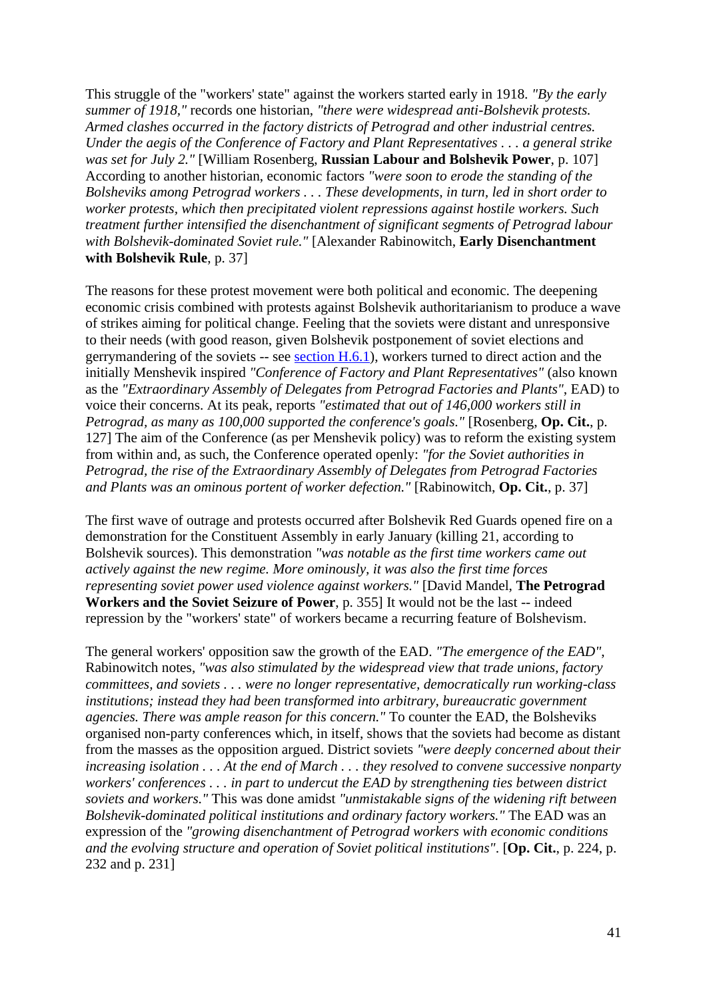This struggle of the "workers' state" against the workers started early in 1918. *"By the early summer of 1918,"* records one historian, *"there were widespread anti-Bolshevik protests. Armed clashes occurred in the factory districts of Petrograd and other industrial centres. Under the aegis of the Conference of Factory and Plant Representatives . . . a general strike was set for July 2."* [William Rosenberg, **Russian Labour and Bolshevik Power**, p. 107] According to another historian, economic factors *"were soon to erode the standing of the Bolsheviks among Petrograd workers . . . These developments, in turn, led in short order to worker protests, which then precipitated violent repressions against hostile workers. Such treatment further intensified the disenchantment of significant segments of Petrograd labour with Bolshevik-dominated Soviet rule."* [Alexander Rabinowitch, **Early Disenchantment with Bolshevik Rule**, p. 37]

The reasons for these protest movement were both political and economic. The deepening economic crisis combined with protests against Bolshevik authoritarianism to produce a wave of strikes aiming for political change. Feeling that the soviets were distant and unresponsive to their needs (with good reason, given Bolshevik postponement of soviet elections and gerrymandering of the soviets -- see [section H.6.1\)](sectionH.html#sech61), workers turned to direct action and the initially Menshevik inspired *"Conference of Factory and Plant Representatives"* (also known as the *"Extraordinary Assembly of Delegates from Petrograd Factories and Plants"*, EAD) to voice their concerns. At its peak, reports *"estimated that out of 146,000 workers still in Petrograd, as many as 100,000 supported the conference's goals."* [Rosenberg, **Op. Cit.**, p. 127] The aim of the Conference (as per Menshevik policy) was to reform the existing system from within and, as such, the Conference operated openly: *"for the Soviet authorities in Petrograd, the rise of the Extraordinary Assembly of Delegates from Petrograd Factories and Plants was an ominous portent of worker defection."* [Rabinowitch, **Op. Cit.**, p. 37]

The first wave of outrage and protests occurred after Bolshevik Red Guards opened fire on a demonstration for the Constituent Assembly in early January (killing 21, according to Bolshevik sources). This demonstration *"was notable as the first time workers came out actively against the new regime. More ominously, it was also the first time forces representing soviet power used violence against workers."* [David Mandel, **The Petrograd Workers and the Soviet Seizure of Power**, p. 355] It would not be the last -- indeed repression by the "workers' state" of workers became a recurring feature of Bolshevism.

The general workers' opposition saw the growth of the EAD. *"The emergence of the EAD"*, Rabinowitch notes, *"was also stimulated by the widespread view that trade unions, factory committees, and soviets . . . were no longer representative, democratically run working-class institutions; instead they had been transformed into arbitrary, bureaucratic government agencies. There was ample reason for this concern."* To counter the EAD, the Bolsheviks organised non-party conferences which, in itself, shows that the soviets had become as distant from the masses as the opposition argued. District soviets *"were deeply concerned about their increasing isolation . . . At the end of March . . . they resolved to convene successive nonparty workers' conferences . . . in part to undercut the EAD by strengthening ties between district soviets and workers."* This was done amidst *"unmistakable signs of the widening rift between Bolshevik-dominated political institutions and ordinary factory workers."* The EAD was an expression of the *"growing disenchantment of Petrograd workers with economic conditions and the evolving structure and operation of Soviet political institutions"*. [**Op. Cit.**, p. 224, p. 232 and p. 231]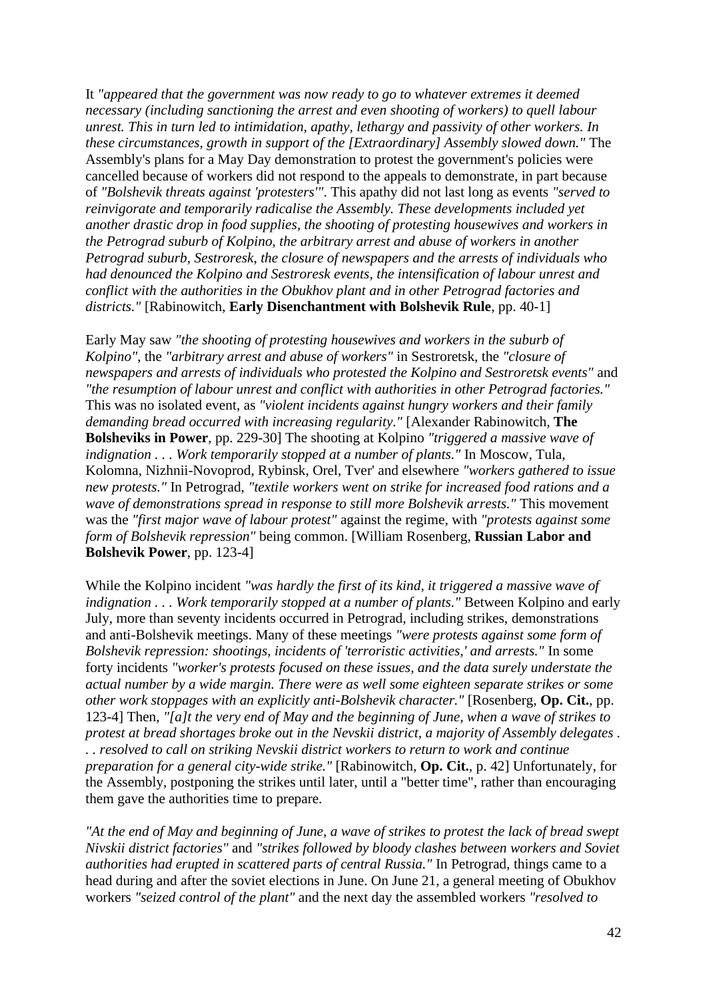It *"appeared that the government was now ready to go to whatever extremes it deemed necessary (including sanctioning the arrest and even shooting of workers) to quell labour unrest. This in turn led to intimidation, apathy, lethargy and passivity of other workers. In these circumstances, growth in support of the [Extraordinary] Assembly slowed down."* The Assembly's plans for a May Day demonstration to protest the government's policies were cancelled because of workers did not respond to the appeals to demonstrate, in part because of *"Bolshevik threats against 'protesters'"*. This apathy did not last long as events *"served to reinvigorate and temporarily radicalise the Assembly. These developments included yet another drastic drop in food supplies, the shooting of protesting housewives and workers in the Petrograd suburb of Kolpino, the arbitrary arrest and abuse of workers in another Petrograd suburb, Sestroresk, the closure of newspapers and the arrests of individuals who had denounced the Kolpino and Sestroresk events, the intensification of labour unrest and conflict with the authorities in the Obukhov plant and in other Petrograd factories and districts."* [Rabinowitch, **Early Disenchantment with Bolshevik Rule**, pp. 40-1]

Early May saw *"the shooting of protesting housewives and workers in the suburb of Kolpino"*, the *"arbitrary arrest and abuse of workers"* in Sestroretsk, the *"closure of newspapers and arrests of individuals who protested the Kolpino and Sestroretsk events"* and *"the resumption of labour unrest and conflict with authorities in other Petrograd factories."* This was no isolated event, as *"violent incidents against hungry workers and their family demanding bread occurred with increasing regularity."* [Alexander Rabinowitch, **The Bolsheviks in Power**, pp. 229-30] The shooting at Kolpino *"triggered a massive wave of indignation . . . Work temporarily stopped at a number of plants."* In Moscow, Tula, Kolomna, Nizhnii-Novoprod, Rybinsk, Orel, Tver' and elsewhere *"workers gathered to issue new protests."* In Petrograd, *"textile workers went on strike for increased food rations and a wave of demonstrations spread in response to still more Bolshevik arrests."* This movement was the *"first major wave of labour protest"* against the regime, with *"protests against some form of Bolshevik repression"* being common. [William Rosenberg, **Russian Labor and Bolshevik Power**, pp. 123-4]

While the Kolpino incident *"was hardly the first of its kind, it triggered a massive wave of indignation . . . Work temporarily stopped at a number of plants."* Between Kolpino and early July, more than seventy incidents occurred in Petrograd, including strikes, demonstrations and anti-Bolshevik meetings. Many of these meetings *"were protests against some form of Bolshevik repression: shootings, incidents of 'terroristic activities,' and arrests."* In some forty incidents *"worker's protests focused on these issues, and the data surely understate the actual number by a wide margin. There were as well some eighteen separate strikes or some other work stoppages with an explicitly anti-Bolshevik character."* [Rosenberg, **Op. Cit.**, pp. 123-4] Then, *"[a]t the very end of May and the beginning of June, when a wave of strikes to protest at bread shortages broke out in the Nevskii district, a majority of Assembly delegates . . . resolved to call on striking Nevskii district workers to return to work and continue preparation for a general city-wide strike."* [Rabinowitch, **Op. Cit.**, p. 42] Unfortunately, for the Assembly, postponing the strikes until later, until a "better time", rather than encouraging them gave the authorities time to prepare.

*"At the end of May and beginning of June, a wave of strikes to protest the lack of bread swept Nivskii district factories"* and *"strikes followed by bloody clashes between workers and Soviet authorities had erupted in scattered parts of central Russia."* In Petrograd, things came to a head during and after the soviet elections in June. On June 21, a general meeting of Obukhov workers *"seized control of the plant"* and the next day the assembled workers *"resolved to*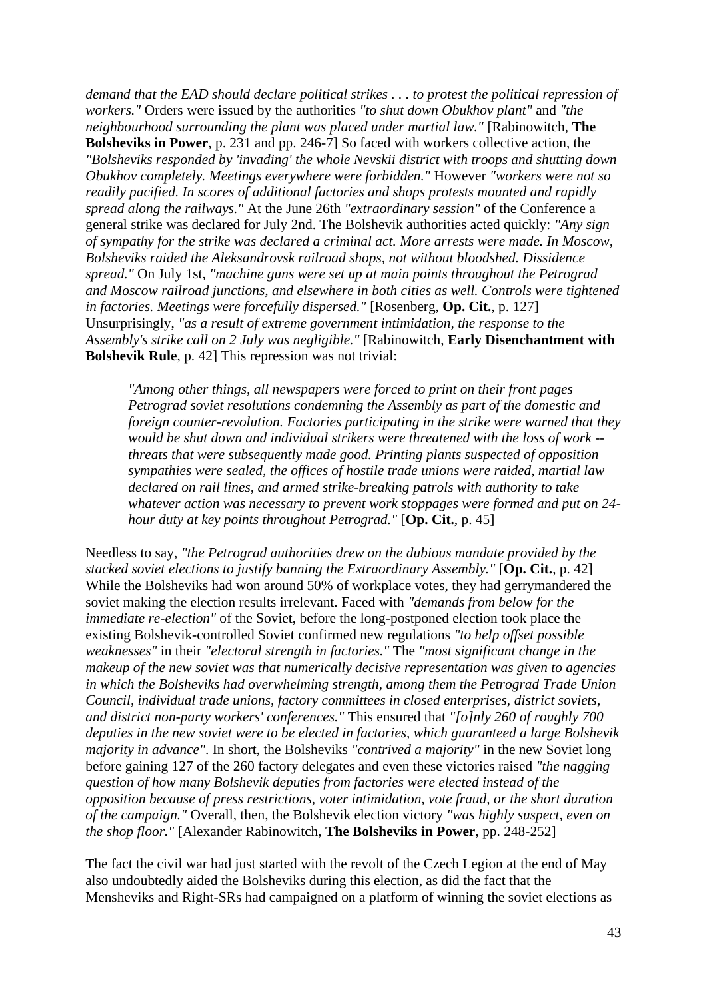*demand that the EAD should declare political strikes . . . to protest the political repression of workers."* Orders were issued by the authorities *"to shut down Obukhov plant"* and *"the neighbourhood surrounding the plant was placed under martial law."* [Rabinowitch, **The Bolsheviks in Power**, p. 231 and pp. 246-7] So faced with workers collective action, the *"Bolsheviks responded by 'invading' the whole Nevskii district with troops and shutting down Obukhov completely. Meetings everywhere were forbidden."* However *"workers were not so readily pacified. In scores of additional factories and shops protests mounted and rapidly spread along the railways."* At the June 26th *"extraordinary session"* of the Conference a general strike was declared for July 2nd. The Bolshevik authorities acted quickly: *"Any sign of sympathy for the strike was declared a criminal act. More arrests were made. In Moscow, Bolsheviks raided the Aleksandrovsk railroad shops, not without bloodshed. Dissidence spread."* On July 1st, *"machine guns were set up at main points throughout the Petrograd and Moscow railroad junctions, and elsewhere in both cities as well. Controls were tightened in factories. Meetings were forcefully dispersed."* [Rosenberg, **Op. Cit.**, p. 127] Unsurprisingly, *"as a result of extreme government intimidation, the response to the Assembly's strike call on 2 July was negligible."* [Rabinowitch, **Early Disenchantment with Bolshevik Rule**, p. 42] This repression was not trivial:

*"Among other things, all newspapers were forced to print on their front pages Petrograd soviet resolutions condemning the Assembly as part of the domestic and foreign counter-revolution. Factories participating in the strike were warned that they would be shut down and individual strikers were threatened with the loss of work - threats that were subsequently made good. Printing plants suspected of opposition sympathies were sealed, the offices of hostile trade unions were raided, martial law declared on rail lines, and armed strike-breaking patrols with authority to take whatever action was necessary to prevent work stoppages were formed and put on 24 hour duty at key points throughout Petrograd."* [**Op. Cit.**, p. 45]

Needless to say, *"the Petrograd authorities drew on the dubious mandate provided by the stacked soviet elections to justify banning the Extraordinary Assembly."* [**Op. Cit.**, p. 42] While the Bolsheviks had won around 50% of workplace votes, they had gerrymandered the soviet making the election results irrelevant. Faced with *"demands from below for the immediate re-election*" of the Soviet, before the long-postponed election took place the existing Bolshevik-controlled Soviet confirmed new regulations *"to help offset possible weaknesses"* in their *"electoral strength in factories."* The *"most significant change in the makeup of the new soviet was that numerically decisive representation was given to agencies in which the Bolsheviks had overwhelming strength, among them the Petrograd Trade Union Council, individual trade unions, factory committees in closed enterprises, district soviets, and district non-party workers' conferences."* This ensured that *"[o]nly 260 of roughly 700 deputies in the new soviet were to be elected in factories, which guaranteed a large Bolshevik majority in advance"*. In short, the Bolsheviks *"contrived a majority"* in the new Soviet long before gaining 127 of the 260 factory delegates and even these victories raised *"the nagging question of how many Bolshevik deputies from factories were elected instead of the opposition because of press restrictions, voter intimidation, vote fraud, or the short duration of the campaign."* Overall, then, the Bolshevik election victory *"was highly suspect, even on the shop floor."* [Alexander Rabinowitch, **The Bolsheviks in Power**, pp. 248-252]

The fact the civil war had just started with the revolt of the Czech Legion at the end of May also undoubtedly aided the Bolsheviks during this election, as did the fact that the Mensheviks and Right-SRs had campaigned on a platform of winning the soviet elections as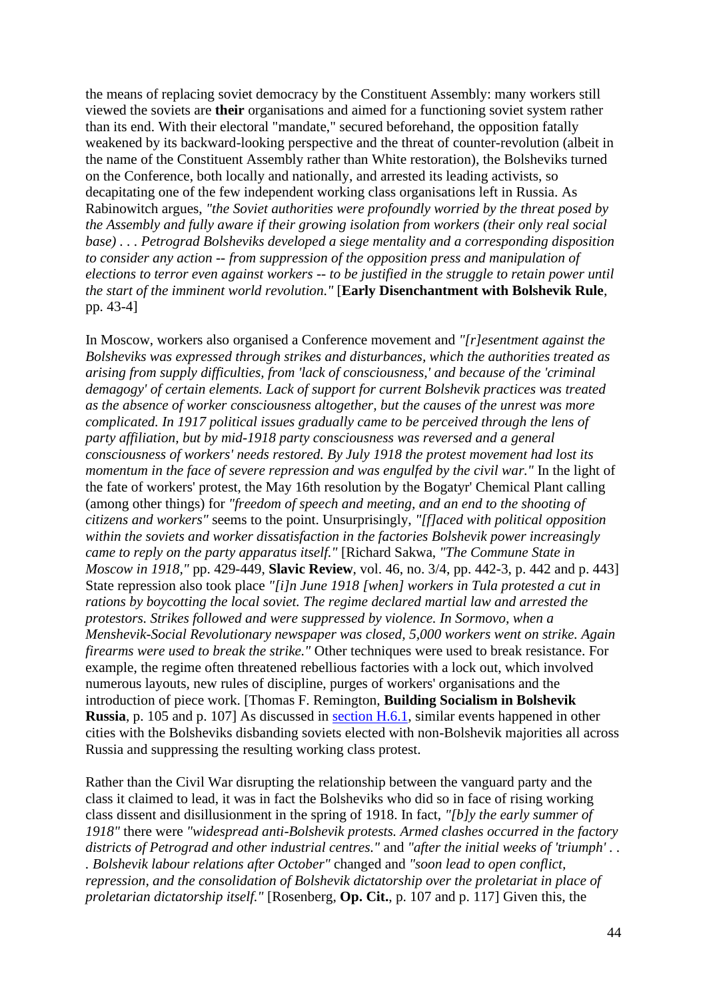the means of replacing soviet democracy by the Constituent Assembly: many workers still viewed the soviets are **their** organisations and aimed for a functioning soviet system rather than its end. With their electoral "mandate," secured beforehand, the opposition fatally weakened by its backward-looking perspective and the threat of counter-revolution (albeit in the name of the Constituent Assembly rather than White restoration), the Bolsheviks turned on the Conference, both locally and nationally, and arrested its leading activists, so decapitating one of the few independent working class organisations left in Russia. As Rabinowitch argues, *"the Soviet authorities were profoundly worried by the threat posed by the Assembly and fully aware if their growing isolation from workers (their only real social base) . . . Petrograd Bolsheviks developed a siege mentality and a corresponding disposition to consider any action -- from suppression of the opposition press and manipulation of elections to terror even against workers -- to be justified in the struggle to retain power until the start of the imminent world revolution."* [**Early Disenchantment with Bolshevik Rule**, pp. 43-4]

In Moscow, workers also organised a Conference movement and *"[r]esentment against the Bolsheviks was expressed through strikes and disturbances, which the authorities treated as arising from supply difficulties, from 'lack of consciousness,' and because of the 'criminal demagogy' of certain elements. Lack of support for current Bolshevik practices was treated as the absence of worker consciousness altogether, but the causes of the unrest was more complicated. In 1917 political issues gradually came to be perceived through the lens of party affiliation, but by mid-1918 party consciousness was reversed and a general consciousness of workers' needs restored. By July 1918 the protest movement had lost its momentum in the face of severe repression and was engulfed by the civil war."* In the light of the fate of workers' protest, the May 16th resolution by the Bogatyr' Chemical Plant calling (among other things) for *"freedom of speech and meeting, and an end to the shooting of citizens and workers"* seems to the point. Unsurprisingly, *"[f]aced with political opposition within the soviets and worker dissatisfaction in the factories Bolshevik power increasingly came to reply on the party apparatus itself."* [Richard Sakwa, *"The Commune State in Moscow in 1918,"* pp. 429-449, **Slavic Review**, vol. 46, no. 3/4, pp. 442-3, p. 442 and p. 443] State repression also took place *"[i]n June 1918 [when] workers in Tula protested a cut in rations by boycotting the local soviet. The regime declared martial law and arrested the protestors. Strikes followed and were suppressed by violence. In Sormovo, when a Menshevik-Social Revolutionary newspaper was closed, 5,000 workers went on strike. Again firearms were used to break the strike."* Other techniques were used to break resistance. For example, the regime often threatened rebellious factories with a lock out, which involved numerous layouts, new rules of discipline, purges of workers' organisations and the introduction of piece work. [Thomas F. Remington, **Building Socialism in Bolshevik Russia**, p. 105 and p. 107] As discussed in [section H.6.1,](sectionH.html#sech61) similar events happened in other cities with the Bolsheviks disbanding soviets elected with non-Bolshevik majorities all across Russia and suppressing the resulting working class protest.

Rather than the Civil War disrupting the relationship between the vanguard party and the class it claimed to lead, it was in fact the Bolsheviks who did so in face of rising working class dissent and disillusionment in the spring of 1918. In fact, *"[b]y the early summer of 1918"* there were *"widespread anti-Bolshevik protests. Armed clashes occurred in the factory districts of Petrograd and other industrial centres."* and *"after the initial weeks of 'triumph' . . . Bolshevik labour relations after October"* changed and *"soon lead to open conflict, repression, and the consolidation of Bolshevik dictatorship over the proletariat in place of proletarian dictatorship itself."* [Rosenberg, **Op. Cit.**, p. 107 and p. 117] Given this, the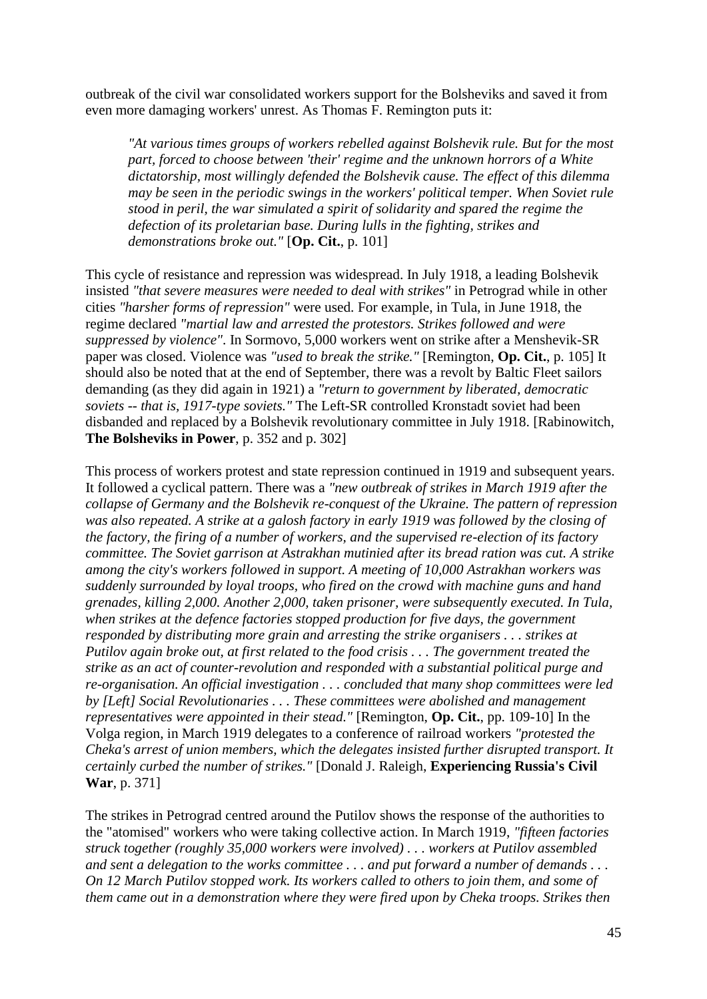outbreak of the civil war consolidated workers support for the Bolsheviks and saved it from even more damaging workers' unrest. As Thomas F. Remington puts it:

*"At various times groups of workers rebelled against Bolshevik rule. But for the most part, forced to choose between 'their' regime and the unknown horrors of a White dictatorship, most willingly defended the Bolshevik cause. The effect of this dilemma may be seen in the periodic swings in the workers' political temper. When Soviet rule stood in peril, the war simulated a spirit of solidarity and spared the regime the defection of its proletarian base. During lulls in the fighting, strikes and demonstrations broke out."* [**Op. Cit.**, p. 101]

This cycle of resistance and repression was widespread. In July 1918, a leading Bolshevik insisted *"that severe measures were needed to deal with strikes"* in Petrograd while in other cities *"harsher forms of repression"* were used. For example, in Tula, in June 1918, the regime declared *"martial law and arrested the protestors. Strikes followed and were suppressed by violence"*. In Sormovo, 5,000 workers went on strike after a Menshevik-SR paper was closed. Violence was *"used to break the strike."* [Remington, **Op. Cit.**, p. 105] It should also be noted that at the end of September, there was a revolt by Baltic Fleet sailors demanding (as they did again in 1921) a *"return to government by liberated, democratic soviets -- that is, 1917-type soviets."* The Left-SR controlled Kronstadt soviet had been disbanded and replaced by a Bolshevik revolutionary committee in July 1918. [Rabinowitch, **The Bolsheviks in Power**, p. 352 and p. 302]

This process of workers protest and state repression continued in 1919 and subsequent years. It followed a cyclical pattern. There was a *"new outbreak of strikes in March 1919 after the collapse of Germany and the Bolshevik re-conquest of the Ukraine. The pattern of repression was also repeated. A strike at a galosh factory in early 1919 was followed by the closing of the factory, the firing of a number of workers, and the supervised re-election of its factory committee. The Soviet garrison at Astrakhan mutinied after its bread ration was cut. A strike among the city's workers followed in support. A meeting of 10,000 Astrakhan workers was suddenly surrounded by loyal troops, who fired on the crowd with machine guns and hand grenades, killing 2,000. Another 2,000, taken prisoner, were subsequently executed. In Tula, when strikes at the defence factories stopped production for five days, the government responded by distributing more grain and arresting the strike organisers . . . strikes at Putilov again broke out, at first related to the food crisis . . . The government treated the strike as an act of counter-revolution and responded with a substantial political purge and re-organisation. An official investigation . . . concluded that many shop committees were led by [Left] Social Revolutionaries . . . These committees were abolished and management representatives were appointed in their stead."* [Remington, **Op. Cit.**, pp. 109-10] In the Volga region, in March 1919 delegates to a conference of railroad workers *"protested the Cheka's arrest of union members, which the delegates insisted further disrupted transport. It certainly curbed the number of strikes."* [Donald J. Raleigh, **Experiencing Russia's Civil War**, p. 371]

The strikes in Petrograd centred around the Putilov shows the response of the authorities to the "atomised" workers who were taking collective action. In March 1919, *"fifteen factories struck together (roughly 35,000 workers were involved) . . . workers at Putilov assembled and sent a delegation to the works committee . . . and put forward a number of demands . . . On 12 March Putilov stopped work. Its workers called to others to join them, and some of them came out in a demonstration where they were fired upon by Cheka troops. Strikes then*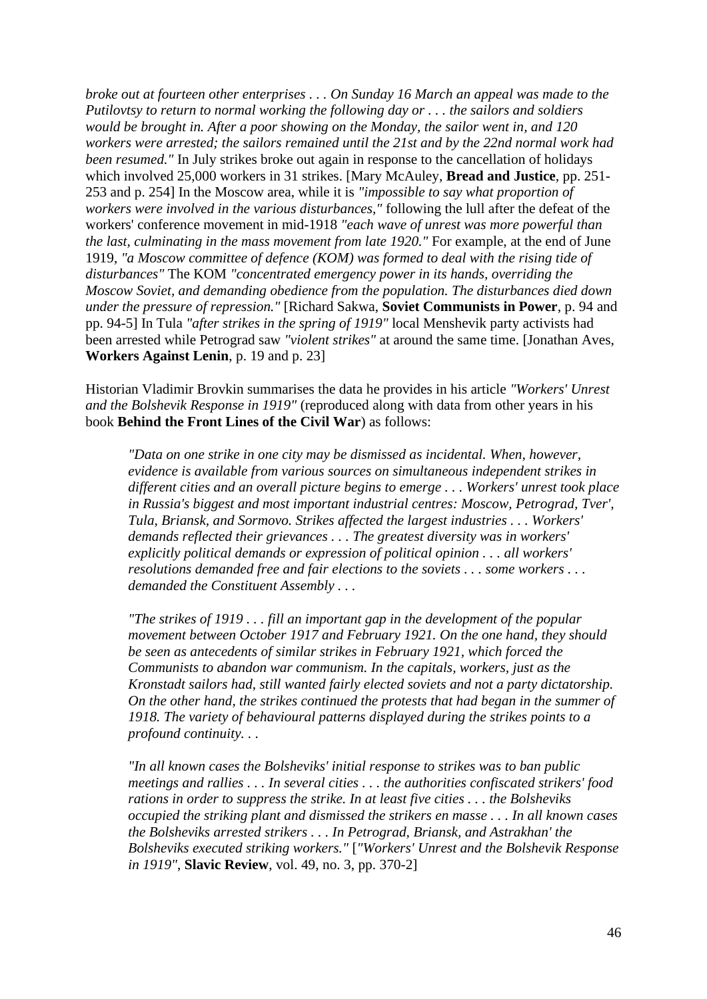*broke out at fourteen other enterprises . . . On Sunday 16 March an appeal was made to the Putilovtsy to return to normal working the following day or . . . the sailors and soldiers would be brought in. After a poor showing on the Monday, the sailor went in, and 120 workers were arrested; the sailors remained until the 21st and by the 22nd normal work had been resumed."* In July strikes broke out again in response to the cancellation of holidays which involved 25,000 workers in 31 strikes. [Mary McAuley, **Bread and Justice**, pp. 251- 253 and p. 254] In the Moscow area, while it is *"impossible to say what proportion of workers were involved in the various disturbances,"* following the lull after the defeat of the workers' conference movement in mid-1918 *"each wave of unrest was more powerful than the last, culminating in the mass movement from late 1920."* For example, at the end of June 1919, *"a Moscow committee of defence (KOM) was formed to deal with the rising tide of disturbances"* The KOM *"concentrated emergency power in its hands, overriding the Moscow Soviet, and demanding obedience from the population. The disturbances died down under the pressure of repression."* [Richard Sakwa, **Soviet Communists in Power**, p. 94 and pp. 94-5] In Tula *"after strikes in the spring of 1919"* local Menshevik party activists had been arrested while Petrograd saw *"violent strikes"* at around the same time. [Jonathan Aves, **Workers Against Lenin**, p. 19 and p. 23]

Historian Vladimir Brovkin summarises the data he provides in his article *"Workers' Unrest and the Bolshevik Response in 1919"* (reproduced along with data from other years in his book **Behind the Front Lines of the Civil War**) as follows:

*"Data on one strike in one city may be dismissed as incidental. When, however, evidence is available from various sources on simultaneous independent strikes in different cities and an overall picture begins to emerge . . . Workers' unrest took place in Russia's biggest and most important industrial centres: Moscow, Petrograd, Tver', Tula, Briansk, and Sormovo. Strikes affected the largest industries . . . Workers' demands reflected their grievances . . . The greatest diversity was in workers' explicitly political demands or expression of political opinion . . . all workers' resolutions demanded free and fair elections to the soviets . . . some workers . . . demanded the Constituent Assembly . . .* 

*"The strikes of 1919 . . . fill an important gap in the development of the popular movement between October 1917 and February 1921. On the one hand, they should be seen as antecedents of similar strikes in February 1921, which forced the Communists to abandon war communism. In the capitals, workers, just as the Kronstadt sailors had, still wanted fairly elected soviets and not a party dictatorship. On the other hand, the strikes continued the protests that had began in the summer of 1918. The variety of behavioural patterns displayed during the strikes points to a profound continuity. . .*

*"In all known cases the Bolsheviks' initial response to strikes was to ban public meetings and rallies . . . In several cities . . . the authorities confiscated strikers' food rations in order to suppress the strike. In at least five cities . . . the Bolsheviks occupied the striking plant and dismissed the strikers en masse . . . In all known cases the Bolsheviks arrested strikers . . . In Petrograd, Briansk, and Astrakhan' the Bolsheviks executed striking workers."* [*"Workers' Unrest and the Bolshevik Response in 1919"*, **Slavic Review**, vol. 49, no. 3, pp. 370-2]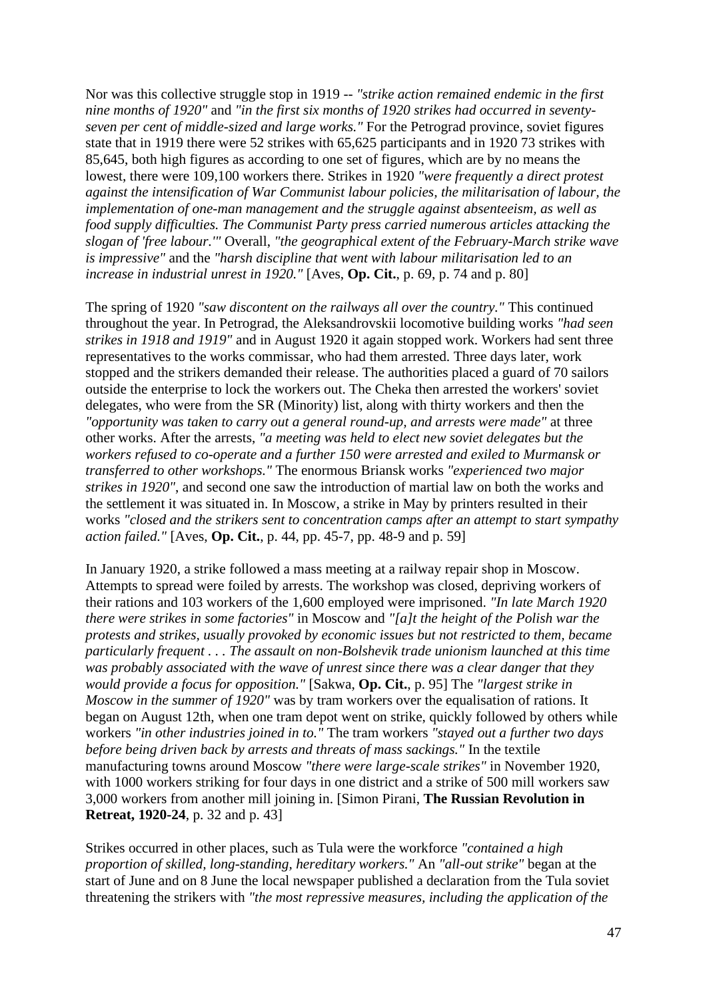Nor was this collective struggle stop in 1919 -- *"strike action remained endemic in the first nine months of 1920"* and *"in the first six months of 1920 strikes had occurred in seventyseven per cent of middle-sized and large works."* For the Petrograd province, soviet figures state that in 1919 there were 52 strikes with 65,625 participants and in 1920 73 strikes with 85,645, both high figures as according to one set of figures, which are by no means the lowest, there were 109,100 workers there. Strikes in 1920 *"were frequently a direct protest against the intensification of War Communist labour policies, the militarisation of labour, the implementation of one-man management and the struggle against absenteeism, as well as food supply difficulties. The Communist Party press carried numerous articles attacking the slogan of 'free labour.'"* Overall, *"the geographical extent of the February-March strike wave is impressive"* and the *"harsh discipline that went with labour militarisation led to an increase in industrial unrest in 1920."* [Aves, **Op. Cit.**, p. 69, p. 74 and p. 80]

The spring of 1920 *"saw discontent on the railways all over the country."* This continued throughout the year. In Petrograd, the Aleksandrovskii locomotive building works *"had seen strikes in 1918 and 1919"* and in August 1920 it again stopped work. Workers had sent three representatives to the works commissar, who had them arrested. Three days later, work stopped and the strikers demanded their release. The authorities placed a guard of 70 sailors outside the enterprise to lock the workers out. The Cheka then arrested the workers' soviet delegates, who were from the SR (Minority) list, along with thirty workers and then the *"opportunity was taken to carry out a general round-up, and arrests were made"* at three other works. After the arrests, *"a meeting was held to elect new soviet delegates but the workers refused to co-operate and a further 150 were arrested and exiled to Murmansk or transferred to other workshops."* The enormous Briansk works *"experienced two major strikes in 1920"*, and second one saw the introduction of martial law on both the works and the settlement it was situated in. In Moscow, a strike in May by printers resulted in their works *"closed and the strikers sent to concentration camps after an attempt to start sympathy action failed."* [Aves, **Op. Cit.**, p. 44, pp. 45-7, pp. 48-9 and p. 59]

In January 1920, a strike followed a mass meeting at a railway repair shop in Moscow. Attempts to spread were foiled by arrests. The workshop was closed, depriving workers of their rations and 103 workers of the 1,600 employed were imprisoned. *"In late March 1920 there were strikes in some factories"* in Moscow and *"[a]t the height of the Polish war the protests and strikes, usually provoked by economic issues but not restricted to them, became particularly frequent . . . The assault on non-Bolshevik trade unionism launched at this time was probably associated with the wave of unrest since there was a clear danger that they would provide a focus for opposition."* [Sakwa, **Op. Cit.**, p. 95] The *"largest strike in Moscow in the summer of 1920"* was by tram workers over the equalisation of rations. It began on August 12th, when one tram depot went on strike, quickly followed by others while workers *"in other industries joined in to."* The tram workers *"stayed out a further two days before being driven back by arrests and threats of mass sackings."* In the textile manufacturing towns around Moscow *"there were large-scale strikes"* in November 1920, with 1000 workers striking for four days in one district and a strike of 500 mill workers saw 3,000 workers from another mill joining in. [Simon Pirani, **The Russian Revolution in Retreat, 1920-24**, p. 32 and p. 43]

Strikes occurred in other places, such as Tula were the workforce *"contained a high proportion of skilled, long-standing, hereditary workers."* An *"all-out strike"* began at the start of June and on 8 June the local newspaper published a declaration from the Tula soviet threatening the strikers with *"the most repressive measures, including the application of the*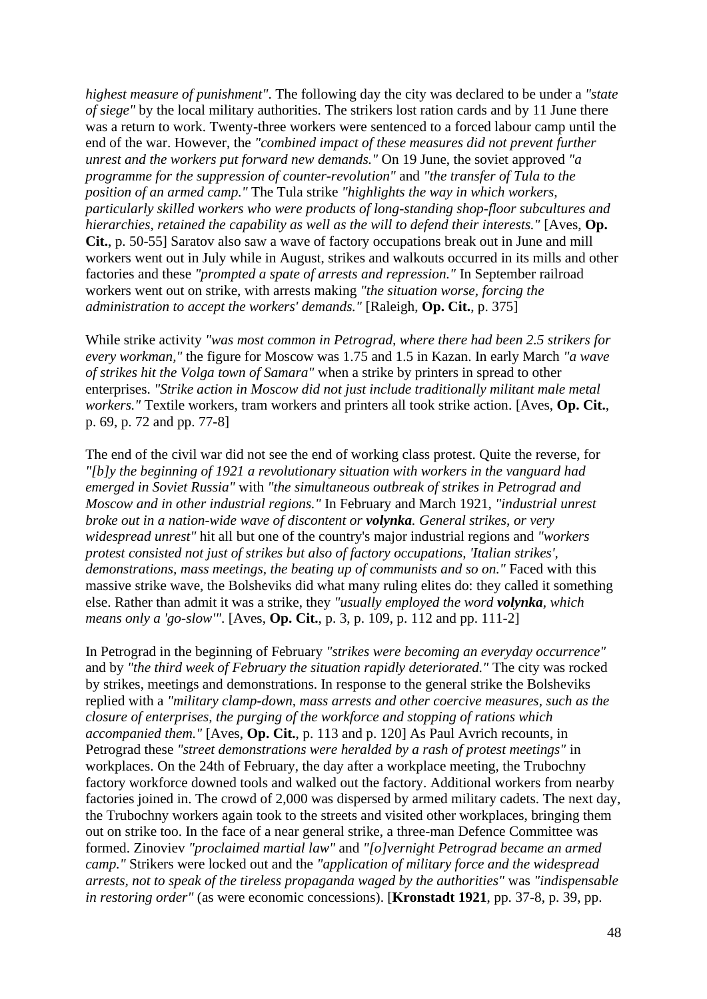*highest measure of punishment"*. The following day the city was declared to be under a *"state of siege"* by the local military authorities. The strikers lost ration cards and by 11 June there was a return to work. Twenty-three workers were sentenced to a forced labour camp until the end of the war. However, the *"combined impact of these measures did not prevent further unrest and the workers put forward new demands."* On 19 June, the soviet approved *"a programme for the suppression of counter-revolution"* and *"the transfer of Tula to the position of an armed camp."* The Tula strike *"highlights the way in which workers, particularly skilled workers who were products of long-standing shop-floor subcultures and hierarchies, retained the capability as well as the will to defend their interests."* [Aves, **Op. Cit.**, p. 50-55] Saratov also saw a wave of factory occupations break out in June and mill workers went out in July while in August, strikes and walkouts occurred in its mills and other factories and these *"prompted a spate of arrests and repression."* In September railroad workers went out on strike, with arrests making *"the situation worse, forcing the administration to accept the workers' demands."* [Raleigh, **Op. Cit.**, p. 375]

While strike activity *"was most common in Petrograd, where there had been 2.5 strikers for every workman,"* the figure for Moscow was 1.75 and 1.5 in Kazan. In early March *"a wave of strikes hit the Volga town of Samara"* when a strike by printers in spread to other enterprises. *"Strike action in Moscow did not just include traditionally militant male metal workers."* Textile workers, tram workers and printers all took strike action. [Aves, **Op. Cit.**, p. 69, p. 72 and pp. 77-8]

The end of the civil war did not see the end of working class protest. Quite the reverse, for *"[b]y the beginning of 1921 a revolutionary situation with workers in the vanguard had emerged in Soviet Russia"* with *"the simultaneous outbreak of strikes in Petrograd and Moscow and in other industrial regions."* In February and March 1921, *"industrial unrest broke out in a nation-wide wave of discontent or volynka. General strikes, or very widespread unrest"* hit all but one of the country's major industrial regions and *"workers protest consisted not just of strikes but also of factory occupations, 'Italian strikes', demonstrations, mass meetings, the beating up of communists and so on."* Faced with this massive strike wave, the Bolsheviks did what many ruling elites do: they called it something else. Rather than admit it was a strike, they *"usually employed the word volynka, which means only a 'go-slow'"*. [Aves, **Op. Cit.**, p. 3, p. 109, p. 112 and pp. 111-2]

In Petrograd in the beginning of February *"strikes were becoming an everyday occurrence"* and by *"the third week of February the situation rapidly deteriorated."* The city was rocked by strikes, meetings and demonstrations. In response to the general strike the Bolsheviks replied with a *"military clamp-down, mass arrests and other coercive measures, such as the closure of enterprises, the purging of the workforce and stopping of rations which accompanied them."* [Aves, **Op. Cit.**, p. 113 and p. 120] As Paul Avrich recounts, in Petrograd these *"street demonstrations were heralded by a rash of protest meetings"* in workplaces. On the 24th of February, the day after a workplace meeting, the Trubochny factory workforce downed tools and walked out the factory. Additional workers from nearby factories joined in. The crowd of 2,000 was dispersed by armed military cadets. The next day, the Trubochny workers again took to the streets and visited other workplaces, bringing them out on strike too. In the face of a near general strike, a three-man Defence Committee was formed. Zinoviev *"proclaimed martial law"* and *"[o]vernight Petrograd became an armed camp."* Strikers were locked out and the *"application of military force and the widespread arrests, not to speak of the tireless propaganda waged by the authorities"* was *"indispensable in restoring order"* (as were economic concessions). [**Kronstadt 1921**, pp. 37-8, p. 39, pp.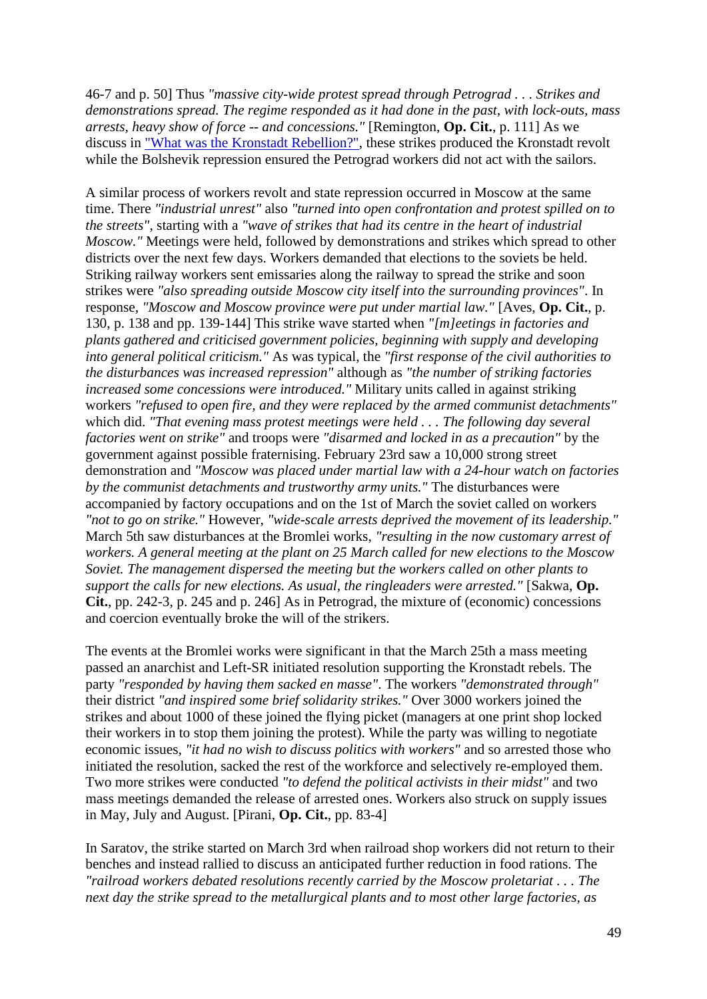46-7 and p. 50] Thus *"massive city-wide protest spread through Petrograd . . . Strikes and demonstrations spread. The regime responded as it had done in the past, with lock-outs, mass arrests, heavy show of force -- and concessions."* [Remington, **Op. Cit.**, p. 111] As we discuss in ["What was the Kronstadt Rebellion?",](append42.html) these strikes produced the Kronstadt revolt while the Bolshevik repression ensured the Petrograd workers did not act with the sailors.

A similar process of workers revolt and state repression occurred in Moscow at the same time. There *"industrial unrest"* also *"turned into open confrontation and protest spilled on to the streets"*, starting with a *"wave of strikes that had its centre in the heart of industrial Moscow."* Meetings were held, followed by demonstrations and strikes which spread to other districts over the next few days. Workers demanded that elections to the soviets be held. Striking railway workers sent emissaries along the railway to spread the strike and soon strikes were *"also spreading outside Moscow city itself into the surrounding provinces"*. In response, *"Moscow and Moscow province were put under martial law."* [Aves, **Op. Cit.**, p. 130, p. 138 and pp. 139-144] This strike wave started when *"[m]eetings in factories and plants gathered and criticised government policies, beginning with supply and developing into general political criticism."* As was typical, the *"first response of the civil authorities to the disturbances was increased repression"* although as *"the number of striking factories increased some concessions were introduced."* Military units called in against striking workers *"refused to open fire, and they were replaced by the armed communist detachments"* which did. *"That evening mass protest meetings were held . . . The following day several factories went on strike"* and troops were *"disarmed and locked in as a precaution"* by the government against possible fraternising. February 23rd saw a 10,000 strong street demonstration and *"Moscow was placed under martial law with a 24-hour watch on factories by the communist detachments and trustworthy army units."* The disturbances were accompanied by factory occupations and on the 1st of March the soviet called on workers *"not to go on strike."* However, *"wide-scale arrests deprived the movement of its leadership."* March 5th saw disturbances at the Bromlei works, *"resulting in the now customary arrest of workers. A general meeting at the plant on 25 March called for new elections to the Moscow Soviet. The management dispersed the meeting but the workers called on other plants to support the calls for new elections. As usual, the ringleaders were arrested."* [Sakwa, **Op. Cit.**, pp. 242-3, p. 245 and p. 246] As in Petrograd, the mixture of (economic) concessions and coercion eventually broke the will of the strikers.

The events at the Bromlei works were significant in that the March 25th a mass meeting passed an anarchist and Left-SR initiated resolution supporting the Kronstadt rebels. The party *"responded by having them sacked en masse"*. The workers *"demonstrated through"* their district *"and inspired some brief solidarity strikes."* Over 3000 workers joined the strikes and about 1000 of these joined the flying picket (managers at one print shop locked their workers in to stop them joining the protest). While the party was willing to negotiate economic issues, *"it had no wish to discuss politics with workers"* and so arrested those who initiated the resolution, sacked the rest of the workforce and selectively re-employed them. Two more strikes were conducted *"to defend the political activists in their midst"* and two mass meetings demanded the release of arrested ones. Workers also struck on supply issues in May, July and August. [Pirani, **Op. Cit.**, pp. 83-4]

In Saratov, the strike started on March 3rd when railroad shop workers did not return to their benches and instead rallied to discuss an anticipated further reduction in food rations. The *"railroad workers debated resolutions recently carried by the Moscow proletariat . . . The next day the strike spread to the metallurgical plants and to most other large factories, as*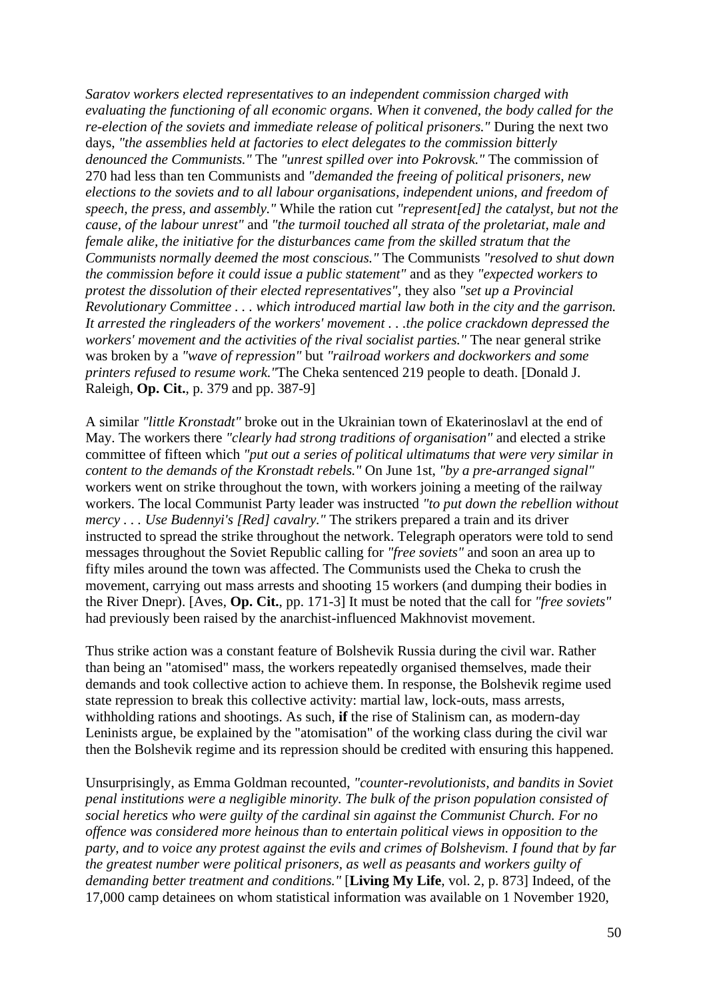*Saratov workers elected representatives to an independent commission charged with evaluating the functioning of all economic organs. When it convened, the body called for the re-election of the soviets and immediate release of political prisoners."* During the next two days, *"the assemblies held at factories to elect delegates to the commission bitterly denounced the Communists."* The *"unrest spilled over into Pokrovsk."* The commission of 270 had less than ten Communists and *"demanded the freeing of political prisoners, new elections to the soviets and to all labour organisations, independent unions, and freedom of speech, the press, and assembly."* While the ration cut *"represent[ed] the catalyst, but not the cause, of the labour unrest"* and *"the turmoil touched all strata of the proletariat, male and female alike, the initiative for the disturbances came from the skilled stratum that the Communists normally deemed the most conscious."* The Communists *"resolved to shut down the commission before it could issue a public statement"* and as they *"expected workers to protest the dissolution of their elected representatives"*, they also *"set up a Provincial Revolutionary Committee . . . which introduced martial law both in the city and the garrison. It arrested the ringleaders of the workers' movement . . .the police crackdown depressed the workers' movement and the activities of the rival socialist parties."* The near general strike was broken by a *"wave of repression"* but *"railroad workers and dockworkers and some printers refused to resume work."*The Cheka sentenced 219 people to death. [Donald J. Raleigh, **Op. Cit.**, p. 379 and pp. 387-9]

A similar *"little Kronstadt"* broke out in the Ukrainian town of Ekaterinoslavl at the end of May. The workers there *"clearly had strong traditions of organisation"* and elected a strike committee of fifteen which *"put out a series of political ultimatums that were very similar in content to the demands of the Kronstadt rebels."* On June 1st, *"by a pre-arranged signal"* workers went on strike throughout the town, with workers joining a meeting of the railway workers. The local Communist Party leader was instructed *"to put down the rebellion without mercy . . . Use Budennyi's [Red] cavalry."* The strikers prepared a train and its driver instructed to spread the strike throughout the network. Telegraph operators were told to send messages throughout the Soviet Republic calling for *"free soviets"* and soon an area up to fifty miles around the town was affected. The Communists used the Cheka to crush the movement, carrying out mass arrests and shooting 15 workers (and dumping their bodies in the River Dnepr). [Aves, **Op. Cit.**, pp. 171-3] It must be noted that the call for *"free soviets"* had previously been raised by the anarchist-influenced Makhnovist movement.

Thus strike action was a constant feature of Bolshevik Russia during the civil war. Rather than being an "atomised" mass, the workers repeatedly organised themselves, made their demands and took collective action to achieve them. In response, the Bolshevik regime used state repression to break this collective activity: martial law, lock-outs, mass arrests, withholding rations and shootings. As such, **if** the rise of Stalinism can, as modern-day Leninists argue, be explained by the "atomisation" of the working class during the civil war then the Bolshevik regime and its repression should be credited with ensuring this happened.

Unsurprisingly, as Emma Goldman recounted, *"counter-revolutionists, and bandits in Soviet penal institutions were a negligible minority. The bulk of the prison population consisted of social heretics who were guilty of the cardinal sin against the Communist Church. For no offence was considered more heinous than to entertain political views in opposition to the party, and to voice any protest against the evils and crimes of Bolshevism. I found that by far the greatest number were political prisoners, as well as peasants and workers guilty of demanding better treatment and conditions."* [**Living My Life**, vol. 2, p. 873] Indeed, of the 17,000 camp detainees on whom statistical information was available on 1 November 1920,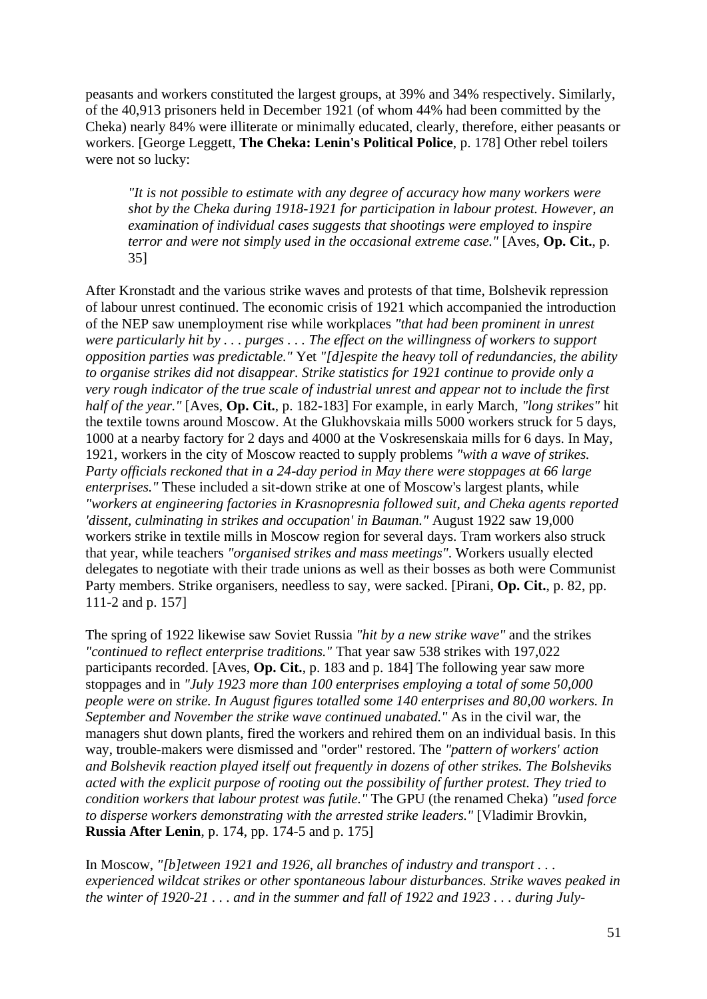peasants and workers constituted the largest groups, at 39% and 34% respectively. Similarly, of the 40,913 prisoners held in December 1921 (of whom 44% had been committed by the Cheka) nearly 84% were illiterate or minimally educated, clearly, therefore, either peasants or workers. [George Leggett, **The Cheka: Lenin's Political Police**, p. 178] Other rebel toilers were not so lucky:

*"It is not possible to estimate with any degree of accuracy how many workers were shot by the Cheka during 1918-1921 for participation in labour protest. However, an examination of individual cases suggests that shootings were employed to inspire terror and were not simply used in the occasional extreme case."* [Aves, **Op. Cit.**, p. 35]

After Kronstadt and the various strike waves and protests of that time, Bolshevik repression of labour unrest continued. The economic crisis of 1921 which accompanied the introduction of the NEP saw unemployment rise while workplaces *"that had been prominent in unrest were particularly hit by . . . purges . . . The effect on the willingness of workers to support opposition parties was predictable."* Yet *"[d]espite the heavy toll of redundancies, the ability to organise strikes did not disappear. Strike statistics for 1921 continue to provide only a very rough indicator of the true scale of industrial unrest and appear not to include the first half of the year."* [Aves, **Op. Cit.**, p. 182-183] For example, in early March, *"long strikes"* hit the textile towns around Moscow. At the Glukhovskaia mills 5000 workers struck for 5 days, 1000 at a nearby factory for 2 days and 4000 at the Voskresenskaia mills for 6 days. In May, 1921, workers in the city of Moscow reacted to supply problems *"with a wave of strikes. Party officials reckoned that in a 24-day period in May there were stoppages at 66 large enterprises."* These included a sit-down strike at one of Moscow's largest plants, while *"workers at engineering factories in Krasnopresnia followed suit, and Cheka agents reported 'dissent, culminating in strikes and occupation' in Bauman."* August 1922 saw 19,000 workers strike in textile mills in Moscow region for several days. Tram workers also struck that year, while teachers *"organised strikes and mass meetings"*. Workers usually elected delegates to negotiate with their trade unions as well as their bosses as both were Communist Party members. Strike organisers, needless to say, were sacked. [Pirani, **Op. Cit.**, p. 82, pp. 111-2 and p. 157]

The spring of 1922 likewise saw Soviet Russia *"hit by a new strike wave"* and the strikes *"continued to reflect enterprise traditions."* That year saw 538 strikes with 197,022 participants recorded. [Aves, **Op. Cit.**, p. 183 and p. 184] The following year saw more stoppages and in *"July 1923 more than 100 enterprises employing a total of some 50,000 people were on strike. In August figures totalled some 140 enterprises and 80,00 workers. In September and November the strike wave continued unabated."* As in the civil war, the managers shut down plants, fired the workers and rehired them on an individual basis. In this way, trouble-makers were dismissed and "order" restored. The *"pattern of workers' action and Bolshevik reaction played itself out frequently in dozens of other strikes. The Bolsheviks acted with the explicit purpose of rooting out the possibility of further protest. They tried to condition workers that labour protest was futile."* The GPU (the renamed Cheka) *"used force to disperse workers demonstrating with the arrested strike leaders."* [Vladimir Brovkin, **Russia After Lenin**, p. 174, pp. 174-5 and p. 175]

In Moscow, *"[b]etween 1921 and 1926, all branches of industry and transport . . . experienced wildcat strikes or other spontaneous labour disturbances. Strike waves peaked in the winter of 1920-21 . . . and in the summer and fall of 1922 and 1923 . . . during July-*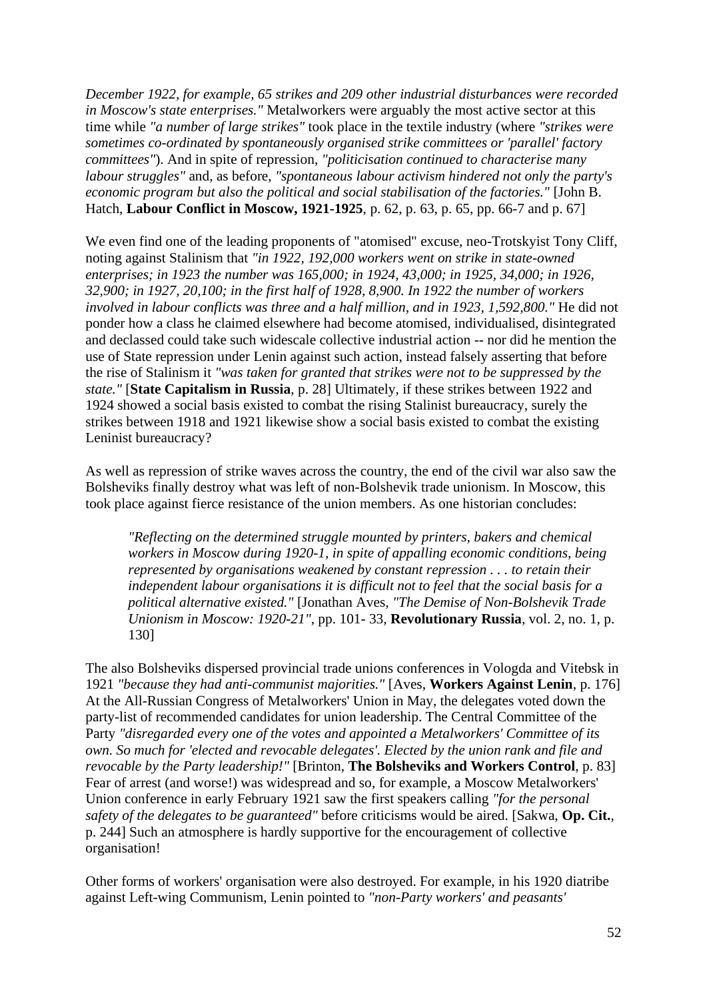*December 1922, for example, 65 strikes and 209 other industrial disturbances were recorded in Moscow's state enterprises."* Metalworkers were arguably the most active sector at this time while *"a number of large strikes"* took place in the textile industry (where *"strikes were sometimes co-ordinated by spontaneously organised strike committees or 'parallel' factory committees"*). And in spite of repression, *"politicisation continued to characterise many labour struggles"* and, as before, *"spontaneous labour activism hindered not only the party's economic program but also the political and social stabilisation of the factories."* [John B. Hatch, **Labour Conflict in Moscow, 1921-1925**, p. 62, p. 63, p. 65, pp. 66-7 and p. 67]

We even find one of the leading proponents of "atomised" excuse, neo-Trotskyist Tony Cliff, noting against Stalinism that *"in 1922, 192,000 workers went on strike in state-owned enterprises; in 1923 the number was 165,000; in 1924, 43,000; in 1925, 34,000; in 1926, 32,900; in 1927, 20,100; in the first half of 1928, 8,900. In 1922 the number of workers involved in labour conflicts was three and a half million, and in 1923, 1,592,800."* He did not ponder how a class he claimed elsewhere had become atomised, individualised, disintegrated and declassed could take such widescale collective industrial action -- nor did he mention the use of State repression under Lenin against such action, instead falsely asserting that before the rise of Stalinism it *"was taken for granted that strikes were not to be suppressed by the state."* [**State Capitalism in Russia**, p. 28] Ultimately, if these strikes between 1922 and 1924 showed a social basis existed to combat the rising Stalinist bureaucracy, surely the strikes between 1918 and 1921 likewise show a social basis existed to combat the existing Leninist bureaucracy?

As well as repression of strike waves across the country, the end of the civil war also saw the Bolsheviks finally destroy what was left of non-Bolshevik trade unionism. In Moscow, this took place against fierce resistance of the union members. As one historian concludes:

*"Reflecting on the determined struggle mounted by printers, bakers and chemical workers in Moscow during 1920-1, in spite of appalling economic conditions, being represented by organisations weakened by constant repression . . . to retain their independent labour organisations it is difficult not to feel that the social basis for a political alternative existed."* [Jonathan Aves, *"The Demise of Non-Bolshevik Trade Unionism in Moscow: 1920-21"*, pp. 101- 33, **Revolutionary Russia**, vol. 2, no. 1, p. 130]

The also Bolsheviks dispersed provincial trade unions conferences in Vologda and Vitebsk in 1921 *"because they had anti-communist majorities."* [Aves, **Workers Against Lenin**, p. 176] At the All-Russian Congress of Metalworkers' Union in May, the delegates voted down the party-list of recommended candidates for union leadership. The Central Committee of the Party *"disregarded every one of the votes and appointed a Metalworkers' Committee of its own. So much for 'elected and revocable delegates'. Elected by the union rank and file and revocable by the Party leadership!"* [Brinton, **The Bolsheviks and Workers Control**, p. 83] Fear of arrest (and worse!) was widespread and so, for example, a Moscow Metalworkers' Union conference in early February 1921 saw the first speakers calling *"for the personal safety of the delegates to be guaranteed"* before criticisms would be aired. [Sakwa, **Op. Cit.**, p. 244] Such an atmosphere is hardly supportive for the encouragement of collective organisation!

Other forms of workers' organisation were also destroyed. For example, in his 1920 diatribe against Left-wing Communism, Lenin pointed to *"non-Party workers' and peasants'*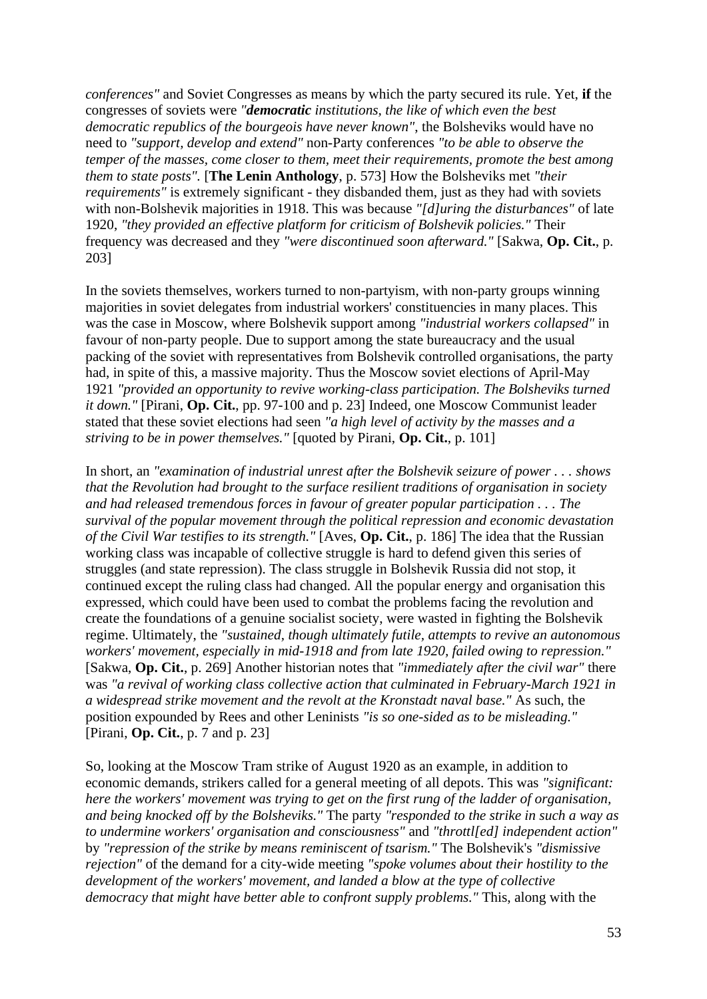*conferences"* and Soviet Congresses as means by which the party secured its rule. Yet, **if** the congresses of soviets were *"democratic institutions, the like of which even the best democratic republics of the bourgeois have never known"*, the Bolsheviks would have no need to *"support, develop and extend"* non-Party conferences *"to be able to observe the temper of the masses, come closer to them, meet their requirements, promote the best among them to state posts".* [**The Lenin Anthology**, p. 573] How the Bolsheviks met *"their requirements*" is extremely significant - they disbanded them, just as they had with soviets with non-Bolshevik majorities in 1918. This was because *"[d]uring the disturbances"* of late 1920, *"they provided an effective platform for criticism of Bolshevik policies."* Their frequency was decreased and they *"were discontinued soon afterward."* [Sakwa, **Op. Cit.**, p. 203]

In the soviets themselves, workers turned to non-partyism, with non-party groups winning majorities in soviet delegates from industrial workers' constituencies in many places. This was the case in Moscow, where Bolshevik support among *"industrial workers collapsed"* in favour of non-party people. Due to support among the state bureaucracy and the usual packing of the soviet with representatives from Bolshevik controlled organisations, the party had, in spite of this, a massive majority. Thus the Moscow soviet elections of April-May 1921 *"provided an opportunity to revive working-class participation. The Bolsheviks turned it down."* [Pirani, **Op. Cit.**, pp. 97-100 and p. 23] Indeed, one Moscow Communist leader stated that these soviet elections had seen *"a high level of activity by the masses and a striving to be in power themselves."* [quoted by Pirani, **Op. Cit.**, p. 101]

In short, an *"examination of industrial unrest after the Bolshevik seizure of power . . . shows that the Revolution had brought to the surface resilient traditions of organisation in society and had released tremendous forces in favour of greater popular participation . . . The survival of the popular movement through the political repression and economic devastation of the Civil War testifies to its strength."* [Aves, **Op. Cit.**, p. 186] The idea that the Russian working class was incapable of collective struggle is hard to defend given this series of struggles (and state repression). The class struggle in Bolshevik Russia did not stop, it continued except the ruling class had changed. All the popular energy and organisation this expressed, which could have been used to combat the problems facing the revolution and create the foundations of a genuine socialist society, were wasted in fighting the Bolshevik regime. Ultimately, the *"sustained, though ultimately futile, attempts to revive an autonomous workers' movement, especially in mid-1918 and from late 1920, failed owing to repression."* [Sakwa, **Op. Cit.**, p. 269] Another historian notes that *"immediately after the civil war"* there was *"a revival of working class collective action that culminated in February-March 1921 in a widespread strike movement and the revolt at the Kronstadt naval base."* As such, the position expounded by Rees and other Leninists *"is so one-sided as to be misleading."* [Pirani, **Op. Cit.**, p. 7 and p. 23]

So, looking at the Moscow Tram strike of August 1920 as an example, in addition to economic demands, strikers called for a general meeting of all depots. This was *"significant: here the workers' movement was trying to get on the first rung of the ladder of organisation, and being knocked off by the Bolsheviks."* The party *"responded to the strike in such a way as to undermine workers' organisation and consciousness"* and *"throttl[ed] independent action"* by *"repression of the strike by means reminiscent of tsarism."* The Bolshevik's *"dismissive rejection"* of the demand for a city-wide meeting *"spoke volumes about their hostility to the development of the workers' movement, and landed a blow at the type of collective democracy that might have better able to confront supply problems."* This, along with the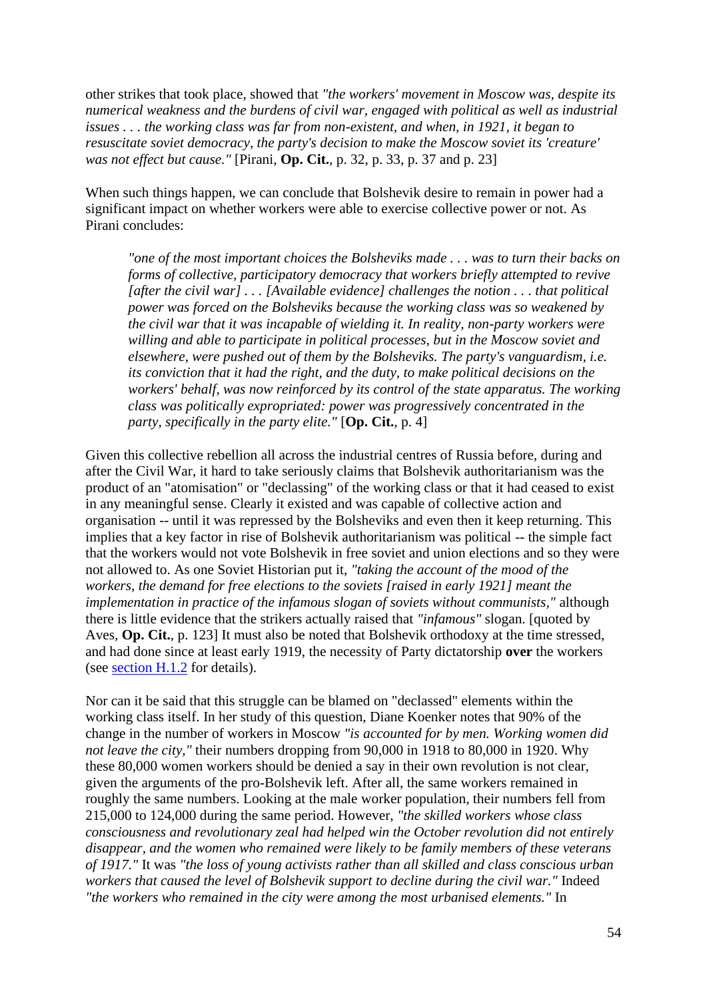other strikes that took place, showed that *"the workers' movement in Moscow was, despite its numerical weakness and the burdens of civil war, engaged with political as well as industrial issues . . . the working class was far from non-existent, and when, in 1921, it began to resuscitate soviet democracy, the party's decision to make the Moscow soviet its 'creature' was not effect but cause."* [Pirani, **Op. Cit.**, p. 32, p. 33, p. 37 and p. 23]

When such things happen, we can conclude that Bolshevik desire to remain in power had a significant impact on whether workers were able to exercise collective power or not. As Pirani concludes:

*"one of the most important choices the Bolsheviks made . . . was to turn their backs on forms of collective, participatory democracy that workers briefly attempted to revive [after the civil war] . . . [Available evidence] challenges the notion . . . that political power was forced on the Bolsheviks because the working class was so weakened by the civil war that it was incapable of wielding it. In reality, non-party workers were willing and able to participate in political processes, but in the Moscow soviet and elsewhere, were pushed out of them by the Bolsheviks. The party's vanguardism, i.e. its conviction that it had the right, and the duty, to make political decisions on the workers' behalf, was now reinforced by its control of the state apparatus. The working class was politically expropriated: power was progressively concentrated in the party, specifically in the party elite."* [**Op. Cit.**, p. 4]

Given this collective rebellion all across the industrial centres of Russia before, during and after the Civil War, it hard to take seriously claims that Bolshevik authoritarianism was the product of an "atomisation" or "declassing" of the working class or that it had ceased to exist in any meaningful sense. Clearly it existed and was capable of collective action and organisation -- until it was repressed by the Bolsheviks and even then it keep returning. This implies that a key factor in rise of Bolshevik authoritarianism was political -- the simple fact that the workers would not vote Bolshevik in free soviet and union elections and so they were not allowed to. As one Soviet Historian put it, *"taking the account of the mood of the workers, the demand for free elections to the soviets [raised in early 1921] meant the implementation in practice of the infamous slogan of soviets without communists,"* although there is little evidence that the strikers actually raised that *"infamous"* slogan. [quoted by Aves, **Op. Cit.**, p. 123] It must also be noted that Bolshevik orthodoxy at the time stressed, and had done since at least early 1919, the necessity of Party dictatorship **over** the workers (see [section H.1.2](sectionH.html#sech12) for details).

Nor can it be said that this struggle can be blamed on "declassed" elements within the working class itself. In her study of this question, Diane Koenker notes that 90% of the change in the number of workers in Moscow *"is accounted for by men. Working women did not leave the city,"* their numbers dropping from 90,000 in 1918 to 80,000 in 1920. Why these 80,000 women workers should be denied a say in their own revolution is not clear, given the arguments of the pro-Bolshevik left. After all, the same workers remained in roughly the same numbers. Looking at the male worker population, their numbers fell from 215,000 to 124,000 during the same period. However, *"the skilled workers whose class consciousness and revolutionary zeal had helped win the October revolution did not entirely disappear, and the women who remained were likely to be family members of these veterans of 1917."* It was *"the loss of young activists rather than all skilled and class conscious urban workers that caused the level of Bolshevik support to decline during the civil war."* Indeed *"the workers who remained in the city were among the most urbanised elements."* In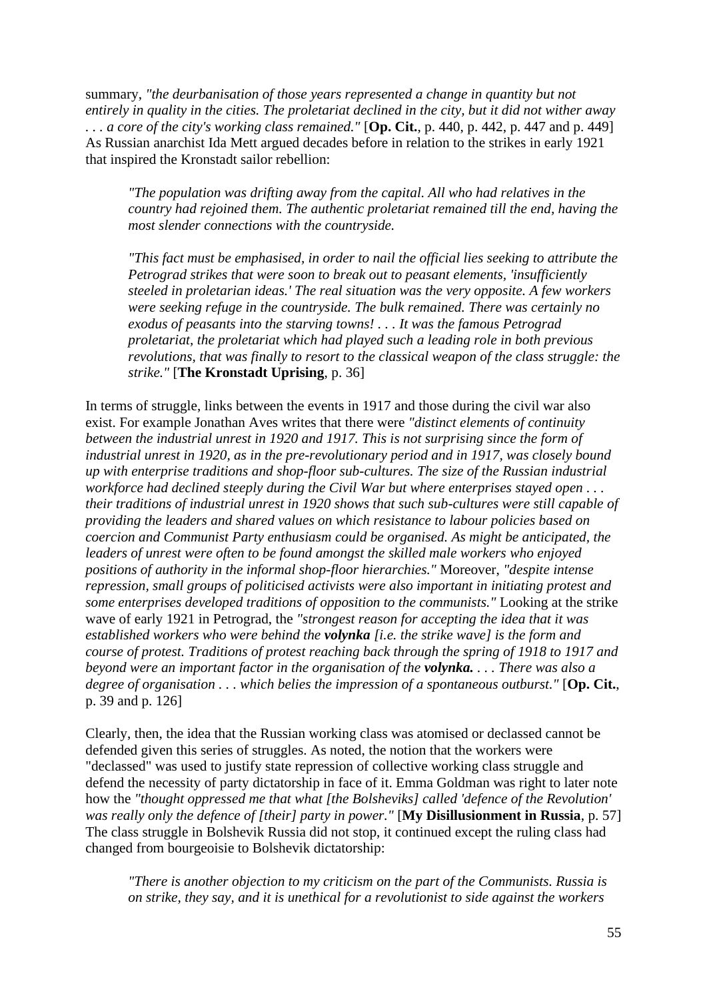summary, *"the deurbanisation of those years represented a change in quantity but not entirely in quality in the cities. The proletariat declined in the city, but it did not wither away . . . a core of the city's working class remained."* [**Op. Cit.**, p. 440, p. 442, p. 447 and p. 449] As Russian anarchist Ida Mett argued decades before in relation to the strikes in early 1921 that inspired the Kronstadt sailor rebellion:

*"The population was drifting away from the capital. All who had relatives in the country had rejoined them. The authentic proletariat remained till the end, having the most slender connections with the countryside.*

*"This fact must be emphasised, in order to nail the official lies seeking to attribute the Petrograd strikes that were soon to break out to peasant elements, 'insufficiently steeled in proletarian ideas.' The real situation was the very opposite. A few workers were seeking refuge in the countryside. The bulk remained. There was certainly no exodus of peasants into the starving towns! . . . It was the famous Petrograd proletariat, the proletariat which had played such a leading role in both previous revolutions, that was finally to resort to the classical weapon of the class struggle: the strike."* [**The Kronstadt Uprising**, p. 36]

In terms of struggle, links between the events in 1917 and those during the civil war also exist. For example Jonathan Aves writes that there were *"distinct elements of continuity between the industrial unrest in 1920 and 1917. This is not surprising since the form of industrial unrest in 1920, as in the pre-revolutionary period and in 1917, was closely bound up with enterprise traditions and shop-floor sub-cultures. The size of the Russian industrial workforce had declined steeply during the Civil War but where enterprises stayed open . . . their traditions of industrial unrest in 1920 shows that such sub-cultures were still capable of providing the leaders and shared values on which resistance to labour policies based on coercion and Communist Party enthusiasm could be organised. As might be anticipated, the leaders of unrest were often to be found amongst the skilled male workers who enjoyed positions of authority in the informal shop-floor hierarchies."* Moreover, *"despite intense repression, small groups of politicised activists were also important in initiating protest and some enterprises developed traditions of opposition to the communists."* Looking at the strike wave of early 1921 in Petrograd, the *"strongest reason for accepting the idea that it was established workers who were behind the volynka [i.e. the strike wave] is the form and course of protest. Traditions of protest reaching back through the spring of 1918 to 1917 and beyond were an important factor in the organisation of the volynka. . . . There was also a degree of organisation . . . which belies the impression of a spontaneous outburst."* [**Op. Cit.**, p. 39 and p. 126]

Clearly, then, the idea that the Russian working class was atomised or declassed cannot be defended given this series of struggles. As noted, the notion that the workers were "declassed" was used to justify state repression of collective working class struggle and defend the necessity of party dictatorship in face of it. Emma Goldman was right to later note how the *"thought oppressed me that what [the Bolsheviks] called 'defence of the Revolution' was really only the defence of [their] party in power."* [**My Disillusionment in Russia**, p. 57] The class struggle in Bolshevik Russia did not stop, it continued except the ruling class had changed from bourgeoisie to Bolshevik dictatorship:

*"There is another objection to my criticism on the part of the Communists. Russia is on strike, they say, and it is unethical for a revolutionist to side against the workers*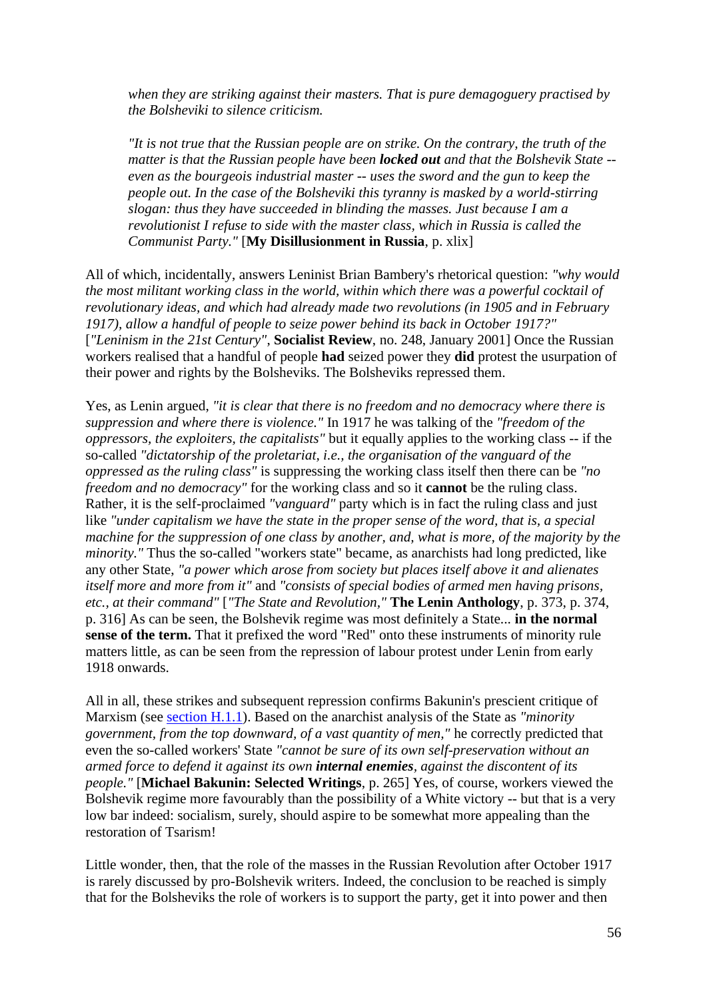*when they are striking against their masters. That is pure demagoguery practised by the Bolsheviki to silence criticism.*

*"It is not true that the Russian people are on strike. On the contrary, the truth of the matter is that the Russian people have been locked out and that the Bolshevik State - even as the bourgeois industrial master -- uses the sword and the gun to keep the people out. In the case of the Bolsheviki this tyranny is masked by a world-stirring slogan: thus they have succeeded in blinding the masses. Just because I am a revolutionist I refuse to side with the master class, which in Russia is called the Communist Party."* [**My Disillusionment in Russia**, p. xlix]

All of which, incidentally, answers Leninist Brian Bambery's rhetorical question: *"why would the most militant working class in the world, within which there was a powerful cocktail of revolutionary ideas, and which had already made two revolutions (in 1905 and in February 1917), allow a handful of people to seize power behind its back in October 1917?"* [*"Leninism in the 21st Century"*, **Socialist Review**, no. 248, January 2001] Once the Russian workers realised that a handful of people **had** seized power they **did** protest the usurpation of their power and rights by the Bolsheviks. The Bolsheviks repressed them.

Yes, as Lenin argued, *"it is clear that there is no freedom and no democracy where there is suppression and where there is violence."* In 1917 he was talking of the *"freedom of the oppressors, the exploiters, the capitalists"* but it equally applies to the working class -- if the so-called *"dictatorship of the proletariat, i.e., the organisation of the vanguard of the oppressed as the ruling class"* is suppressing the working class itself then there can be *"no freedom and no democracy"* for the working class and so it **cannot** be the ruling class. Rather, it is the self-proclaimed *"vanguard"* party which is in fact the ruling class and just like *"under capitalism we have the state in the proper sense of the word, that is, a special machine for the suppression of one class by another, and, what is more, of the majority by the minority.*" Thus the so-called "workers state" became, as anarchists had long predicted, like any other State, *"a power which arose from society but places itself above it and alienates itself more and more from it"* and *"consists of special bodies of armed men having prisons, etc., at their command"* [*"The State and Revolution,"* **The Lenin Anthology**, p. 373, p. 374, p. 316] As can be seen, the Bolshevik regime was most definitely a State... **in the normal sense of the term.** That it prefixed the word "Red" onto these instruments of minority rule matters little, as can be seen from the repression of labour protest under Lenin from early 1918 onwards.

All in all, these strikes and subsequent repression confirms Bakunin's prescient critique of Marxism (see [section H.1.1\)](sectionH.html#sech11). Based on the anarchist analysis of the State as *"minority government, from the top downward, of a vast quantity of men,"* he correctly predicted that even the so-called workers' State *"cannot be sure of its own self-preservation without an armed force to defend it against its own internal enemies, against the discontent of its people."* [**Michael Bakunin: Selected Writings**, p. 265] Yes, of course, workers viewed the Bolshevik regime more favourably than the possibility of a White victory -- but that is a very low bar indeed: socialism, surely, should aspire to be somewhat more appealing than the restoration of Tsarism!

Little wonder, then, that the role of the masses in the Russian Revolution after October 1917 is rarely discussed by pro-Bolshevik writers. Indeed, the conclusion to be reached is simply that for the Bolsheviks the role of workers is to support the party, get it into power and then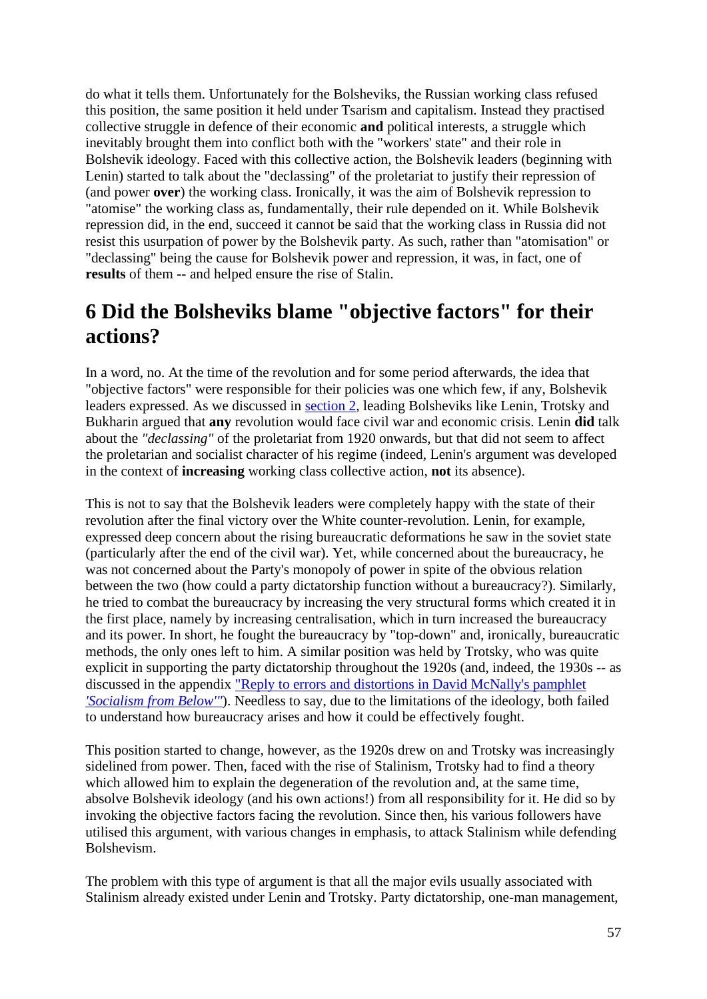do what it tells them. Unfortunately for the Bolsheviks, the Russian working class refused this position, the same position it held under Tsarism and capitalism. Instead they practised collective struggle in defence of their economic **and** political interests, a struggle which inevitably brought them into conflict both with the "workers' state" and their role in Bolshevik ideology. Faced with this collective action, the Bolshevik leaders (beginning with Lenin) started to talk about the "declassing" of the proletariat to justify their repression of (and power **over**) the working class. Ironically, it was the aim of Bolshevik repression to "atomise" the working class as, fundamentally, their rule depended on it. While Bolshevik repression did, in the end, succeed it cannot be said that the working class in Russia did not resist this usurpation of power by the Bolshevik party. As such, rather than "atomisation" or "declassing" being the cause for Bolshevik power and repression, it was, in fact, one of **results** of them -- and helped ensure the rise of Stalin.

## **6 Did the Bolsheviks blame "objective factors" for their actions?**

In a word, no. At the time of the revolution and for some period afterwards, the idea that "objective factors" were responsible for their policies was one which few, if any, Bolshevik leaders expressed. As we discussed in [section 2,](append43.html#app2) leading Bolsheviks like Lenin, Trotsky and Bukharin argued that **any** revolution would face civil war and economic crisis. Lenin **did** talk about the *"declassing"* of the proletariat from 1920 onwards, but that did not seem to affect the proletarian and socialist character of his regime (indeed, Lenin's argument was developed in the context of **increasing** working class collective action, **not** its absence).

This is not to say that the Bolshevik leaders were completely happy with the state of their revolution after the final victory over the White counter-revolution. Lenin, for example, expressed deep concern about the rising bureaucratic deformations he saw in the soviet state (particularly after the end of the civil war). Yet, while concerned about the bureaucracy, he was not concerned about the Party's monopoly of power in spite of the obvious relation between the two (how could a party dictatorship function without a bureaucracy?). Similarly, he tried to combat the bureaucracy by increasing the very structural forms which created it in the first place, namely by increasing centralisation, which in turn increased the bureaucracy and its power. In short, he fought the bureaucracy by "top-down" and, ironically, bureaucratic methods, the only ones left to him. A similar position was held by Trotsky, who was quite explicit in supporting the party dictatorship throughout the 1920s (and, indeed, the 1930s -- as discussed in the appendix ["Reply to errors and distortions in David McNally's pamphlet](append31.html)  *['Socialism from Below'"](append31.html)*). Needless to say, due to the limitations of the ideology, both failed to understand how bureaucracy arises and how it could be effectively fought.

This position started to change, however, as the 1920s drew on and Trotsky was increasingly sidelined from power. Then, faced with the rise of Stalinism, Trotsky had to find a theory which allowed him to explain the degeneration of the revolution and, at the same time, absolve Bolshevik ideology (and his own actions!) from all responsibility for it. He did so by invoking the objective factors facing the revolution. Since then, his various followers have utilised this argument, with various changes in emphasis, to attack Stalinism while defending Bolshevism.

The problem with this type of argument is that all the major evils usually associated with Stalinism already existed under Lenin and Trotsky. Party dictatorship, one-man management,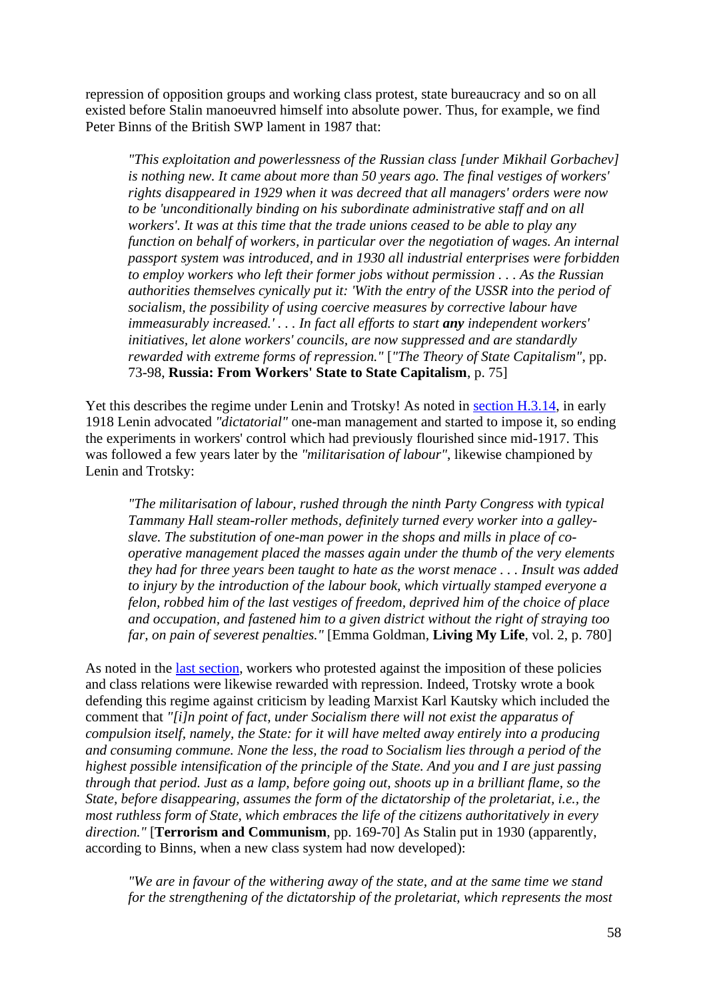repression of opposition groups and working class protest, state bureaucracy and so on all existed before Stalin manoeuvred himself into absolute power. Thus, for example, we find Peter Binns of the British SWP lament in 1987 that:

*"This exploitation and powerlessness of the Russian class [under Mikhail Gorbachev] is nothing new. It came about more than 50 years ago. The final vestiges of workers' rights disappeared in 1929 when it was decreed that all managers' orders were now to be 'unconditionally binding on his subordinate administrative staff and on all workers'. It was at this time that the trade unions ceased to be able to play any function on behalf of workers, in particular over the negotiation of wages. An internal passport system was introduced, and in 1930 all industrial enterprises were forbidden to employ workers who left their former jobs without permission . . . As the Russian authorities themselves cynically put it: 'With the entry of the USSR into the period of socialism, the possibility of using coercive measures by corrective labour have immeasurably increased.' . . . In fact all efforts to start any independent workers' initiatives, let alone workers' councils, are now suppressed and are standardly rewarded with extreme forms of repression."* [*"The Theory of State Capitalism"*, pp. 73-98, **Russia: From Workers' State to State Capitalism**, p. 75]

Yet this describes the regime under Lenin and Trotsky! As noted in [section H.3.14,](sectionH.html#sech314) in early 1918 Lenin advocated *"dictatorial"* one-man management and started to impose it, so ending the experiments in workers' control which had previously flourished since mid-1917. This was followed a few years later by the *"militarisation of labour"*, likewise championed by Lenin and Trotsky:

*"The militarisation of labour, rushed through the ninth Party Congress with typical Tammany Hall steam-roller methods, definitely turned every worker into a galleyslave. The substitution of one-man power in the shops and mills in place of cooperative management placed the masses again under the thumb of the very elements they had for three years been taught to hate as the worst menace . . . Insult was added to injury by the introduction of the labour book, which virtually stamped everyone a felon, robbed him of the last vestiges of freedom, deprived him of the choice of place and occupation, and fastened him to a given district without the right of straying too far, on pain of severest penalties."* [Emma Goldman, **Living My Life**, vol. 2, p. 780]

As noted in the [last section,](append43.html#app5) workers who protested against the imposition of these policies and class relations were likewise rewarded with repression. Indeed, Trotsky wrote a book defending this regime against criticism by leading Marxist Karl Kautsky which included the comment that *"[i]n point of fact, under Socialism there will not exist the apparatus of compulsion itself, namely, the State: for it will have melted away entirely into a producing and consuming commune. None the less, the road to Socialism lies through a period of the highest possible intensification of the principle of the State. And you and I are just passing through that period. Just as a lamp, before going out, shoots up in a brilliant flame, so the State, before disappearing, assumes the form of the dictatorship of the proletariat, i.e., the most ruthless form of State, which embraces the life of the citizens authoritatively in every direction."* [**Terrorism and Communism**, pp. 169-70] As Stalin put in 1930 (apparently, according to Binns, when a new class system had now developed):

*"We are in favour of the withering away of the state, and at the same time we stand for the strengthening of the dictatorship of the proletariat, which represents the most*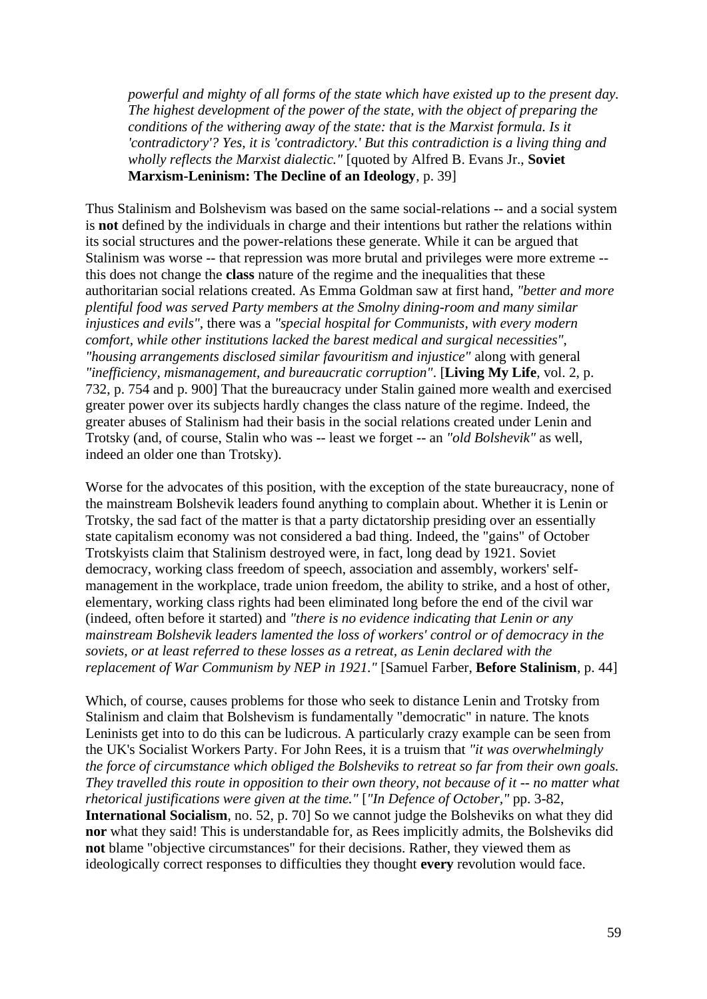*powerful and mighty of all forms of the state which have existed up to the present day. The highest development of the power of the state, with the object of preparing the conditions of the withering away of the state: that is the Marxist formula. Is it 'contradictory'? Yes, it is 'contradictory.' But this contradiction is a living thing and wholly reflects the Marxist dialectic."* [quoted by Alfred B. Evans Jr., **Soviet Marxism-Leninism: The Decline of an Ideology**, p. 39]

Thus Stalinism and Bolshevism was based on the same social-relations -- and a social system is **not** defined by the individuals in charge and their intentions but rather the relations within its social structures and the power-relations these generate. While it can be argued that Stalinism was worse -- that repression was more brutal and privileges were more extreme - this does not change the **class** nature of the regime and the inequalities that these authoritarian social relations created. As Emma Goldman saw at first hand, *"better and more plentiful food was served Party members at the Smolny dining-room and many similar injustices and evils"*, there was a *"special hospital for Communists, with every modern comfort, while other institutions lacked the barest medical and surgical necessities"*, *"housing arrangements disclosed similar favouritism and injustice"* along with general *"inefficiency, mismanagement, and bureaucratic corruption"*. [**Living My Life**, vol. 2, p. 732, p. 754 and p. 900] That the bureaucracy under Stalin gained more wealth and exercised greater power over its subjects hardly changes the class nature of the regime. Indeed, the greater abuses of Stalinism had their basis in the social relations created under Lenin and Trotsky (and, of course, Stalin who was -- least we forget -- an *"old Bolshevik"* as well, indeed an older one than Trotsky).

Worse for the advocates of this position, with the exception of the state bureaucracy, none of the mainstream Bolshevik leaders found anything to complain about. Whether it is Lenin or Trotsky, the sad fact of the matter is that a party dictatorship presiding over an essentially state capitalism economy was not considered a bad thing. Indeed, the "gains" of October Trotskyists claim that Stalinism destroyed were, in fact, long dead by 1921. Soviet democracy, working class freedom of speech, association and assembly, workers' selfmanagement in the workplace, trade union freedom, the ability to strike, and a host of other, elementary, working class rights had been eliminated long before the end of the civil war (indeed, often before it started) and *"there is no evidence indicating that Lenin or any mainstream Bolshevik leaders lamented the loss of workers' control or of democracy in the soviets, or at least referred to these losses as a retreat, as Lenin declared with the replacement of War Communism by NEP in 1921."* [Samuel Farber, **Before Stalinism**, p. 44]

Which, of course, causes problems for those who seek to distance Lenin and Trotsky from Stalinism and claim that Bolshevism is fundamentally "democratic" in nature. The knots Leninists get into to do this can be ludicrous. A particularly crazy example can be seen from the UK's Socialist Workers Party. For John Rees, it is a truism that *"it was overwhelmingly the force of circumstance which obliged the Bolsheviks to retreat so far from their own goals. They travelled this route in opposition to their own theory, not because of it -- no matter what rhetorical justifications were given at the time."* [*"In Defence of October,"* pp. 3-82, **International Socialism**, no. 52, p. 70] So we cannot judge the Bolsheviks on what they did **nor** what they said! This is understandable for, as Rees implicitly admits, the Bolsheviks did **not** blame "objective circumstances" for their decisions. Rather, they viewed them as ideologically correct responses to difficulties they thought **every** revolution would face.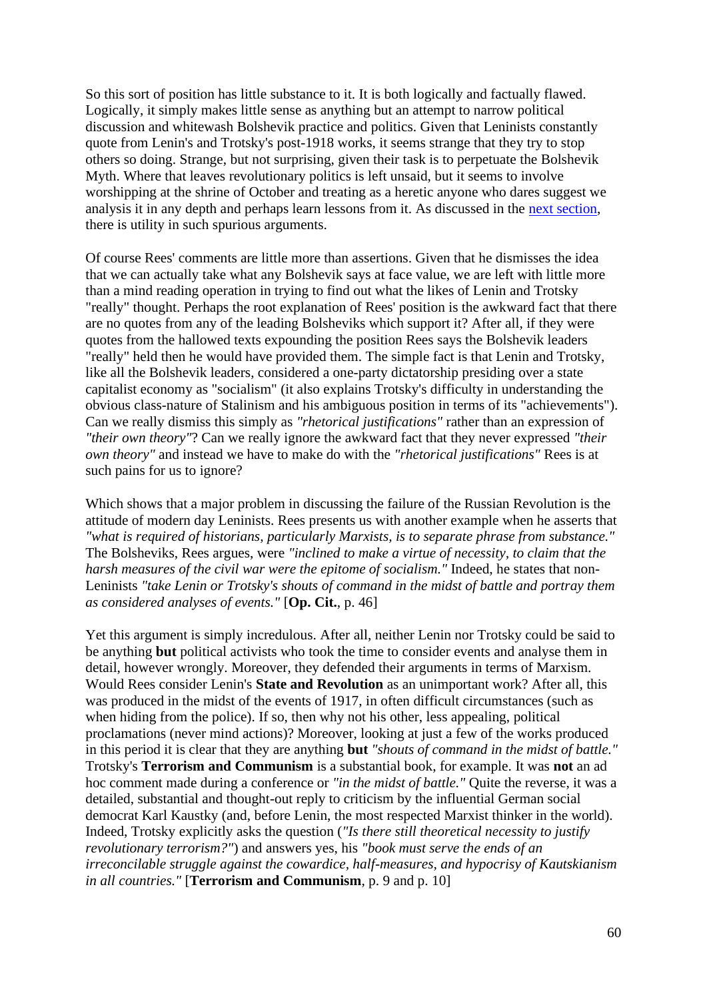So this sort of position has little substance to it. It is both logically and factually flawed. Logically, it simply makes little sense as anything but an attempt to narrow political discussion and whitewash Bolshevik practice and politics. Given that Leninists constantly quote from Lenin's and Trotsky's post-1918 works, it seems strange that they try to stop others so doing. Strange, but not surprising, given their task is to perpetuate the Bolshevik Myth. Where that leaves revolutionary politics is left unsaid, but it seems to involve worshipping at the shrine of October and treating as a heretic anyone who dares suggest we analysis it in any depth and perhaps learn lessons from it. As discussed in the [next section,](append43#app7) there is utility in such spurious arguments.

Of course Rees' comments are little more than assertions. Given that he dismisses the idea that we can actually take what any Bolshevik says at face value, we are left with little more than a mind reading operation in trying to find out what the likes of Lenin and Trotsky "really" thought. Perhaps the root explanation of Rees' position is the awkward fact that there are no quotes from any of the leading Bolsheviks which support it? After all, if they were quotes from the hallowed texts expounding the position Rees says the Bolshevik leaders "really" held then he would have provided them. The simple fact is that Lenin and Trotsky, like all the Bolshevik leaders, considered a one-party dictatorship presiding over a state capitalist economy as "socialism" (it also explains Trotsky's difficulty in understanding the obvious class-nature of Stalinism and his ambiguous position in terms of its "achievements"). Can we really dismiss this simply as *"rhetorical justifications"* rather than an expression of *"their own theory"*? Can we really ignore the awkward fact that they never expressed *"their own theory"* and instead we have to make do with the *"rhetorical justifications"* Rees is at such pains for us to ignore?

Which shows that a major problem in discussing the failure of the Russian Revolution is the attitude of modern day Leninists. Rees presents us with another example when he asserts that *"what is required of historians, particularly Marxists, is to separate phrase from substance."* The Bolsheviks, Rees argues, were *"inclined to make a virtue of necessity, to claim that the harsh measures of the civil war were the epitome of socialism."* Indeed, he states that non-Leninists *"take Lenin or Trotsky's shouts of command in the midst of battle and portray them as considered analyses of events."* [**Op. Cit.**, p. 46]

Yet this argument is simply incredulous. After all, neither Lenin nor Trotsky could be said to be anything **but** political activists who took the time to consider events and analyse them in detail, however wrongly. Moreover, they defended their arguments in terms of Marxism. Would Rees consider Lenin's **State and Revolution** as an unimportant work? After all, this was produced in the midst of the events of 1917, in often difficult circumstances (such as when hiding from the police). If so, then why not his other, less appealing, political proclamations (never mind actions)? Moreover, looking at just a few of the works produced in this period it is clear that they are anything **but** *"shouts of command in the midst of battle."* Trotsky's **Terrorism and Communism** is a substantial book, for example. It was **not** an ad hoc comment made during a conference or *"in the midst of battle."* Quite the reverse, it was a detailed, substantial and thought-out reply to criticism by the influential German social democrat Karl Kaustky (and, before Lenin, the most respected Marxist thinker in the world). Indeed, Trotsky explicitly asks the question (*"Is there still theoretical necessity to justify revolutionary terrorism?"*) and answers yes, his *"book must serve the ends of an irreconcilable struggle against the cowardice, half-measures, and hypocrisy of Kautskianism in all countries."* [**Terrorism and Communism**, p. 9 and p. 10]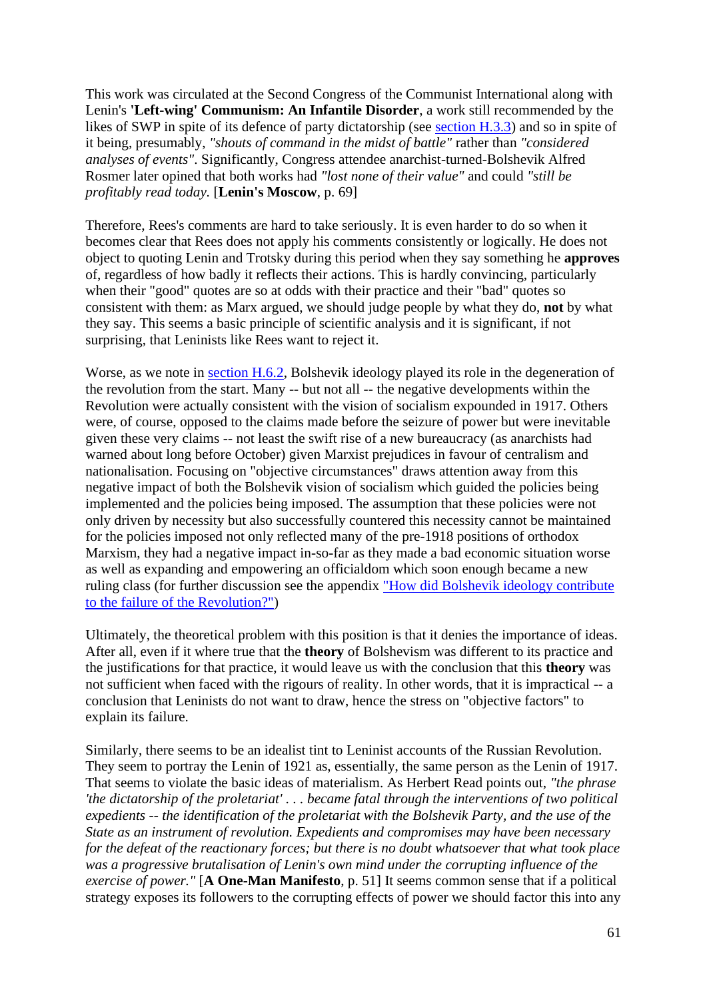This work was circulated at the Second Congress of the Communist International along with Lenin's **'Left-wing' Communism: An Infantile Disorder**, a work still recommended by the likes of SWP in spite of its defence of party dictatorship (see [section H.3.3\)](sectionH.html#sech33) and so in spite of it being, presumably, *"shouts of command in the midst of battle"* rather than *"considered analyses of events"*. Significantly, Congress attendee anarchist-turned-Bolshevik Alfred Rosmer later opined that both works had *"lost none of their value"* and could *"still be profitably read today.* [**Lenin's Moscow**, p. 69]

Therefore, Rees's comments are hard to take seriously. It is even harder to do so when it becomes clear that Rees does not apply his comments consistently or logically. He does not object to quoting Lenin and Trotsky during this period when they say something he **approves** of, regardless of how badly it reflects their actions. This is hardly convincing, particularly when their "good" quotes are so at odds with their practice and their "bad" quotes so consistent with them: as Marx argued, we should judge people by what they do, **not** by what they say. This seems a basic principle of scientific analysis and it is significant, if not surprising, that Leninists like Rees want to reject it.

Worse, as we note in [section H.6.2,](sectionH.html#sech62) Bolshevik ideology played its role in the degeneration of the revolution from the start. Many -- but not all -- the negative developments within the Revolution were actually consistent with the vision of socialism expounded in 1917. Others were, of course, opposed to the claims made before the seizure of power but were inevitable given these very claims -- not least the swift rise of a new bureaucracy (as anarchists had warned about long before October) given Marxist prejudices in favour of centralism and nationalisation. Focusing on "objective circumstances" draws attention away from this negative impact of both the Bolshevik vision of socialism which guided the policies being implemented and the policies being imposed. The assumption that these policies were not only driven by necessity but also successfully countered this necessity cannot be maintained for the policies imposed not only reflected many of the pre-1918 positions of orthodox Marxism, they had a negative impact in-so-far as they made a bad economic situation worse as well as expanding and empowering an officialdom which soon enough became a new ruling class (for further discussion see the appendix ["How did Bolshevik ideology contribute](append44.html)  [to the failure of the Revolution?"\)](append44.html)

Ultimately, the theoretical problem with this position is that it denies the importance of ideas. After all, even if it where true that the **theory** of Bolshevism was different to its practice and the justifications for that practice, it would leave us with the conclusion that this **theory** was not sufficient when faced with the rigours of reality. In other words, that it is impractical -- a conclusion that Leninists do not want to draw, hence the stress on "objective factors" to explain its failure.

Similarly, there seems to be an idealist tint to Leninist accounts of the Russian Revolution. They seem to portray the Lenin of 1921 as, essentially, the same person as the Lenin of 1917. That seems to violate the basic ideas of materialism. As Herbert Read points out, *"the phrase 'the dictatorship of the proletariat' . . . became fatal through the interventions of two political expedients -- the identification of the proletariat with the Bolshevik Party, and the use of the State as an instrument of revolution. Expedients and compromises may have been necessary for the defeat of the reactionary forces; but there is no doubt whatsoever that what took place was a progressive brutalisation of Lenin's own mind under the corrupting influence of the exercise of power."* [**A One-Man Manifesto**, p. 51] It seems common sense that if a political strategy exposes its followers to the corrupting effects of power we should factor this into any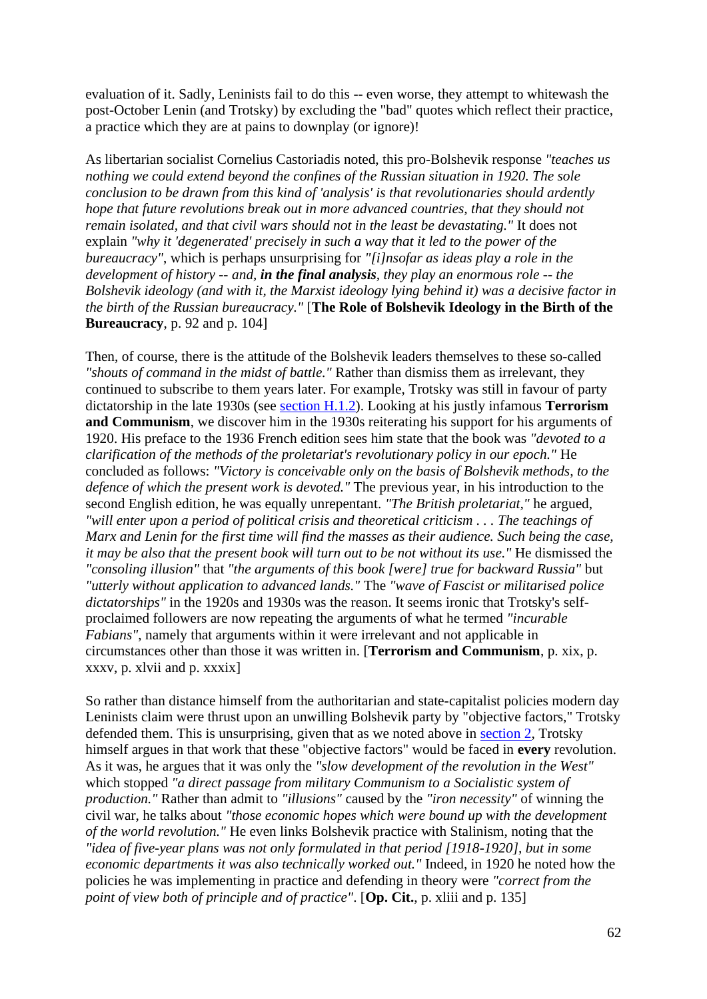evaluation of it. Sadly, Leninists fail to do this -- even worse, they attempt to whitewash the post-October Lenin (and Trotsky) by excluding the "bad" quotes which reflect their practice, a practice which they are at pains to downplay (or ignore)!

As libertarian socialist Cornelius Castoriadis noted, this pro-Bolshevik response *"teaches us nothing we could extend beyond the confines of the Russian situation in 1920. The sole conclusion to be drawn from this kind of 'analysis' is that revolutionaries should ardently hope that future revolutions break out in more advanced countries, that they should not remain isolated, and that civil wars should not in the least be devastating."* It does not explain *"why it 'degenerated' precisely in such a way that it led to the power of the bureaucracy"*, which is perhaps unsurprising for *"[i]nsofar as ideas play a role in the development of history -- and, in the final analysis, they play an enormous role -- the Bolshevik ideology (and with it, the Marxist ideology lying behind it) was a decisive factor in the birth of the Russian bureaucracy."* [**The Role of Bolshevik Ideology in the Birth of the Bureaucracy**, p. 92 and p. 104]

Then, of course, there is the attitude of the Bolshevik leaders themselves to these so-called *"shouts of command in the midst of battle."* Rather than dismiss them as irrelevant, they continued to subscribe to them years later. For example, Trotsky was still in favour of party dictatorship in the late 1930s (see [section H.1.2\)](sectionH.html#sech12). Looking at his justly infamous **Terrorism and Communism**, we discover him in the 1930s reiterating his support for his arguments of 1920. His preface to the 1936 French edition sees him state that the book was *"devoted to a clarification of the methods of the proletariat's revolutionary policy in our epoch."* He concluded as follows: *"Victory is conceivable only on the basis of Bolshevik methods, to the defence of which the present work is devoted."* The previous year, in his introduction to the second English edition, he was equally unrepentant. *"The British proletariat,"* he argued, *"will enter upon a period of political crisis and theoretical criticism . . . The teachings of Marx and Lenin for the first time will find the masses as their audience. Such being the case, it may be also that the present book will turn out to be not without its use."* He dismissed the *"consoling illusion"* that *"the arguments of this book [were] true for backward Russia"* but *"utterly without application to advanced lands."* The *"wave of Fascist or militarised police dictatorships"* in the 1920s and 1930s was the reason. It seems ironic that Trotsky's selfproclaimed followers are now repeating the arguments of what he termed *"incurable Fabians"*, namely that arguments within it were irrelevant and not applicable in circumstances other than those it was written in. [**Terrorism and Communism**, p. xix, p. xxxv, p. xlvii and p. xxxix]

So rather than distance himself from the authoritarian and state-capitalist policies modern day Leninists claim were thrust upon an unwilling Bolshevik party by "objective factors," Trotsky defended them. This is unsurprising, given that as we noted above in [section 2,](append43.html#app2) Trotsky himself argues in that work that these "objective factors" would be faced in **every** revolution. As it was, he argues that it was only the *"slow development of the revolution in the West"* which stopped *"a direct passage from military Communism to a Socialistic system of production."* Rather than admit to *"illusions"* caused by the *"iron necessity"* of winning the civil war, he talks about *"those economic hopes which were bound up with the development of the world revolution."* He even links Bolshevik practice with Stalinism, noting that the *"idea of five-year plans was not only formulated in that period [1918-1920], but in some economic departments it was also technically worked out."* Indeed, in 1920 he noted how the policies he was implementing in practice and defending in theory were *"correct from the point of view both of principle and of practice"*. [**Op. Cit.**, p. xliii and p. 135]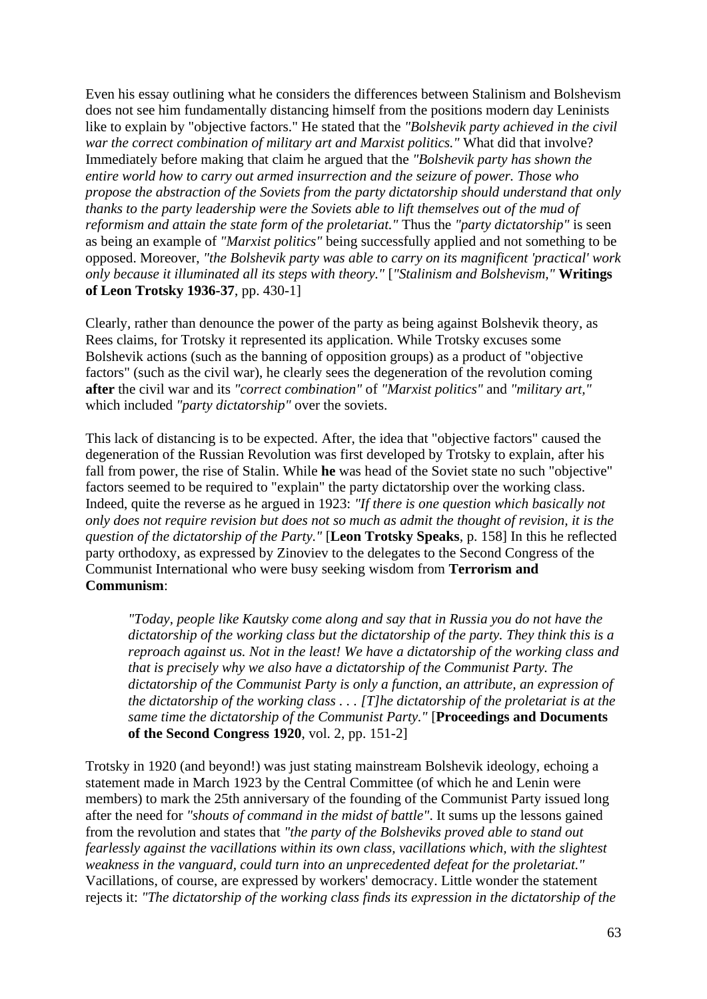Even his essay outlining what he considers the differences between Stalinism and Bolshevism does not see him fundamentally distancing himself from the positions modern day Leninists like to explain by "objective factors." He stated that the *"Bolshevik party achieved in the civil war the correct combination of military art and Marxist politics."* What did that involve? Immediately before making that claim he argued that the *"Bolshevik party has shown the entire world how to carry out armed insurrection and the seizure of power. Those who propose the abstraction of the Soviets from the party dictatorship should understand that only thanks to the party leadership were the Soviets able to lift themselves out of the mud of reformism and attain the state form of the proletariat."* Thus the *"party dictatorship"* is seen as being an example of *"Marxist politics"* being successfully applied and not something to be opposed. Moreover, *"the Bolshevik party was able to carry on its magnificent 'practical' work only because it illuminated all its steps with theory."* [*"Stalinism and Bolshevism,"* **Writings of Leon Trotsky 1936-37**, pp. 430-1]

Clearly, rather than denounce the power of the party as being against Bolshevik theory, as Rees claims, for Trotsky it represented its application. While Trotsky excuses some Bolshevik actions (such as the banning of opposition groups) as a product of "objective factors" (such as the civil war), he clearly sees the degeneration of the revolution coming **after** the civil war and its *"correct combination"* of *"Marxist politics"* and *"military art,"* which included *"party dictatorship"* over the soviets.

This lack of distancing is to be expected. After, the idea that "objective factors" caused the degeneration of the Russian Revolution was first developed by Trotsky to explain, after his fall from power, the rise of Stalin. While **he** was head of the Soviet state no such "objective" factors seemed to be required to "explain" the party dictatorship over the working class. Indeed, quite the reverse as he argued in 1923: *"If there is one question which basically not only does not require revision but does not so much as admit the thought of revision, it is the question of the dictatorship of the Party."* [**Leon Trotsky Speaks**, p. 158] In this he reflected party orthodoxy, as expressed by Zinoviev to the delegates to the Second Congress of the Communist International who were busy seeking wisdom from **Terrorism and Communism**:

*"Today, people like Kautsky come along and say that in Russia you do not have the dictatorship of the working class but the dictatorship of the party. They think this is a reproach against us. Not in the least! We have a dictatorship of the working class and that is precisely why we also have a dictatorship of the Communist Party. The dictatorship of the Communist Party is only a function, an attribute, an expression of the dictatorship of the working class . . . [T]he dictatorship of the proletariat is at the same time the dictatorship of the Communist Party."* [**Proceedings and Documents of the Second Congress 1920**, vol. 2, pp. 151-2]

Trotsky in 1920 (and beyond!) was just stating mainstream Bolshevik ideology, echoing a statement made in March 1923 by the Central Committee (of which he and Lenin were members) to mark the 25th anniversary of the founding of the Communist Party issued long after the need for *"shouts of command in the midst of battle"*. It sums up the lessons gained from the revolution and states that *"the party of the Bolsheviks proved able to stand out fearlessly against the vacillations within its own class, vacillations which, with the slightest weakness in the vanguard, could turn into an unprecedented defeat for the proletariat."* Vacillations, of course, are expressed by workers' democracy. Little wonder the statement rejects it: *"The dictatorship of the working class finds its expression in the dictatorship of the*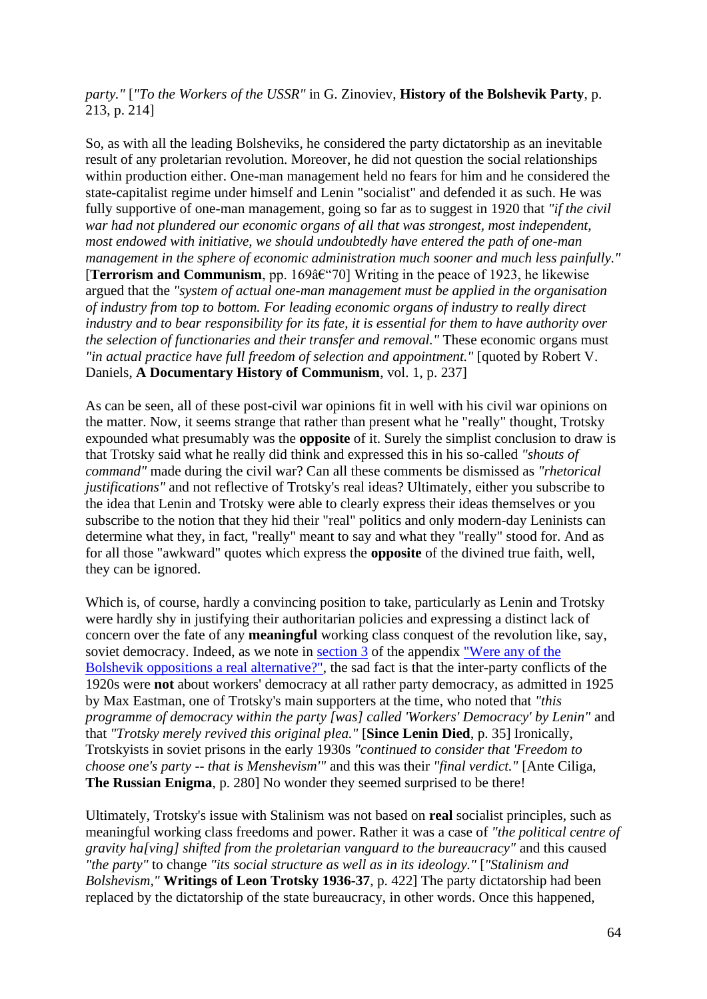## *party."* [*"To the Workers of the USSR"* in G. Zinoviev, **History of the Bolshevik Party**, p. 213, p. 214]

So, as with all the leading Bolsheviks, he considered the party dictatorship as an inevitable result of any proletarian revolution. Moreover, he did not question the social relationships within production either. One-man management held no fears for him and he considered the state-capitalist regime under himself and Lenin "socialist" and defended it as such. He was fully supportive of one-man management, going so far as to suggest in 1920 that *"if the civil war had not plundered our economic organs of all that was strongest, most independent, most endowed with initiative, we should undoubtedly have entered the path of one-man management in the sphere of economic administration much sooner and much less painfully."* [**Terrorism and Communism**, pp. 169 $\hat{a} \in \{70\}$  Writing in the peace of 1923, he likewise argued that the *"system of actual one-man management must be applied in the organisation of industry from top to bottom. For leading economic organs of industry to really direct industry and to bear responsibility for its fate, it is essential for them to have authority over the selection of functionaries and their transfer and removal."* These economic organs must *"in actual practice have full freedom of selection and appointment."* [quoted by Robert V. Daniels, **A Documentary History of Communism**, vol. 1, p. 237]

As can be seen, all of these post-civil war opinions fit in well with his civil war opinions on the matter. Now, it seems strange that rather than present what he "really" thought, Trotsky expounded what presumably was the **opposite** of it. Surely the simplist conclusion to draw is that Trotsky said what he really did think and expressed this in his so-called *"shouts of command"* made during the civil war? Can all these comments be dismissed as *"rhetorical justifications"* and not reflective of Trotsky's real ideas? Ultimately, either you subscribe to the idea that Lenin and Trotsky were able to clearly express their ideas themselves or you subscribe to the notion that they hid their "real" politics and only modern-day Leninists can determine what they, in fact, "really" meant to say and what they "really" stood for. And as for all those "awkward" quotes which express the **opposite** of the divined true faith, well, they can be ignored.

Which is, of course, hardly a convincing position to take, particularly as Lenin and Trotsky were hardly shy in justifying their authoritarian policies and expressing a distinct lack of concern over the fate of any **meaningful** working class conquest of the revolution like, say, soviet democracy. Indeed, as we note in [section 3](append45.html#app3) of the appendix ["Were any of the](append45.html)  [Bolshevik oppositions a real alternative?",](append45.html) the sad fact is that the inter-party conflicts of the 1920s were **not** about workers' democracy at all rather party democracy, as admitted in 1925 by Max Eastman, one of Trotsky's main supporters at the time, who noted that *"this programme of democracy within the party [was] called 'Workers' Democracy' by Lenin"* and that *"Trotsky merely revived this original plea."* [**Since Lenin Died**, p. 35] Ironically, Trotskyists in soviet prisons in the early 1930s *"continued to consider that 'Freedom to choose one's party -- that is Menshevism'"* and this was their *"final verdict."* [Ante Ciliga, **The Russian Enigma**, p. 280] No wonder they seemed surprised to be there!

Ultimately, Trotsky's issue with Stalinism was not based on **real** socialist principles, such as meaningful working class freedoms and power. Rather it was a case of *"the political centre of gravity ha[ving] shifted from the proletarian vanguard to the bureaucracy"* and this caused *"the party"* to change *"its social structure as well as in its ideology."* [*"Stalinism and Bolshevism,"* **Writings of Leon Trotsky 1936-37**, p. 422] The party dictatorship had been replaced by the dictatorship of the state bureaucracy, in other words. Once this happened,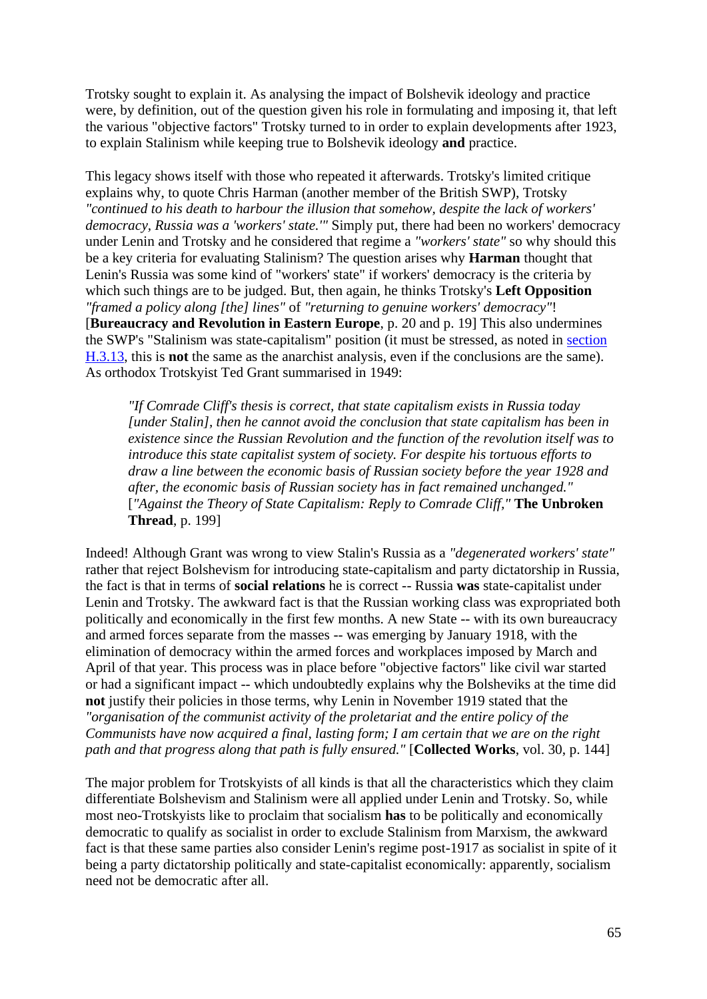Trotsky sought to explain it. As analysing the impact of Bolshevik ideology and practice were, by definition, out of the question given his role in formulating and imposing it, that left the various "objective factors" Trotsky turned to in order to explain developments after 1923, to explain Stalinism while keeping true to Bolshevik ideology **and** practice.

This legacy shows itself with those who repeated it afterwards. Trotsky's limited critique explains why, to quote Chris Harman (another member of the British SWP), Trotsky *"continued to his death to harbour the illusion that somehow, despite the lack of workers' democracy, Russia was a 'workers' state.'"* Simply put, there had been no workers' democracy under Lenin and Trotsky and he considered that regime a *"workers' state"* so why should this be a key criteria for evaluating Stalinism? The question arises why **Harman** thought that Lenin's Russia was some kind of "workers' state" if workers' democracy is the criteria by which such things are to be judged. But, then again, he thinks Trotsky's **Left Opposition** *"framed a policy along [the] lines"* of *"returning to genuine workers' democracy"*! [**Bureaucracy and Revolution in Eastern Europe**, p. 20 and p. 19] This also undermines the SWP's "Stalinism was state-capitalism" position (it must be stressed, as noted in [section](sectionH.html#sech313)  [H.3.13,](sectionH.html#sech313) this is **not** the same as the anarchist analysis, even if the conclusions are the same). As orthodox Trotskyist Ted Grant summarised in 1949:

*"If Comrade Cliff's thesis is correct, that state capitalism exists in Russia today [under Stalin], then he cannot avoid the conclusion that state capitalism has been in existence since the Russian Revolution and the function of the revolution itself was to introduce this state capitalist system of society. For despite his tortuous efforts to draw a line between the economic basis of Russian society before the year 1928 and after, the economic basis of Russian society has in fact remained unchanged."* [*"Against the Theory of State Capitalism: Reply to Comrade Cliff,"* **The Unbroken Thread**, p. 199]

Indeed! Although Grant was wrong to view Stalin's Russia as a *"degenerated workers' state"* rather that reject Bolshevism for introducing state-capitalism and party dictatorship in Russia, the fact is that in terms of **social relations** he is correct -- Russia **was** state-capitalist under Lenin and Trotsky. The awkward fact is that the Russian working class was expropriated both politically and economically in the first few months. A new State -- with its own bureaucracy and armed forces separate from the masses -- was emerging by January 1918, with the elimination of democracy within the armed forces and workplaces imposed by March and April of that year. This process was in place before "objective factors" like civil war started or had a significant impact -- which undoubtedly explains why the Bolsheviks at the time did **not** justify their policies in those terms, why Lenin in November 1919 stated that the *"organisation of the communist activity of the proletariat and the entire policy of the Communists have now acquired a final, lasting form; I am certain that we are on the right path and that progress along that path is fully ensured."* [**Collected Works**, vol. 30, p. 144]

The major problem for Trotskyists of all kinds is that all the characteristics which they claim differentiate Bolshevism and Stalinism were all applied under Lenin and Trotsky. So, while most neo-Trotskyists like to proclaim that socialism **has** to be politically and economically democratic to qualify as socialist in order to exclude Stalinism from Marxism, the awkward fact is that these same parties also consider Lenin's regime post-1917 as socialist in spite of it being a party dictatorship politically and state-capitalist economically: apparently, socialism need not be democratic after all.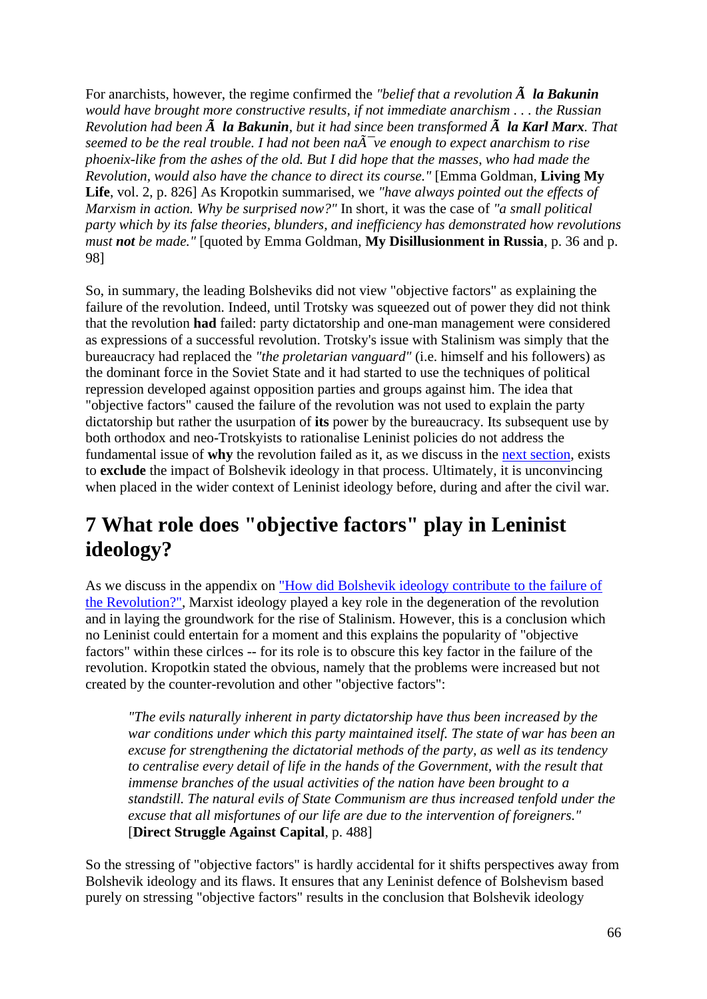For anarchists, however, the regime confirmed the *"belief that a revolution Ã la Bakunin would have brought more constructive results, if not immediate anarchism . . . the Russian Revolution had been Ã la Bakunin, but it had since been transformed Ã la Karl Marx. That seemed to be the real trouble. I had not been na* $\tilde{A}$ <sup>-</sup> *ve enough to expect anarchism to rise phoenix-like from the ashes of the old. But I did hope that the masses, who had made the Revolution, would also have the chance to direct its course."* [Emma Goldman, **Living My Life**, vol. 2, p. 826] As Kropotkin summarised, we *"have always pointed out the effects of Marxism in action. Why be surprised now?"* In short, it was the case of *"a small political party which by its false theories, blunders, and inefficiency has demonstrated how revolutions must not be made."* [quoted by Emma Goldman, **My Disillusionment in Russia**, p. 36 and p. 98]

So, in summary, the leading Bolsheviks did not view "objective factors" as explaining the failure of the revolution. Indeed, until Trotsky was squeezed out of power they did not think that the revolution **had** failed: party dictatorship and one-man management were considered as expressions of a successful revolution. Trotsky's issue with Stalinism was simply that the bureaucracy had replaced the *"the proletarian vanguard"* (i.e. himself and his followers) as the dominant force in the Soviet State and it had started to use the techniques of political repression developed against opposition parties and groups against him. The idea that "objective factors" caused the failure of the revolution was not used to explain the party dictatorship but rather the usurpation of **its** power by the bureaucracy. Its subsequent use by both orthodox and neo-Trotskyists to rationalise Leninist policies do not address the fundamental issue of **why** the revolution failed as it, as we discuss in the [next section,](append43.html#app7) exists to **exclude** the impact of Bolshevik ideology in that process. Ultimately, it is unconvincing when placed in the wider context of Leninist ideology before, during and after the civil war.

## **7 What role does "objective factors" play in Leninist ideology?**

As we discuss in the appendix on ["How did Bolshevik ideology contribute to the failure of](append44.html)  [the Revolution?",](append44.html) Marxist ideology played a key role in the degeneration of the revolution and in laying the groundwork for the rise of Stalinism. However, this is a conclusion which no Leninist could entertain for a moment and this explains the popularity of "objective factors" within these cirlces -- for its role is to obscure this key factor in the failure of the revolution. Kropotkin stated the obvious, namely that the problems were increased but not created by the counter-revolution and other "objective factors":

*"The evils naturally inherent in party dictatorship have thus been increased by the war conditions under which this party maintained itself. The state of war has been an excuse for strengthening the dictatorial methods of the party, as well as its tendency to centralise every detail of life in the hands of the Government, with the result that immense branches of the usual activities of the nation have been brought to a standstill. The natural evils of State Communism are thus increased tenfold under the excuse that all misfortunes of our life are due to the intervention of foreigners."* [**Direct Struggle Against Capital**, p. 488]

So the stressing of "objective factors" is hardly accidental for it shifts perspectives away from Bolshevik ideology and its flaws. It ensures that any Leninist defence of Bolshevism based purely on stressing "objective factors" results in the conclusion that Bolshevik ideology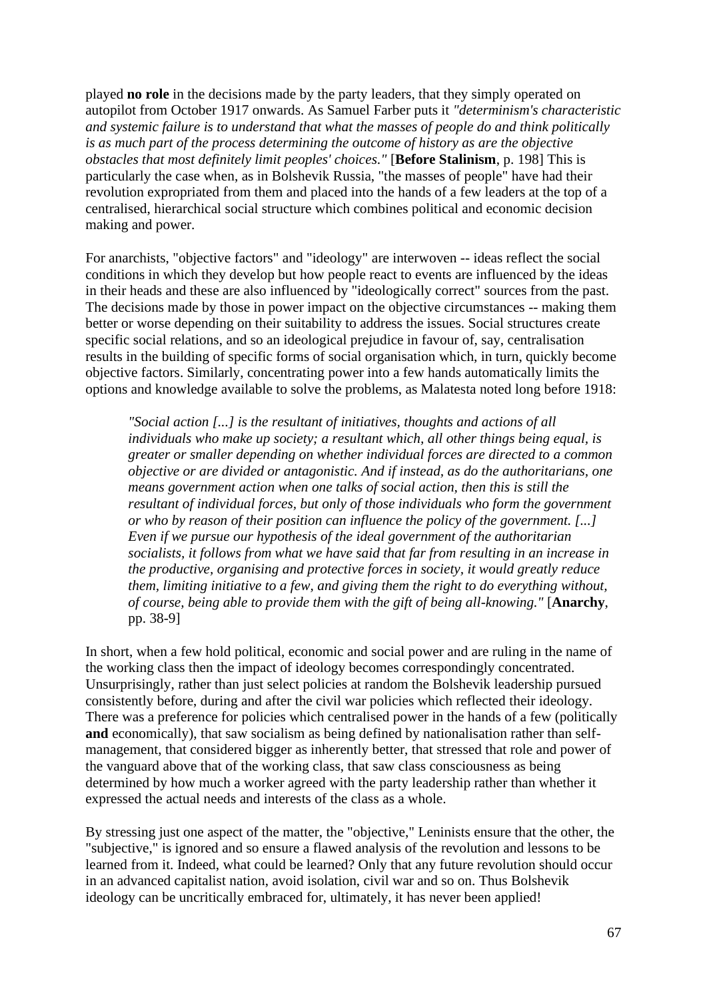played **no role** in the decisions made by the party leaders, that they simply operated on autopilot from October 1917 onwards. As Samuel Farber puts it *"determinism's characteristic and systemic failure is to understand that what the masses of people do and think politically is as much part of the process determining the outcome of history as are the objective obstacles that most definitely limit peoples' choices."* [**Before Stalinism**, p. 198] This is particularly the case when, as in Bolshevik Russia, "the masses of people" have had their revolution expropriated from them and placed into the hands of a few leaders at the top of a centralised, hierarchical social structure which combines political and economic decision making and power.

For anarchists, "objective factors" and "ideology" are interwoven -- ideas reflect the social conditions in which they develop but how people react to events are influenced by the ideas in their heads and these are also influenced by "ideologically correct" sources from the past. The decisions made by those in power impact on the objective circumstances -- making them better or worse depending on their suitability to address the issues. Social structures create specific social relations, and so an ideological prejudice in favour of, say, centralisation results in the building of specific forms of social organisation which, in turn, quickly become objective factors. Similarly, concentrating power into a few hands automatically limits the options and knowledge available to solve the problems, as Malatesta noted long before 1918:

*"Social action [...] is the resultant of initiatives, thoughts and actions of all individuals who make up society; a resultant which, all other things being equal, is greater or smaller depending on whether individual forces are directed to a common objective or are divided or antagonistic. And if instead, as do the authoritarians, one means government action when one talks of social action, then this is still the resultant of individual forces, but only of those individuals who form the government or who by reason of their position can influence the policy of the government. [...] Even if we pursue our hypothesis of the ideal government of the authoritarian socialists, it follows from what we have said that far from resulting in an increase in the productive, organising and protective forces in society, it would greatly reduce them, limiting initiative to a few, and giving them the right to do everything without, of course, being able to provide them with the gift of being all-knowing."* [**Anarchy**, pp. 38-9]

In short, when a few hold political, economic and social power and are ruling in the name of the working class then the impact of ideology becomes correspondingly concentrated. Unsurprisingly, rather than just select policies at random the Bolshevik leadership pursued consistently before, during and after the civil war policies which reflected their ideology. There was a preference for policies which centralised power in the hands of a few (politically **and** economically), that saw socialism as being defined by nationalisation rather than selfmanagement, that considered bigger as inherently better, that stressed that role and power of the vanguard above that of the working class, that saw class consciousness as being determined by how much a worker agreed with the party leadership rather than whether it expressed the actual needs and interests of the class as a whole.

By stressing just one aspect of the matter, the "objective," Leninists ensure that the other, the "subjective," is ignored and so ensure a flawed analysis of the revolution and lessons to be learned from it. Indeed, what could be learned? Only that any future revolution should occur in an advanced capitalist nation, avoid isolation, civil war and so on. Thus Bolshevik ideology can be uncritically embraced for, ultimately, it has never been applied!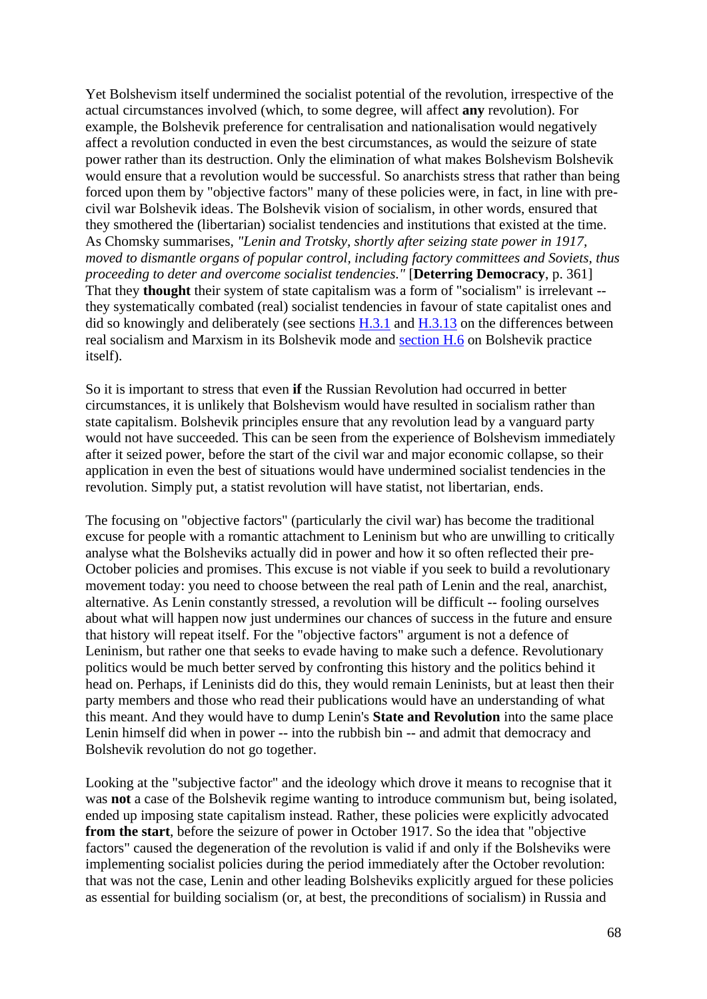Yet Bolshevism itself undermined the socialist potential of the revolution, irrespective of the actual circumstances involved (which, to some degree, will affect **any** revolution). For example, the Bolshevik preference for centralisation and nationalisation would negatively affect a revolution conducted in even the best circumstances, as would the seizure of state power rather than its destruction. Only the elimination of what makes Bolshevism Bolshevik would ensure that a revolution would be successful. So anarchists stress that rather than being forced upon them by "objective factors" many of these policies were, in fact, in line with precivil war Bolshevik ideas. The Bolshevik vision of socialism, in other words, ensured that they smothered the (libertarian) socialist tendencies and institutions that existed at the time. As Chomsky summarises, *"Lenin and Trotsky, shortly after seizing state power in 1917, moved to dismantle organs of popular control, including factory committees and Soviets, thus proceeding to deter and overcome socialist tendencies."* [**Deterring Democracy**, p. 361] That they **thought** their system of state capitalism was a form of "socialism" is irrelevant - they systematically combated (real) socialist tendencies in favour of state capitalist ones and did so knowingly and deliberately (see sections [H.3.1](sectionH.html#sech31) and [H.3.13](sectionH.html#sech313) on the differences between real socialism and Marxism in its Bolshevik mode and [section H.6](sectionH.html#sech6) on Bolshevik practice itself).

So it is important to stress that even **if** the Russian Revolution had occurred in better circumstances, it is unlikely that Bolshevism would have resulted in socialism rather than state capitalism. Bolshevik principles ensure that any revolution lead by a vanguard party would not have succeeded. This can be seen from the experience of Bolshevism immediately after it seized power, before the start of the civil war and major economic collapse, so their application in even the best of situations would have undermined socialist tendencies in the revolution. Simply put, a statist revolution will have statist, not libertarian, ends.

The focusing on "objective factors" (particularly the civil war) has become the traditional excuse for people with a romantic attachment to Leninism but who are unwilling to critically analyse what the Bolsheviks actually did in power and how it so often reflected their pre-October policies and promises. This excuse is not viable if you seek to build a revolutionary movement today: you need to choose between the real path of Lenin and the real, anarchist, alternative. As Lenin constantly stressed, a revolution will be difficult -- fooling ourselves about what will happen now just undermines our chances of success in the future and ensure that history will repeat itself. For the "objective factors" argument is not a defence of Leninism, but rather one that seeks to evade having to make such a defence. Revolutionary politics would be much better served by confronting this history and the politics behind it head on. Perhaps, if Leninists did do this, they would remain Leninists, but at least then their party members and those who read their publications would have an understanding of what this meant. And they would have to dump Lenin's **State and Revolution** into the same place Lenin himself did when in power -- into the rubbish bin -- and admit that democracy and Bolshevik revolution do not go together.

Looking at the "subjective factor" and the ideology which drove it means to recognise that it was **not** a case of the Bolshevik regime wanting to introduce communism but, being isolated, ended up imposing state capitalism instead. Rather, these policies were explicitly advocated **from the start**, before the seizure of power in October 1917. So the idea that "objective factors" caused the degeneration of the revolution is valid if and only if the Bolsheviks were implementing socialist policies during the period immediately after the October revolution: that was not the case, Lenin and other leading Bolsheviks explicitly argued for these policies as essential for building socialism (or, at best, the preconditions of socialism) in Russia and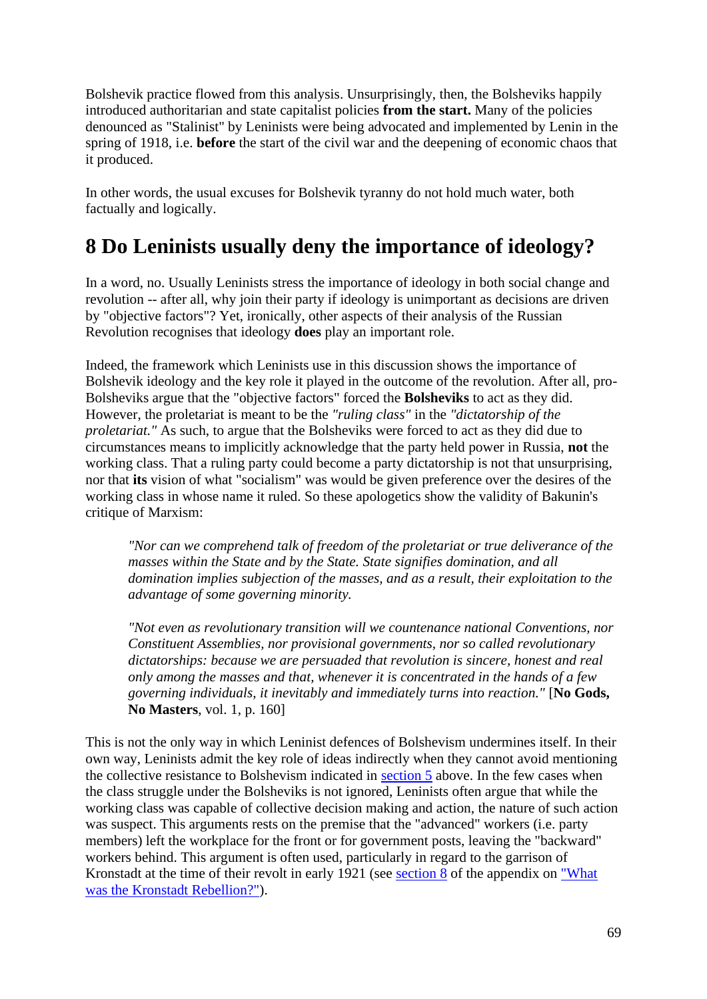Bolshevik practice flowed from this analysis. Unsurprisingly, then, the Bolsheviks happily introduced authoritarian and state capitalist policies **from the start.** Many of the policies denounced as "Stalinist" by Leninists were being advocated and implemented by Lenin in the spring of 1918, i.e. **before** the start of the civil war and the deepening of economic chaos that it produced.

In other words, the usual excuses for Bolshevik tyranny do not hold much water, both factually and logically.

## **8 Do Leninists usually deny the importance of ideology?**

In a word, no. Usually Leninists stress the importance of ideology in both social change and revolution -- after all, why join their party if ideology is unimportant as decisions are driven by "objective factors"? Yet, ironically, other aspects of their analysis of the Russian Revolution recognises that ideology **does** play an important role.

Indeed, the framework which Leninists use in this discussion shows the importance of Bolshevik ideology and the key role it played in the outcome of the revolution. After all, pro-Bolsheviks argue that the "objective factors" forced the **Bolsheviks** to act as they did. However, the proletariat is meant to be the *"ruling class"* in the *"dictatorship of the proletariat."* As such, to argue that the Bolsheviks were forced to act as they did due to circumstances means to implicitly acknowledge that the party held power in Russia, **not** the working class. That a ruling party could become a party dictatorship is not that unsurprising, nor that **its** vision of what "socialism" was would be given preference over the desires of the working class in whose name it ruled. So these apologetics show the validity of Bakunin's critique of Marxism:

*"Nor can we comprehend talk of freedom of the proletariat or true deliverance of the masses within the State and by the State. State signifies domination, and all domination implies subjection of the masses, and as a result, their exploitation to the advantage of some governing minority.*

*"Not even as revolutionary transition will we countenance national Conventions, nor Constituent Assemblies, nor provisional governments, nor so called revolutionary dictatorships: because we are persuaded that revolution is sincere, honest and real only among the masses and that, whenever it is concentrated in the hands of a few governing individuals, it inevitably and immediately turns into reaction."* [**No Gods, No Masters**, vol. 1, p. 160]

This is not the only way in which Leninist defences of Bolshevism undermines itself. In their own way, Leninists admit the key role of ideas indirectly when they cannot avoid mentioning the collective resistance to Bolshevism indicated in [section 5](append43.html#app5) above. In the few cases when the class struggle under the Bolsheviks is not ignored, Leninists often argue that while the working class was capable of collective decision making and action, the nature of such action was suspect. This arguments rests on the premise that the "advanced" workers (i.e. party members) left the workplace for the front or for government posts, leaving the "backward" workers behind. This argument is often used, particularly in regard to the garrison of Kronstadt at the time of their revolt in early 1921 (see [section 8](append42.html#app8) of the appendix on ["What](append42.html)  [was the Kronstadt Rebellion?"\)](append42.html).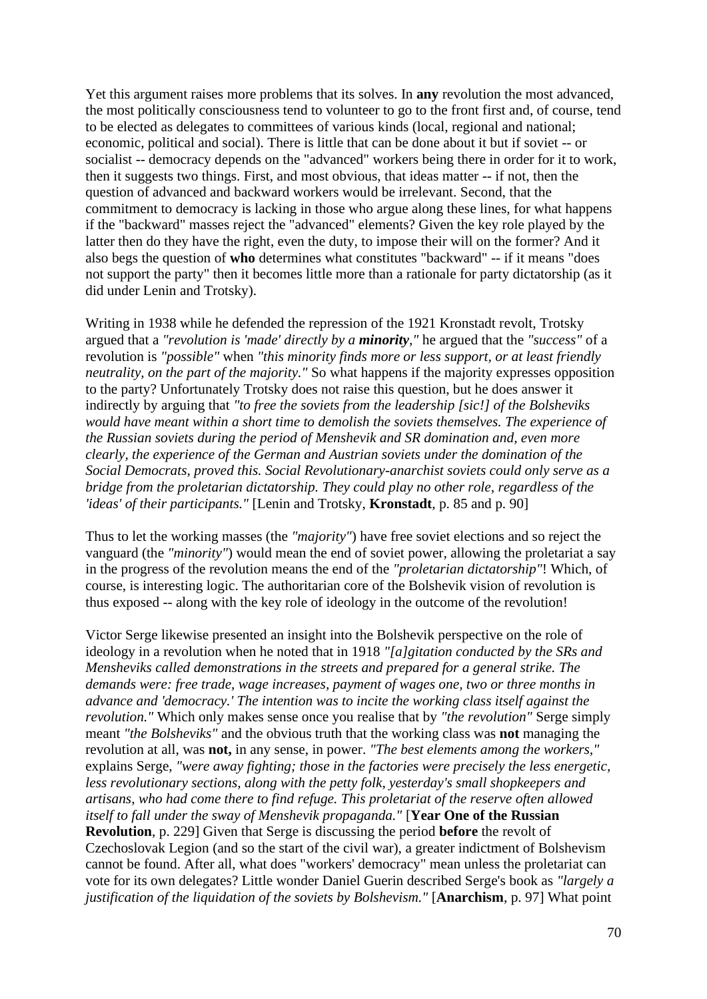Yet this argument raises more problems that its solves. In **any** revolution the most advanced, the most politically consciousness tend to volunteer to go to the front first and, of course, tend to be elected as delegates to committees of various kinds (local, regional and national; economic, political and social). There is little that can be done about it but if soviet -- or socialist -- democracy depends on the "advanced" workers being there in order for it to work, then it suggests two things. First, and most obvious, that ideas matter -- if not, then the question of advanced and backward workers would be irrelevant. Second, that the commitment to democracy is lacking in those who argue along these lines, for what happens if the "backward" masses reject the "advanced" elements? Given the key role played by the latter then do they have the right, even the duty, to impose their will on the former? And it also begs the question of **who** determines what constitutes "backward" -- if it means "does not support the party" then it becomes little more than a rationale for party dictatorship (as it did under Lenin and Trotsky).

Writing in 1938 while he defended the repression of the 1921 Kronstadt revolt, Trotsky argued that a *"revolution is 'made' directly by a minority,"* he argued that the *"success"* of a revolution is *"possible"* when *"this minority finds more or less support, or at least friendly neutrality, on the part of the majority."* So what happens if the majority expresses opposition to the party? Unfortunately Trotsky does not raise this question, but he does answer it indirectly by arguing that *"to free the soviets from the leadership [sic!] of the Bolsheviks would have meant within a short time to demolish the soviets themselves. The experience of the Russian soviets during the period of Menshevik and SR domination and, even more clearly, the experience of the German and Austrian soviets under the domination of the Social Democrats, proved this. Social Revolutionary-anarchist soviets could only serve as a bridge from the proletarian dictatorship. They could play no other role, regardless of the 'ideas' of their participants."* [Lenin and Trotsky, **Kronstadt**, p. 85 and p. 90]

Thus to let the working masses (the *"majority"*) have free soviet elections and so reject the vanguard (the *"minority"*) would mean the end of soviet power, allowing the proletariat a say in the progress of the revolution means the end of the *"proletarian dictatorship"*! Which, of course, is interesting logic. The authoritarian core of the Bolshevik vision of revolution is thus exposed -- along with the key role of ideology in the outcome of the revolution!

Victor Serge likewise presented an insight into the Bolshevik perspective on the role of ideology in a revolution when he noted that in 1918 *"[a]gitation conducted by the SRs and Mensheviks called demonstrations in the streets and prepared for a general strike. The demands were: free trade, wage increases, payment of wages one, two or three months in advance and 'democracy.' The intention was to incite the working class itself against the revolution."* Which only makes sense once you realise that by *"the revolution"* Serge simply meant *"the Bolsheviks"* and the obvious truth that the working class was **not** managing the revolution at all, was **not,** in any sense, in power. *"The best elements among the workers,"* explains Serge, *"were away fighting; those in the factories were precisely the less energetic, less revolutionary sections, along with the petty folk, yesterday's small shopkeepers and artisans, who had come there to find refuge. This proletariat of the reserve often allowed itself to fall under the sway of Menshevik propaganda."* [**Year One of the Russian Revolution**, p. 229] Given that Serge is discussing the period **before** the revolt of Czechoslovak Legion (and so the start of the civil war), a greater indictment of Bolshevism cannot be found. After all, what does "workers' democracy" mean unless the proletariat can vote for its own delegates? Little wonder Daniel Guerin described Serge's book as *"largely a justification of the liquidation of the soviets by Bolshevism."* [**Anarchism**, p. 97] What point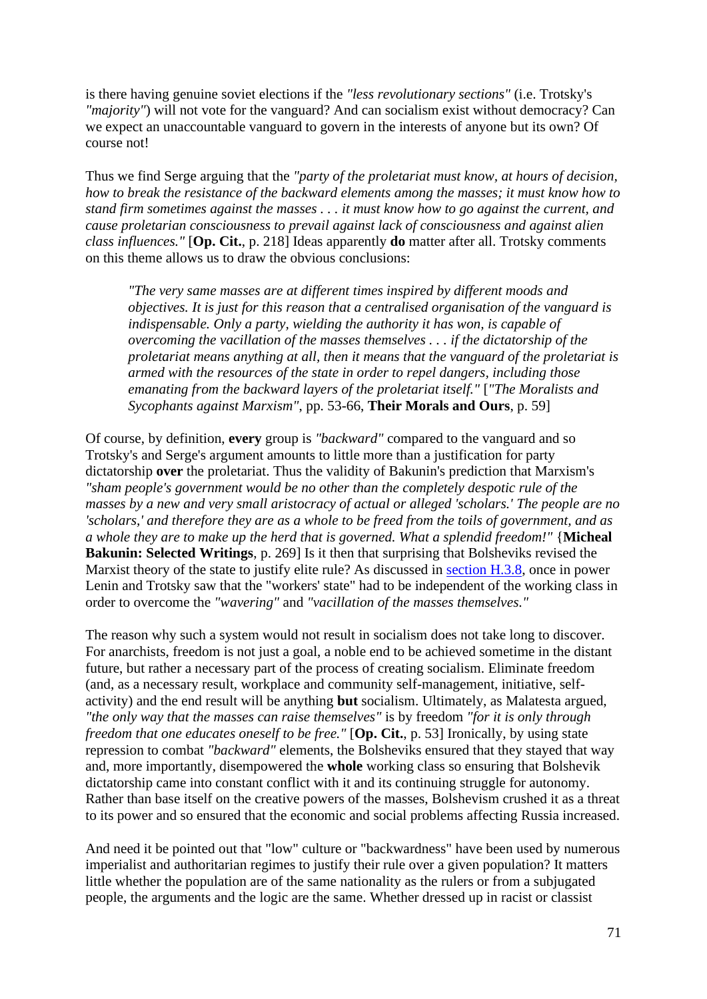is there having genuine soviet elections if the *"less revolutionary sections"* (i.e. Trotsky's *"majority"*) will not vote for the vanguard? And can socialism exist without democracy? Can we expect an unaccountable vanguard to govern in the interests of anyone but its own? Of course not!

Thus we find Serge arguing that the *"party of the proletariat must know, at hours of decision, how to break the resistance of the backward elements among the masses; it must know how to stand firm sometimes against the masses . . . it must know how to go against the current, and cause proletarian consciousness to prevail against lack of consciousness and against alien class influences."* [**Op. Cit.**, p. 218] Ideas apparently **do** matter after all. Trotsky comments on this theme allows us to draw the obvious conclusions:

*"The very same masses are at different times inspired by different moods and objectives. It is just for this reason that a centralised organisation of the vanguard is indispensable. Only a party, wielding the authority it has won, is capable of overcoming the vacillation of the masses themselves . . . if the dictatorship of the proletariat means anything at all, then it means that the vanguard of the proletariat is armed with the resources of the state in order to repel dangers, including those emanating from the backward layers of the proletariat itself."* [*"The Moralists and Sycophants against Marxism"*, pp. 53-66, **Their Morals and Ours**, p. 59]

Of course, by definition, **every** group is *"backward"* compared to the vanguard and so Trotsky's and Serge's argument amounts to little more than a justification for party dictatorship **over** the proletariat. Thus the validity of Bakunin's prediction that Marxism's *"sham people's government would be no other than the completely despotic rule of the masses by a new and very small aristocracy of actual or alleged 'scholars.' The people are no 'scholars,' and therefore they are as a whole to be freed from the toils of government, and as a whole they are to make up the herd that is governed. What a splendid freedom!"* {**Micheal Bakunin: Selected Writings**, p. 269] Is it then that surprising that Bolsheviks revised the Marxist theory of the state to justify elite rule? As discussed in [section H.3.8,](sectionH.html#sech38) once in power Lenin and Trotsky saw that the "workers' state" had to be independent of the working class in order to overcome the *"wavering"* and *"vacillation of the masses themselves."*

The reason why such a system would not result in socialism does not take long to discover. For anarchists, freedom is not just a goal, a noble end to be achieved sometime in the distant future, but rather a necessary part of the process of creating socialism. Eliminate freedom (and, as a necessary result, workplace and community self-management, initiative, selfactivity) and the end result will be anything **but** socialism. Ultimately, as Malatesta argued, *"the only way that the masses can raise themselves"* is by freedom *"for it is only through freedom that one educates oneself to be free."* [**Op. Cit.**, p. 53] Ironically, by using state repression to combat *"backward"* elements, the Bolsheviks ensured that they stayed that way and, more importantly, disempowered the **whole** working class so ensuring that Bolshevik dictatorship came into constant conflict with it and its continuing struggle for autonomy. Rather than base itself on the creative powers of the masses, Bolshevism crushed it as a threat to its power and so ensured that the economic and social problems affecting Russia increased.

And need it be pointed out that "low" culture or "backwardness" have been used by numerous imperialist and authoritarian regimes to justify their rule over a given population? It matters little whether the population are of the same nationality as the rulers or from a subjugated people, the arguments and the logic are the same. Whether dressed up in racist or classist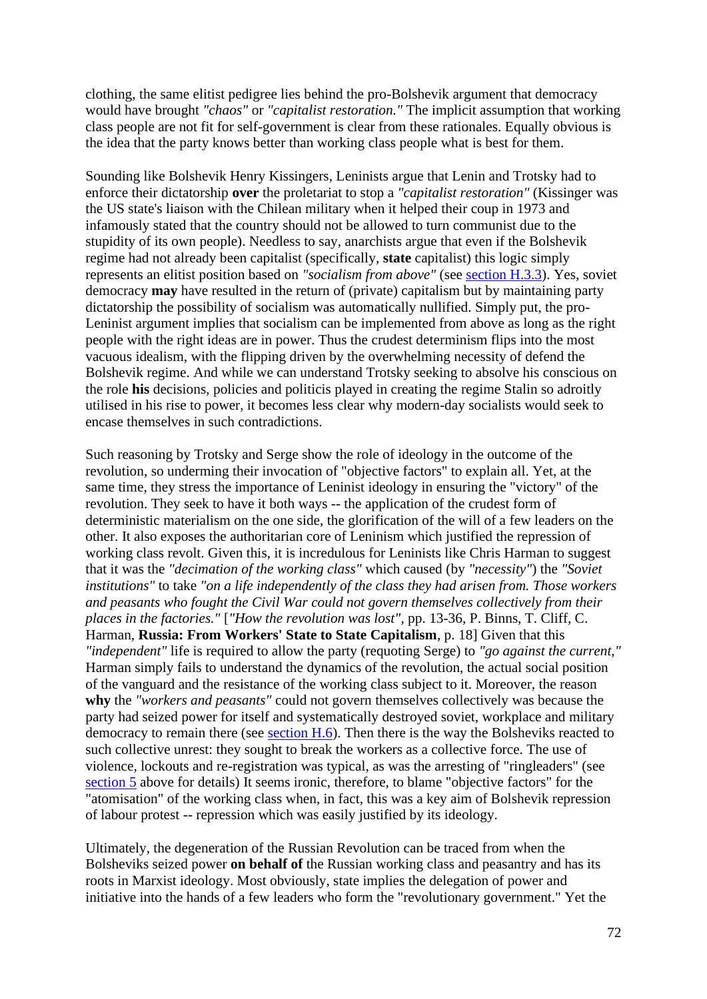clothing, the same elitist pedigree lies behind the pro-Bolshevik argument that democracy would have brought *"chaos"* or *"capitalist restoration."* The implicit assumption that working class people are not fit for self-government is clear from these rationales. Equally obvious is the idea that the party knows better than working class people what is best for them.

Sounding like Bolshevik Henry Kissingers, Leninists argue that Lenin and Trotsky had to enforce their dictatorship **over** the proletariat to stop a *"capitalist restoration"* (Kissinger was the US state's liaison with the Chilean military when it helped their coup in 1973 and infamously stated that the country should not be allowed to turn communist due to the stupidity of its own people). Needless to say, anarchists argue that even if the Bolshevik regime had not already been capitalist (specifically, **state** capitalist) this logic simply represents an elitist position based on *"socialism from above"* (see [section H.3.3\)](sectionH.html#sech33). Yes, soviet democracy **may** have resulted in the return of (private) capitalism but by maintaining party dictatorship the possibility of socialism was automatically nullified. Simply put, the pro-Leninist argument implies that socialism can be implemented from above as long as the right people with the right ideas are in power. Thus the crudest determinism flips into the most vacuous idealism, with the flipping driven by the overwhelming necessity of defend the Bolshevik regime. And while we can understand Trotsky seeking to absolve his conscious on the role **his** decisions, policies and politicis played in creating the regime Stalin so adroitly utilised in his rise to power, it becomes less clear why modern-day socialists would seek to encase themselves in such contradictions.

Such reasoning by Trotsky and Serge show the role of ideology in the outcome of the revolution, so underming their invocation of "objective factors" to explain all. Yet, at the same time, they stress the importance of Leninist ideology in ensuring the "victory" of the revolution. They seek to have it both ways -- the application of the crudest form of deterministic materialism on the one side, the glorification of the will of a few leaders on the other. It also exposes the authoritarian core of Leninism which justified the repression of working class revolt. Given this, it is incredulous for Leninists like Chris Harman to suggest that it was the *"decimation of the working class"* which caused (by *"necessity"*) the *"Soviet institutions"* to take *"on a life independently of the class they had arisen from. Those workers and peasants who fought the Civil War could not govern themselves collectively from their places in the factories."* [*"How the revolution was lost"*, pp. 13-36, P. Binns, T. Cliff, C. Harman, **Russia: From Workers' State to State Capitalism**, p. 18] Given that this *"independent"* life is required to allow the party (requoting Serge) to *"go against the current,"* Harman simply fails to understand the dynamics of the revolution, the actual social position of the vanguard and the resistance of the working class subject to it. Moreover, the reason **why** the *"workers and peasants"* could not govern themselves collectively was because the party had seized power for itself and systematically destroyed soviet, workplace and military democracy to remain there (see [section H.6\)](sectionH.html#sech6). Then there is the way the Bolsheviks reacted to such collective unrest: they sought to break the workers as a collective force. The use of violence, lockouts and re-registration was typical, as was the arresting of "ringleaders" (see [section 5](append43#app5) above for details) It seems ironic, therefore, to blame "objective factors" for the "atomisation" of the working class when, in fact, this was a key aim of Bolshevik repression of labour protest -- repression which was easily justified by its ideology.

Ultimately, the degeneration of the Russian Revolution can be traced from when the Bolsheviks seized power **on behalf of** the Russian working class and peasantry and has its roots in Marxist ideology. Most obviously, state implies the delegation of power and initiative into the hands of a few leaders who form the "revolutionary government." Yet the